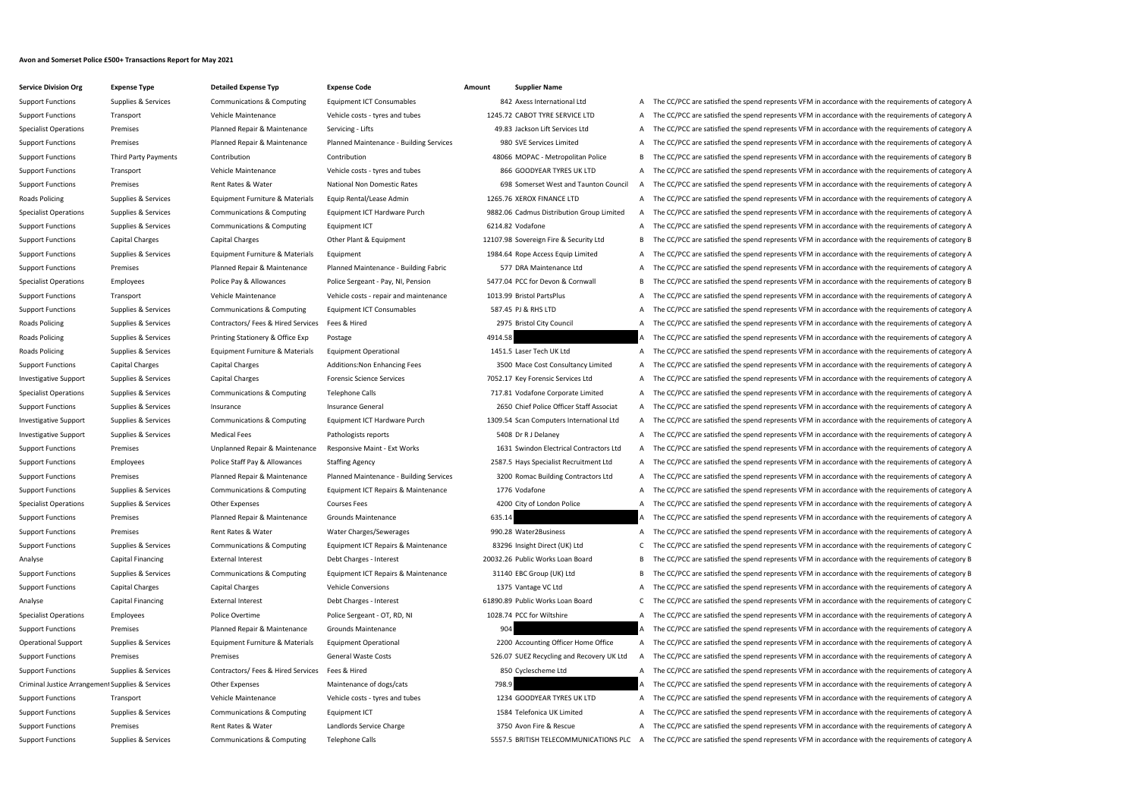## **Avon and Somerset Police £500+ Transactions Report for May 2021**

## **Service Division Org Expense Type Detailed Expense Typ Expense Code Amount Supplier Name**

Support Functions Supplies & Services Communications & Computing Equipment ICT Consumables 842 Axess International Ltd A The CC/PCC are satisfied the spend represents VFM in accordance with the requirements of category A Support Functions Transport Vehicle Maintenance Vehicle costs - tyres and tubes 1245.72 CABOT TYRE SERVICE LTD A The CC/PCC are satisfied the spend represents VFM in accordance with the requirements of category A Specialist Operations Premises Planned Repair & Maintenance Servicing - Lifts 49.83 Jackson Lift Services Ltd A The CC/PCC are satisfied the spend represents VFM in accordance with the requirements of category A Support Functions Premises Planned Repair & Maintenance Planned Maintenance - Building Services 980 SVE Services Limited A The CC/PCC are satisfied the spend represents VFM in accordance with the requirements of category A Support Functions Third Party Payments Contribution Contribution Contribution Contribution And Contribution Contribution and Contribution and A8066 MOPAC - Metropolitan Police B The CC/PCC are satisfied the spend represent Support Functions Transport Support Transport Vehicle Maintenance Vehicle costs - tyres and tubes 866 GOODYEAR TYRES UK LTD A The CC/PCC are satisfied the spend represents VFM in accordance with the requirements of categor Support Functions Premises Premises Rent Rates Rent Rates National Non Domestic Rates 698 Somerset West and Taunton Council A The CC/PCC are satisfied the spend represents VFM in accordance with the requirements of categor Roads Policing Supplies & Services Equipment Furniture & Materials Equip Rental/Lease Admin 1265.76 XEROX FINANCE LTD A The CC/PCC are satisfied the spend represents VFM in accordance with the requirements of category A Specialist Operations Supplies & Services Communications & Computing Equipment ICT Hardware Purch 9882.06 Cadmus Distribution Group Limited A The CC/PCC are satisfied the spend represents VFM in accordance with the require Support Functions Supplies & Services Communications & Computing Faultiment ICT 6214.82 Vodafone 6314.82 Vodafone A The CC/PCC are satisfied the spend represents VFM in accordance with the requirements of category A Support Functions Capital Charges Capital Charges Other Plant & Equipment 12107.98 Sovereign Fire & Security Ltd B The CC/PCC are satisfied the spend represents VFM in accordance with the requirements of category B Support Functions Supplies & Services Equipment Furniture & Materials Equipment 1984.64 Rope Access Equip Limited A The CC/PCC are satisfied the spend represents VFM in accordance with the requirements of category A Support Functions Premises Planned Repair & Maintenance Planned Maintenance - Building Fabric 577 DRA Maintenance Ltd A The CC/PCC are satisfied the spend represents VFM in accordance with the requirements of category A Specialist Operations Employees Police Pay & Allowances Police Sergeant - Pay, NI, Pension 5477.04 PCC for Devon & Cornwall B The CC/PCC are satisfied the spend represents VFM in accordance with the requirements of categor Support Functions Transport Transport Vehicle Maintenance Vehicle Costs - repair and maintenance 1013.99 Bristol PartsPlus A The CC/PCC are satisfied the spend represents VFM in accordance with the requirements of category Support Functions Supplies & Services Communications & Computing Equipment ICT Consumables 587.45 PJ & RHS LTD A The CC/PCC are satisfied the spend represents VFM in accordance with the requirements of category A Roads Policing Supplies & Services Contractors/ Fees & Hired Services Fees & Hired 2975 Bristol City Council A The CC/PCC are satisfied the spend represents VFM in accordance with the requirements of category A Roads Policing Supplies & Services Printing Stationery & Office Exp Postage Provide and A The CC/PCC are satisfied the spend represents VFM in accordance with the requirements of category A The CC/PCC are satisfied the spe Roads Policing Supplies & Services Equipment Furniture & Materials Equipment Operational 1451.5 Laser Tech UK Ltd A The CC/PCC are satisfied the spend represents VFM in accordance with the requirements of category A Support Functions Capital Charges Capital Charges Additions:Non Enhancing Fees 3500 Mace Cost Consultancy Limited A The CC/PCC are satisfied the spend represents VFM in accordance with the requirements of category A Investigative Support Supplies & Services Capital Charges Forensic Science Services Forensic Science Services TOS2.17 Key Forensic Services Ltd A The CC/PCC are satisfied the spend represents VFM in accordance with the req Specialist Operations Supplies & Services Communications & Computing Telephone Calls 717.81 Vodafone Corporate Limited A The CC/PCC are satisfied the spend represents VFM in accordance with the requirements of category A Support Functions Supplies & Services Insurance Support Functions Insurance General Insurance General 2650 Chief Police Officer Staff Associat A The CC/PCC are satisfied the spend represents VFM in accordance with the requ Investigative Support Supplies & Services Communications & Computing Equipment ICT Hardware Purch 1309.54 Scan Computers International Ltd A The CC/PCC are satisfied the spend represents VFM in accordance with the requirem Investigative Support Supplies & Services Medical Fees Pathologists reports Pathologists reports 5408 Dr R J Delaney A The CC/PCC are satisfied the spend represents VFM in accordance with the requirements of category A Support Functions Premises Premises Unplanned Repair & Maintenance Responsive Maint - Ext Works 1631 Swindon Electrical Contractors Ltd A The CC/PCC are satisfied the spend represents VFM in accordance with the requirement Support Functions Employees Police Staff Pay & Allowances Staffing Agency 2587.5 Hays Specialist Recruitment Ltd A The CC/PCC are satisfied the spend represents VFM in accordance with the requirements of category A Support Functions Premises Planned Repair & Maintenance Planned Maintenance - Building Services 3200 Romac Building Contractors Ltd A The CC/PCC are satisfied the spend represents VFM in accordance with the requirements of Support Functions Supplies & Services Communications & Computing Equipment ICT Repairs & Maintenance 1776 Vodafone A The CC/PCC are satisfied the spend represents VFM in accordance with the requirements of category A Specialist Operations Supplies & Services Other Expenses Courses Fees Courses Courses Fees 4200 City of London Police A The CC/PCC are satisfied the spend represents VFM in accordance with the requirements of category A Support Functions Premises Planned Repair & Maintenance Grounds Maintenance 635.14 A The CC/PCC are satisfied the spend represents VFM in accordance with the requirements of category A Support Functions Premises Premises Rent Rates & Water Water Water Charges/Sewerages 990.28 Water2Business A The CC/PCC are satisfied the spend represents VFM in accordance with the requirements of category A Support Functions Supplies & Services Communications & Computing Equipment ICT Repairs & Maintenance 83296 Insight Direct (UK) Ltd C The CC/PCC are satisfied the spend represents VFM in accordance with the requirements of Analyse Capital Financing External Interest Debt Charges - Interest 20032.26 Public Works Loan Board B The CC/PCC are satisfied the spend represents VFM in accordance with the requirements of category B Support Functions Supplies & Services Communications & Computing Equipment ICT Repairs & Maintenance 31140 EBC Group (UK) Ltd BEC C/PCC are satisfied the spend represents VFM in accordance with the requirements of category Support Functions Capital Charges Capital Charges Vehicle Conversions Vehicle Conversions 1375 Vantage VC Ltd A The CC/PCC are satisfied the spend represents VFM in accordance with the requirements of category A Analyse Capital Financing External Interest Debt Charges - Interest 61890.89 Public Works Loan Board C The CC/PCC are satisfied the spend represents VFM in accordance with the requirements of category C Specialist Operations Employees Police Overtime Police Sergeant - OT, RD, NI 1028.74 PCC for Wiltshire A The CC/PCC are satisfied the spend represents VFM in accordance with the requirements of category A Support Functions Premises Planned Repair & Maintenance Grounds Maintenance 904 A The CC/PCC are satisfied the spend represents VFM in accordance with the requirements of category A Operational Support Supplies & Services Equipment Furniture & Materials Equipment Operational 2200 Accounting Officer Home Office A The CC/PCC are satisfied the spend represents VFM in accordance with the requirements of c Support Functions Premises Premises Premises General Waste Costs 526.07 SUEZ Recycling and Recovery UK Ltd A The CC/PCC are satisfied the spend represents VFM in accordance with the requirements of category A Support Functions Supplies & Services Contractors/ Fees & Hired Services Fees & Hired Services Fees & Hired 850 Cyclescheme Ltd A The CC/PCC are satisfied the spend represents VFM in accordance with the requirements of cat Criminal Justice Arrangement Supplies & Services Other Expenses Maintenance of dogs/cats 798.9 The CC/PCC are satisfied the spend represents VFM in accordance with the requirements of category A Support Functions Transport Support Transport Vehicle Maintenance Vehicle costs - tyres and tubes 1234 GOODYEAR TYRES UK LTD A The CC/PCC are satisfied the spend represents VFM in accordance with the requirements of catego Support Functions Supplies & Services Communications & Computing Equipment ICT 1584 Telefonica UK Limited A The CC/PCC are satisfied the spend represents VFM in accordance with the requirements of category A Support Functions Premises Premises Rent Rates & Water Landlords Service Charge 3750 Avon Fire & Rescue A The CC/PCC are satisfied the spend represents VFM in accordance with the requirements of category A Support Functions Supplies & Services Communications & Computing Telephone Calls 5557.5 BRITISH TELECOMMUNICATIONS PLC A The CC/PCC are satisfied the spend represents VFM in accordance with the requirements of category A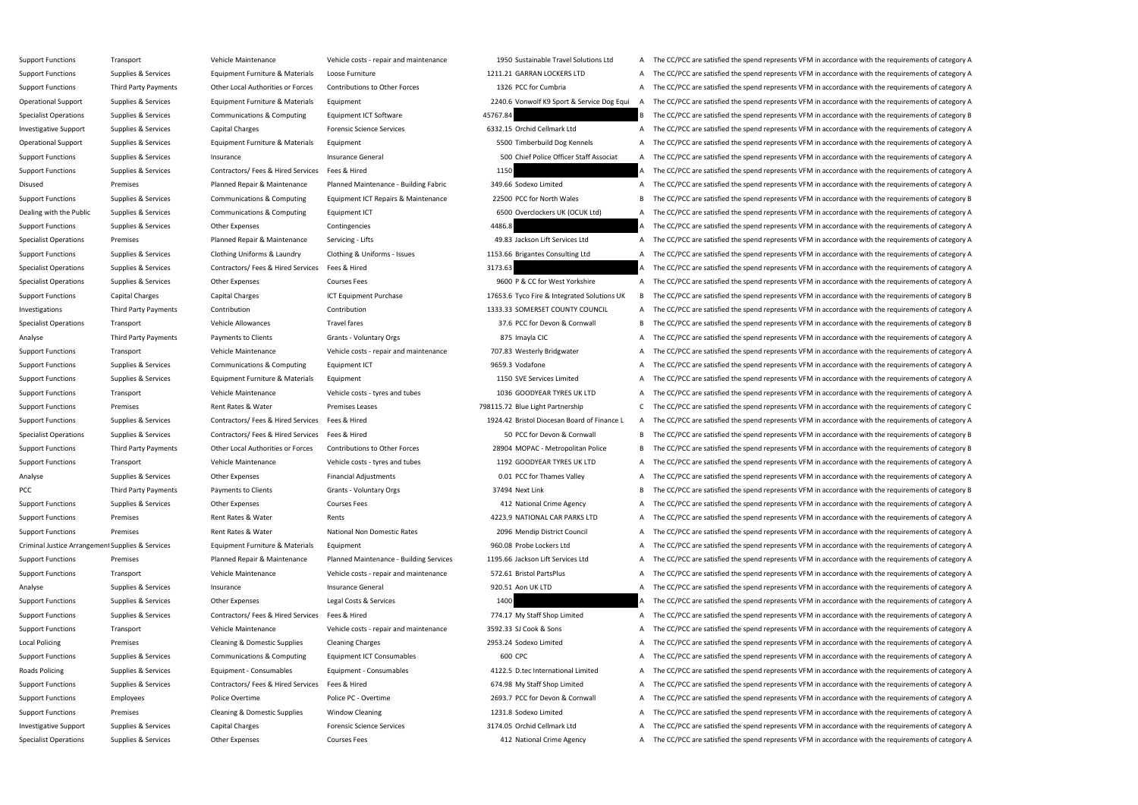Support Functions Transport Transport Transport Category Alberta Category Alberta Category Alberta Category Alberta Category Alberta Category Alberta 1950 Sustainable Travel Solutions Ltd A The CC/PCC are satisfied the spe Support Functions Supplies & Services Equipment Furniture & Materials Loose Furniture 1211.21 GARRAN LOCKERS LTD A The CC/PCC are satisfied the spend represents VFM in accordance with the requirements of category A Support Functions Third Party Payments Other Local Authorities or Forces Contributions to Other Forces 1326 PCC for Cumbria A The CC/PCC are satisfied the spend represents VFM in accordance with the requirements of categor Operational Support Supplies & Services Equipment Furniture & Materials Equipment Europy Alterials Equipment Support Materials Equipment 2240.6 Vonwolf K9 Sport & Service Dog Equi A The CC/PCC are satisfied the spend repre Specialist Operations Supplies & Services Communications & Computing Equipment ICT Software 45767.84 A ASTER A SERVICE are satisfied the spend represents VFM in accordance with the requirements of category B Investigative Support Supplies & Services Capital Charges Forensic Science Services Forensic Science Services 6332.15 Orchid Cellmark Ltd A The CC/PCC are satisfied the spend represents VFM in accordance with the requireme Operational Support Supplies & Services Equipment Furniture & Materials Equipment Support 5500 Timberbuild Dog Kennels A The CC/PCC are satisfied the spend represents VFM in accordance with the requirements of category A Support Functions Supplies & Services Insurance Support Functions Insurance General Insurance General SOO Chief Police Officer Staff Associat A The CC/PCC are satisfied the spend represents VFM in accordance with the requi Support Functions Supplies & Services Contractors/ Fees & Hired Services Fees & Hired 1150 A The CC/PCC are satisfied the spend represents VFM in accordance with the requirements of category A Disused Premises Planned Repair & Maintenance Planned Maintenance - Building Fabric 349.66 Sodexo Limited A The CC/PCC are satisfied the spend represents VFM in accordance with the requirements of category A Support Functions Supplies & Services Communications & Computing Equipment ICT Repairs & Maintenance 22500 PCC for North Wales B The CC/PCC are satisfied the spend represents VFM in accordance with the requirements of cate Dealing with the Public Supplies & Services Communications & Computing Equipment ICT 6500 Overclockers UK (OCUK Ltd) A The CC/PCC are satisfied the spend represents VFM in accordance with the requirements of category A Support Functions Supplies & Services Other Expenses Contingencies 4486.8 A The CC/PCC are satisfied the spend represents VFM in accordance with the requirements of category A Specialist Operations Premises Planned Repair & Maintenance Servicing - Lifts 49.83 Jackson Lift Services Ltd A The CC/PCC are satisfied the spend represents VFM in accordance with the requirements of category A Support Functions Supplies & Services Clothing Uniforms & Laundry Clothing & Uniforms - Issues 1153.66 Brigantes Consulting Ltd A The CC/PCC are satisfied the spend represents VFM in accordance with the requirements of cat Specialist Operations Supplies & Services Contractors/ Fees & Hired Services Fees & Hired 3173.63 A The CC/PCC are satisfied the spend represents VFM in accordance with the requirements of category A Specialist Operations Supplies & Services Other Expenses Courses Fees 9600 P & CC for West Yorkshire A The CC/PCC are satisfied the spend represents VFM in accordance with the requirements of category A Support Functions Capital Charges Capital Charges ICT Equipment Purchase 17653.6 Tyco Fire & Integrated Solutions UK B The CC/PCC are satisfied the spend represents VFM in accordance with the requirements of category B Investigations Third Party Payments Contribution Contribution Contribution Contribution 1333.33 SOMERSET COUNTY COUNCIL A The CC/PCC are satisfied the spend represents VFM in accordance with the requirements of category A Specialist Operations Transport Vehicle Allowances Travel fares Travel fares 37.6 PCC for Devon & Cornwall B The CC/PCC are satisfied the spend represents VFM in accordance with the requirements of category B Analyse Third Party Payments Payments to Clients Grants - Voluntary Orgs 875 Imayla CIC A The CC/PCC are satisfied the spend represents VFM in accordance with the requirements of category A Support Functions Transport Vehicle Maintenance Vehicle Costs - repair and maintenance 707.83 Westerly Bridgwater A The CC/PCC are satisfied the spend represents VFM in accordance with the requirements of category A Support Functions Supplies & Services Communications & Computing Equipment ICT 9659.3 Vodafone 9659.3 Vodafone A The CC/PCC are satisfied the spend represents VFM in accordance with the requirements of category A Support Functions Supplies & Services Equipment Furniture & Materials Equipment 1150 SVE Services Limited A The CC/PCC are satisfied the spend represents VFM in accordance with the requirements of category A Support Functions Transport Vehicle Maintenance Vehicle costs - tyres and tubes 1036 GOODYEAR TYRES UK LTD A The CC/PCC are satisfied the spend represents VFM in accordance with the requirements of category A Support Functions Premises Premises Premises Rent Rates & Water Premises Leases 798115.72 Blue Light Partnership C The CC/PCC are satisfied the spend represents VFM in accordance with the requirements of category C Support Functions Supplies & Services Contractors/ Fees & Hired Services Fees & Hired 1924.42 Bristol Diocesan Board of Finance L A The CC/PCC are satisfied the spend represents VFM in accordance with the requirements of c Specialist Operations Supplies & Services Contractors/ Fees & Hired Services Fees & Hired 50 PCC for Devon & Cornwall B The CC/PCC are satisfied the spend represents VFM in accordance with the requirements of category B Support Functions Third Party Payments Other Local Authorities or Forces Contributions to Other Forces 28904 MOPAC - Metropolitan Police B The CC/PCC are satisfied the spend represents VFM in accordance with the requiremen Support Functions Transport Vehicle Maintenance Vehicle Costs - tyres and tubes 1192 GOODYEAR TYRES UK LTD A The CC/PCC are satisfied the spend represents VFM in accordance with the requirements of category A Analyse Supplies & Services Other Expenses Financial Adjustments 6.01 PCC for Thames Valley A The CC/PCC are satisfied the spend represents VFM in accordance with the requirements of category A PCC Third Party Payments Payments to Clients Grants - Voluntary Orgs 37494 Next Link B The CC/PCC are satisfied the spend represents VFM in accordance with the requirements of category B Support Functions Supplies & Services Other Expenses Courses Fees A The CC/PCC are satisfied the spend represents VFM in accordance with the requirements of category A The CC/PCC are satisfied the spend represents VFM in a Support Functions Premises Premises Rent Rates & Water Rents Rents Rents A The CC/PCC are satisfied the spend represents VFM in accordance with the requirements of category A Support Functions Premises Premises Rent Rates Rent Rates Rent Rates National Non Domestic Rates 2096 Mendip District Council A The CC/PCC are satisfied the spend represents VFM in accordance with the requirements of categ Criminal Justice Arrangement Supplies & Services Equipment Furniture & Materials Equipment exters is equipment external and the CC/PCC are satisfied the spend represents VFM in accordance with the requirements of category Support Functions Premises Planned Repair & Maintenance Planned Maintenance - Building Services 1195.66 Jackson Lift Services Ltd A The CC/PCC are satisfied the spend represents VFM in accordance with the requirements of c Support Functions Transport Vehicle Maintenance Vehicle Costs - repair and maintenance 572.61 Bristol PartsPlus A The CC/PCC are satisfied the spend represents VFM in accordance with the requirements of category A Analyse Supplies & Services Insurance Supplies A Services Insurance General Insurance General 1920.51 Aon UK LTD A The CC/PCC are satisfied the spend represents VFM in accordance with the requirements of category A Support Functions Supplies & Services Other Expenses Legal Costs & Services 1400 A The CC/PCC are satisfied the spend represents VFM in accordance with the requirements of category A Support Functions Supplies & Services Contractors/ Fees & Hired Services Fees & Hired 774.17 My Staff Shop Limited A The CC/PCC are satisfied the spend represents VFM in accordance with the requirements of category A Support Functions Transport Support Transport Vehicle Maintenance Vehicle Costs - repair and maintenance 3592.33 SJ Cook & Sons A The CC/PCC are satisfied the spend represents VFM in accordance with the requirements of cat Local Policing Premises Cleaning & Domestic Supplies Cleaning Charges 2953.24 Sodexo Limited A The CC/PCC are satisfied the spend represents VFM in accordance with the requirements of category A Support Functions Supplies & Services Communications & Computing Equipment ICT Consumables 600 CPC 600 CPC A The CC/PCC are satisfied the spend represents VFM in accordance with the requirements of category A Roads Policing Supplies & Services Equipment - Consumables Equipment - Consumables Equipment - Consumables A The CC/PCC are satisfied the spend represents VFM in accordance with the requirements of category A Support Functions Supplies & Services Contractors/ Fees & Hired Services Fees & Hired 674.98 My Staff Shop Limited A The CC/PCC are satisfied the spend represents VFM in accordance with the requirements of category A Support Functions Employees Police Overtime Police PC - Overtime Police PC - Overtime 2693.7 PCC for Devon & Cornwall A The CC/PCC are satisfied the spend represents VFM in accordance with the requirements of category A Support Functions Premises Cleaning & Domestic Supplies Window Cleaning 1231.8 Sodexo Limited A The CC/PCC are satisfied the spend represents VFM in accordance with the requirements of category A Investigative Support Supplies & Services Capital Charges Forensic Science Services 3174.05 Orchid Cellmark Ltd A The CC/PCC are satisfied the spend represents VFM in accordance with the requirements of category A Specialist Operations Supplies & Services Other Expenses Courses Fees 6 Courses Courses Courses Courses Courses Courses Courses Courses Courses Courses Courses Courses and a me again and the CC/PCC are satisfied the spend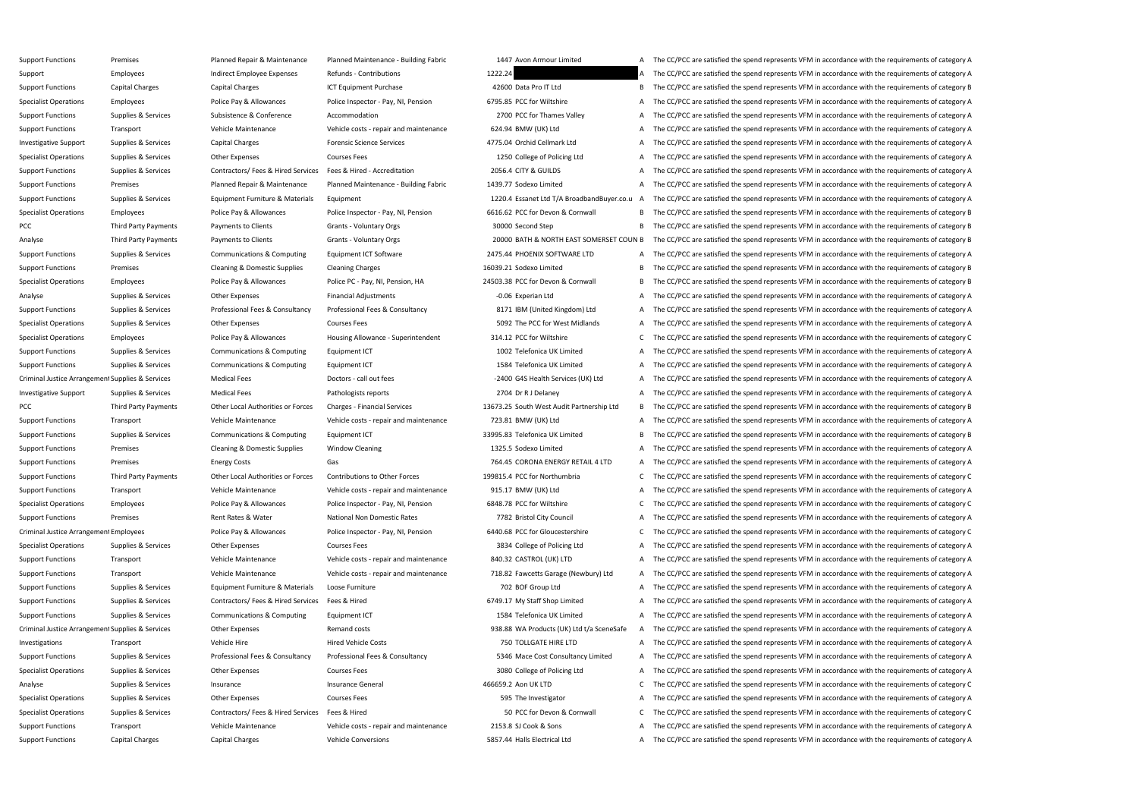Support Functions Premises Planned Repair & Maintenance Planned Maintenance - Building Fabric 1447 Avon Armour Limited A The CC/PCC are satisfied the spend represents VFM in accordance with the requirements of category A Support Employees Employee Expenses Refunds - Contributions 1222.24 A The CC/PCC are satisfied the spend represents VFM in accordance with the requirements of category A Support Functions Capital Charges Capital Charges ICT Equipment Purchase 42600 Data Pro IT Ltd B The CC/PCC are satisfied the spend represents VFM in accordance with the requirements of category B Specialist Operations Employees Police Pay & Allowances Police Inspector - Pay, NI, Pension 6795.85 PCC for Wiltshire A The CC/PCC are satisfied the spend represents VFM in accordance with the requirements of category A Support Functions Supplies & Services Subsistence & Conference Accommodation Accommodation 2700 PCC for Thames Valley A The CC/PCC are satisfied the spend represents VFM in accordance with the requirements of category A Support Functions Transport Transport Vehicle Maintenance Vehicle costs - repair and maintenance 624.94 BMW (UK) Ltd A The CC/PCC are satisfied the spend represents VFM in accordance with the requirements of category A Investigative Support Supplies & Services Capital Charges Forensic Science Services 4775.04 Orchid Cellmark Ltd A The CC/PCC are satisfied the spend represents VFM in accordance with the requirements of category A Specialist Operations Supplies & Services Other Expenses Courses Fees Courses Courses Fees 1250 College of Policing Ltd A The CC/PCC are satisfied the spend represents VFM in accordance with the requirements of category A Support Functions Supplies & Services Contractors/ Fees & Hired Services Fees & Hired - Accreditation 2056.4 CITY & GUILDS A The CC/PCC are satisfied the spend represents VFM in accordance with the requirements of category Support Functions Premises Planned Repair & Maintenance Planned Maintenance - Building Fabric 1439.77 Sodexo Limited A The CC/PCC are satisfied the spend represents VFM in accordance with the requirements of category A Support Functions Supplies & Services Equipment Furniture & Materials Equipment 1220.4 Essanet Ltd T/A BroadbandBuyer.co.u A The CC/PCC are satisfied the spend represents VFM in accordance with the requirements of category Specialist Operations Employees Employees Police Pay & Allowances Police Inspector - Pay, NI, Pension 6616.62 PCC for Devon & Cornwall B The CC/PCC are satisfied the spend represents VFM in accordance with the requirements PCC Third Party Payments Payments of Clients Grants - Voluntary Orgs 30000 Second Step B The CC/PCC are satisfied the spend represents VFM in accordance with the requirements of category B Analyse Third Party Payments Payments to Clients Grants - Voluntary Orgs 20000 BATH & NORTH EAST SOMERSET COUN B The CC/PCC are satisfied the spend represents VFM in accordance with the requirements of category B Support Functions Supplies & Services Communications & Computing Equipment ICT Software 2475.44 PHOENIX SOFTWARE LTD A The CC/PCC are satisfied the spend represents VFM in accordance with the requirements of category A Support Functions Premises Premises Cleaning & Domestic Supplies Cleaning Charges 16039.21 Sodexo Limited B The CC/PCC are satisfied the spend represents VFM in accordance with the requirements of category B Specialist Operations Employees Police Pay & Allowances Police PC - Pay, NI, Pension, HA 24503.38 PCC for Devon & Cornwall B The CC/PCC are satisfied the spend represents VFM in accordance with the requirements of category Analyse Supplies & Services Other Expenses Financial Adjustments -0.06 Experian Ltd A The CC/PCC are satisfied the spend represents VFM in accordance with the requirements of category A Support Functions Supplies & Services Professional Fees & Consultancy Professional Fees & Consultancy Professional Fees & Consultancy Brofessional Fees & Consultancy 8171 IBM (United Kingdom) Ltd A The CC/PCC are satisfied Specialist Operations Supplies & Services Other Expenses Courses Fees 5092 The PCC for West Midlands A The CC/PCC are satisfied the spend represents VFM in accordance with the requirements of category A Specialist Operations Employees Police Pay & Allowances Housing Allowance - Superintendent 314.12 PCC for Wiltshire C The CC/PCC are satisfied the spend represents VFM in accordance with the requirements of category C Support Functions Supplies & Services Communications & Computing Equipment ICT 1002 Telefonica UK Limited A The CC/PCC are satisfied the spend represents VFM in accordance with the requirements of category A Support Functions Supplies & Services Communications & Computing Equipment ICT 1584 Telefonica UK Limited A The CC/PCC are satisfied the spend represents VFM in accordance with the requirements of category A Criminal Justice Arrangement Supplies & Services Medical Fees Doctors - call out fees -2400 G4S Health Services (UK) Ltd A The CC/PCC are satisfied the spend represents VFM in accordance with the requirements of category A Investigative Support Supplies & Services Medical Fees Pathologists reports Pathologists reports 2704 Dr R J Delaney A The CC/PCC are satisfied the spend represents VFM in accordance with the requirements of category A Third Party Payments Other Local Authorities or Forces Charges - Financial Services 2013673.25 South West Audit Partnership Ltd B The CC/PCC are satisfied the spend represents VFM in accordance with the requirements of cat Support Functions Transport Vehicle Maintenance Vehicle costs - repair and maintenance 723.81 BMW (UK) Ltd A The CC/PCC are satisfied the spend represents VFM in accordance with the requirements of category A Support Functions Supplies & Services Communications & Computing Equipment ICT 33995.83 Telefonica UK Limited B The CC/PCC are satisfied the spend represents VFM in accordance with the requirements of category B Support Functions Premises Premises Cleaning & Domestic Supplies Window Cleaning 2001 2001 2025.5 Sodexo Limited A The CC/PCC are satisfied the spend represents VFM in accordance with the requirements of category A Support Functions Premises Energy Costs Gas Gas Gas The CORONA ENERGY RETAIL 4 LTD A The CC/PCC are satisfied the spend represents VFM in accordance with the requirements of category A Support Functions Third Party Payments Other Local Authorities or Forces Contributions to Other Forces 199815.4 PCC for Northumbria C The CC/PCC are satisfied the spend represents VFM in accordance with the requirements of Support Functions Transport Support Category A Vehicle Maintenance Vehicle costs - repair and maintenance 915.17 BMW (UK) Ltd A The CC/PCC are satisfied the spend represents VFM in accordance with the requirements of categ Specialist Operations Employees Police Pay & Allowances Police Inspector - Pay, NI, Pension 6848.78 PCC for Wiltshire C The CC/PCC are satisfied the spend represents VFM in accordance with the requirements of category C Support Functions Premises Premises Rent Rates Rent Rates Rent Rates National Non Domestic Rates 7782 Bristol City Council A The CC/PCC are satisfied the spend represents VFM in accordance with the requirements of category Criminal Justice Arrangement Employees Police Pay & Allowances Police Inspector - Pay, NI, Pension 6440.68 PCC for Gloucestershire C The CC/PCC are satisfied the spend represents VFM in accordance with the requirements of Specialist Operations Supplies & Services Other Expenses Courses Fees Sexteed A The CC/PCC are satisfied the spend represents VFM in accordance with the requirements of category A Support Functions Transport Vehicle Maintenance Vehicle Costs - repair and maintenance 840.32 CASTROL (UK) LTD A The CC/PCC are satisfied the spend represents VFM in accordance with the requirements of category A Support Functions Transport Transport Vehicle Maintenance Vehicle Costs - repair and maintenance 718.82 Fawcetts Garage (Newbury) Ltd A The CC/PCC are satisfied the spend represents VFM in accordance with the requirements Support Functions Supplies & Services Equipment Furniture & Materials Loose Furniture 100 Exp. 202 BOF Group Ltd A The CC/PCC are satisfied the spend represents VFM in accordance with the requirements of category A Support Functions Supplies & Services Contractors/ Fees & Hired Services Fees & Hired 6749.17 My Staff Shop Limited A The CC/PCC are satisfied the spend represents VFM in accordance with the requirements of category A Support Functions Supplies & Services Communications & Computing Equipment ICT 1584 Telefonica UK Limited A The CC/PCC are satisfied the spend represents VFM in accordance with the requirements of category A Criminal Justice Arrangement Supplies & Services Other Expenses Remand costs Remand costs 938.88 WA Products (UK) Ltd t/a SceneSafe A The CC/PCC are satisfied the spend represents VFM in accordance with the requirements of Investigations Transport Vehicle Hire Vehicle Hire Hired Vehicle Costs 750 TOLLGATE HIRE LTD A The CC/PCC are satisfied the spend represents VFM in accordance with the requirements of category A Support Functions Supplies & Services Professional Fees & Consultancy Professional Fees & Consultancy S346 Mace Cost Consultancy Limited A The CC/PCC are satisfied the spend represents VFM in accordance with the requiremen Specialist Operations Supplies & Services Other Expenses Courses Fees Supplies A The CC/PCC are satisfied the spend represents VFM in accordance with the requirements of category A Analyse Supplies & Services Insurance Supplies Analyse Insurance General Analyse and Multipup and Analyse C The CC/PCC are satisfied the spend represents VFM in accordance with the requirements of category C Specialist Operations Supplies & Services Other Expenses Courses Fees Services Courses Courses Fees 595 The Investigator A The CC/PCC are satisfied the spend represents VFM in accordance with the requirements of category A Specialist Operations Supplies & Services Contractors/ Fees & Hired Services Fees & Hired 50 PCC for Devon & Cornwall C The CC/PCC are satisfied the spend represents VFM in accordance with the requirements of category C Support Functions Transport Vehicle Maintenance Vehicle Costs - repair and maintenance 2153.8 SJ Cook & Sons A The CC/PCC are satisfied the spend represents VFM in accordance with the requirements of category A Support Functions Capital Charges Capital Charges Vehicle Conversions Vehicle Conversions 5857.44 Halls Electrical Ltd A The CC/PCC are satisfied the spend represents VFM in accordance with the requirements of category A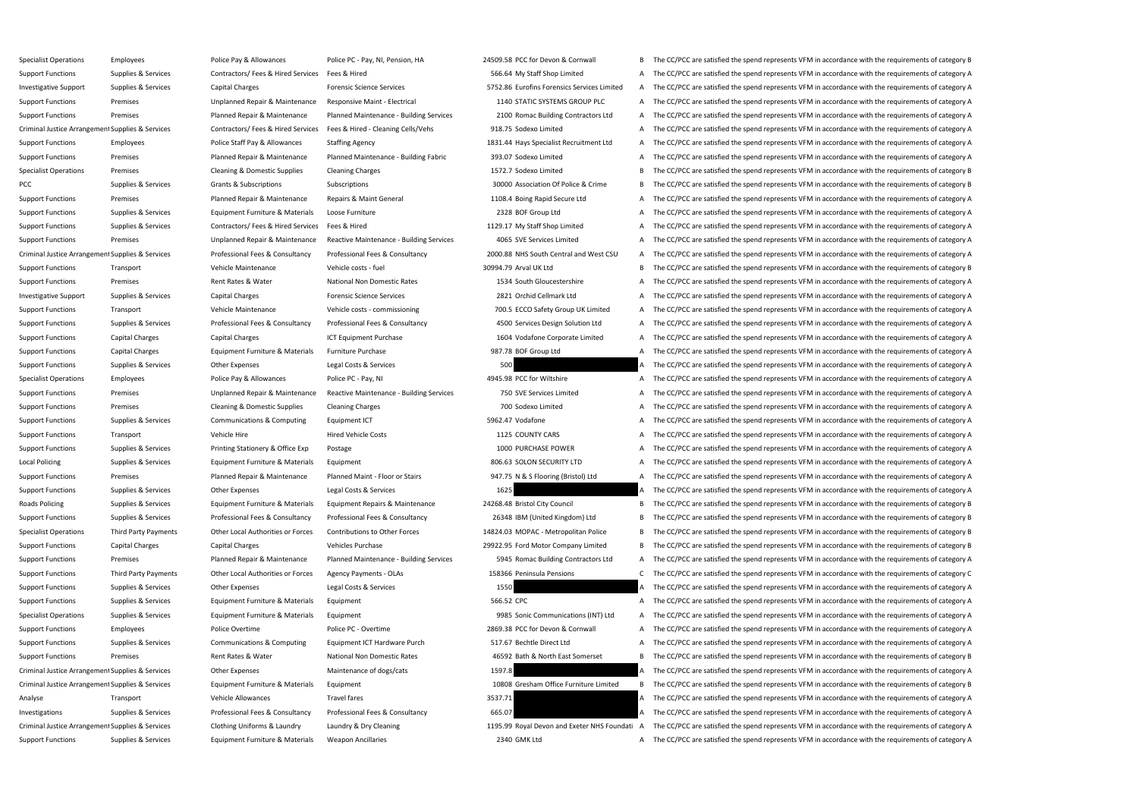Specialist Operations Employees Police Pay & Allowances Police PC - Pay, NI, Pension, HA 24509.58 PCC for Devon & Cornwall B The CC/PCC are satisfied the spend represents VFM in accordance with the requirements of category Support Functions Supplies & Services Contractors/ Fees & Hired Services Fees & Hired 566.64 My Staff Shop Limited A The CC/PCC are satisfied the spend represents VFM in accordance with the requirements of category A Investigative Support Supplies & Services Capital Charges Forensic Science Services Forensic Science Services ST52.86 Eurofins Forensics Services Limited A The CC/PCC are satisfied the spend represents VFM in accordance wi Support Functions Premises Premises Unplanned Repair & Maintenance Responsive Maint - Electrical 1140 STATIC SYSTEMS GROUP PLC A The CC/PCC are satisfied the spend represents VFM in accordance with the requirements of cate Support Functions Premises Planned Repair & Maintenance Planned Maintenance - Building Services 2100 Romac Building Contractors Ltd A The CC/PCC are satisfied the spend represents VFM in accordance with the requirements of Criminal Justice Arrangement Supplies & Services Contractors/ Fees & Hired Services Fees & Hired - Cleaning Cells/Vehs 918.75 Sodexo Limited A The CC/PCC are satisfied the spend represents VFM in accordance with the requir Support Functions Employees Police Staff Pay & Allowances Staffing Agency 1831.44 Hays Specialist Recruitment Ltd A The CC/PCC are satisfied the spend represents VFM in accordance with the requirements of category A Support Functions Premises Planned Repair & Maintenance Planned Maintenance - Building Fabric 393.07 Sodexo Limited A The CC/PCC are satisfied the spend represents VFM in accordance with the requirements of category A Specialist Operations Premises Cleaning & Domestic Supplies Cleaning Charges 1572.7 Sodexo Limited B The CC/PCC are satisfied the spend represents VFM in accordance with the requirements of category B PCC Supplies & Services Grants & Subscriptions Subscriptions Subscriptions Subscriptions Subscriptions Subscriptions Subscriptions 30000 Association Of Police & Crime B The CC/PCC are satisfied the spend represents VFM in Support Functions Premises Planned Repair & Maintenance Repairs & Maint General 1108.4 Boing Rapid Secure Ltd A The CC/PCC are satisfied the spend represents VFM in accordance with the requirements of category A Support Functions Supplies & Services Equipment Furniture & Materials Loose Furniture 2328 BOF Group Ltd A The CC/PCC are satisfied the spend represents VFM in accordance with the requirements of category A Support Functions Supplies & Services Contractors/ Fees & Hired Services Fees & Hired 1129.17 My Staff Shop Limited A The CC/PCC are satisfied the spend represents VFM in accordance with the requirements of category A Support Functions Premises Premises Unplanned Repair & Maintenance Reactive Maintenance - Building Services 4065 SVE Services Limited A The CC/PCC are satisfied the spend represents VFM in accordance with the requirements Criminal Justice Arrangement Supplies & Services Professional Fees & Consultancy Professional Fees & Consultancy Professional Fees & Consultancy 2000.88 NHS South Central and West CSU A The CC/PCC are satisfied the spend r Support Functions Transport Transport Vehicle Maintenance Vehicle costs - fuel 30994.79 Arval UK Ltd B The CC/PCC are satisfied the spend represents VFM in accordance with the requirements of category B Support Functions Premises Premises Rent Rates Rent Rates Rent Rates National Non Domestic Rates 1534 South Gloucestershire A The CC/PCC are satisfied the spend represents VFM in accordance with the requirements of categor Investigative Support Supplies & Services Capital Charges Forensic Science Services 2821 Orchid Cellmark Ltd A The CC/PCC are satisfied the spend represents VFM in accordance with the requirements of category A Support Functions Transport Transport Vehicle Maintenance Vehicle costs - commissioning 700.5 ECCO Safety Group UK Limited A The CC/PCC are satisfied the spend represents VFM in accordance with the requirements of category Support Functions Supplies & Services Professional Fees & Consultancy Professional Fees & Consultancy Professional Fees & Consultancy as a 4500 Services Design Solution Ltd A The CC/PCC are satisfied the spend represents V Support Functions Capital Charges Capital Charges ICT Equipment Purchase 1604 Vodafone Corporate Limited A The CC/PCC are satisfied the spend represents VFM in accordance with the requirements of category A Support Functions Capital Charges Equipment Furniture & Materials Furniture Purchase 987.78 BOF Group Ltd A The CC/PCC are satisfied the spend represents VFM in accordance with the requirements of category A Support Functions Supplies & Services Other Expenses Legal Costs & Services 500 500 A The CC/PCC are satisfied the spend represents VFM in accordance with the requirements of category A Specialist Operations Employees Police Pay & Allowances Police PC - Pay, NI 4945.98 PCC for Wiltshire A The CC/PCC are satisfied the spend represents VFM in accordance with the requirements of category A Support Functions Premises Premises Unplanned Repair & Maintenance Reactive Maintenance - Building Services 750 SVE Services Limited A The CC/PCC are satisfied the spend represents VFM in accordance with the requirements o Support Functions Premises Cleaning & Domestic Supplies Cleaning Charges 700 Sodexo Limited A The CC/PCC are satisfied the spend represents VFM in accordance with the requirements of category A Support Functions Supplies & Services Communications & Computing Equipment ICT 5962.47 Vodafone 5962.47 Vodafone A The CC/PCC are satisfied the spend represents VFM in accordance with the requirements of category A Support Functions Transport Vehicle Hire Vehicle Hire Hired Vehicle Costs 1125 COUNTY CARS A The CC/PCC are satisfied the spend represents VFM in accordance with the requirements of category A Support Functions Supplies & Services Printing Stationery & Office Exp Postage 1000 PURCHASE POWER A The CC/PCC are satisfied the spend represents VFM in accordance with the requirements of category A Local Policing Supplies & Services Equipment Furniture & Materials Equipment Supplies & Services Equipment Furniture & Materials Equipment Supplies & Services Equipment Supplies & Services Equipment Furniture & Materials E Support Functions Premises Planned Repair & Maintenance Planned Maint - Floor or Stairs 947.75 N & S Flooring (Bristol) Ltd A The CC/PCC are satisfied the spend represents VFM in accordance with the requirements of categor Support Functions Supplies & Services Other Expenses Legal Costs & Services 1625 1625 A The CC/PCC are satisfied the spend represents VFM in accordance with the requirements of category A Roads Policing Supplies & Services Equipment Furniture & Materials Equipment Repairs & Maintenance 24268.48 Bristol City Council B The CC/PCC are satisfied the spend represents VFM in accordance with the requirements of ca Support Functions Supplies & Services Professional Fees & Consultancy Professional Fees & Consultancy Professional Fees & Consultancy Professional Fees & Consultancy 26348 IBM (United Kingdom) Ltd B The CC/PCC are satisfie Specialist Operations Third Party Payments Other Local Authorities or Forces Contributions to Other Forces 14824.03 MOPAC - Metropolitan Police B The CC/PCC are satisfied the spend represents VFM in accordance with the req Support Functions Capital Charges Capital Charges Vehicles Purchase Vehicles Purchase 29922.95 Ford Motor Company Limited B The CC/PCC are satisfied the spend represents VFM in accordance with the requirements of category Support Functions Premises Planned Repair & Maintenance Planned Maintenance - Building Services 5945 Romac Building Contractors Ltd A The CC/PCC are satisfied the spend represents VFM in accordance with the requirements of Support Functions Third Party Payments Other Local Authorities or Forces Agency Payments - OLAs 158366 Peninsula Pensions C The CC/PCC are satisfied the spend represents VFM in accordance with the requirements of category Support Functions Supplies & Services Other Expenses Legal Costs & Services 1550 1550 A The CC/PCC are satisfied the spend represents VFM in accordance with the requirements of category A Support Functions Supplies & Services Equipment Furniture & Materials Equipment 566.52 CPC 566.52 CPC 566.52 CPC A The CC/PCC are satisfied the spend represents VFM in accordance with the requirements of category A Specialist Operations Supplies & Services Equipment Furniture & Materials Equipment 9985 Sonic Communications (INT) Ltd A The CC/PCC are satisfied the spend represents VFM in accordance with the requirements of category A Support Functions Employees Police Overtime Police PC - Overtime Police PC - Overtime 2869.38 PCC for Devon & Cornwall A The CC/PCC are satisfied the spend represents VFM in accordance with the requirements of category A Support Functions Supplies & Services Communications & Computing Equipment ICT Hardware Purch 517.67 Bechtle Direct Ltd A The CC/PCC are satisfied the spend represents VFM in accordance with the requirements of category A Support Functions Premises Premises Rent Rates & Water National Non Domestic Rates 46592 Bath & North East Somerset B The CC/PCC are satisfied the spend represents VFM in accordance with the requirements of category B Criminal Justice Arrangement Supplies & Services Other Expenses Maintenance of dogs/cats Maintenance of dogs/cats 1597.8 A The CC/PCC are satisfied the spend represents VFM in accordance with the requirements of category A Criminal Justice Arrangement Supplies & Services Equipment Furniture & Materials Equipment Supplies & Services Equipment Furniture & Materials Equipment Supplies Anterials Equipment 10808 Gresham Office Furniture Limited B Analyse Transport Transport Vehicle Allowances Travel fares Travel fares 3537.71 A The CC/PCC are satisfied the spend represents VFM in accordance with the requirements of category A Investigations Supplies & Services Professional Fees & Consultancy Professional Fees & Consultancy 665.07 A The CC/PCC are satisfied the spend represents VFM in accordance with the requirements of category A Criminal Justice Arrangement Supplies & Services Clothing Uniforms & Laundry Laundry & Dry Cleaning 1195.99 Royal Devon and Exeter NHS Foundati A The CC/PCC are satisfied the spend represents VFM in accordance with the req Support Functions Supplies & Services Equipment Furniture & Materials Weapon Ancillaries 2340 GMK Ltd A The CC/PCC are satisfied the spend represents VFM in accordance with the requirements of category A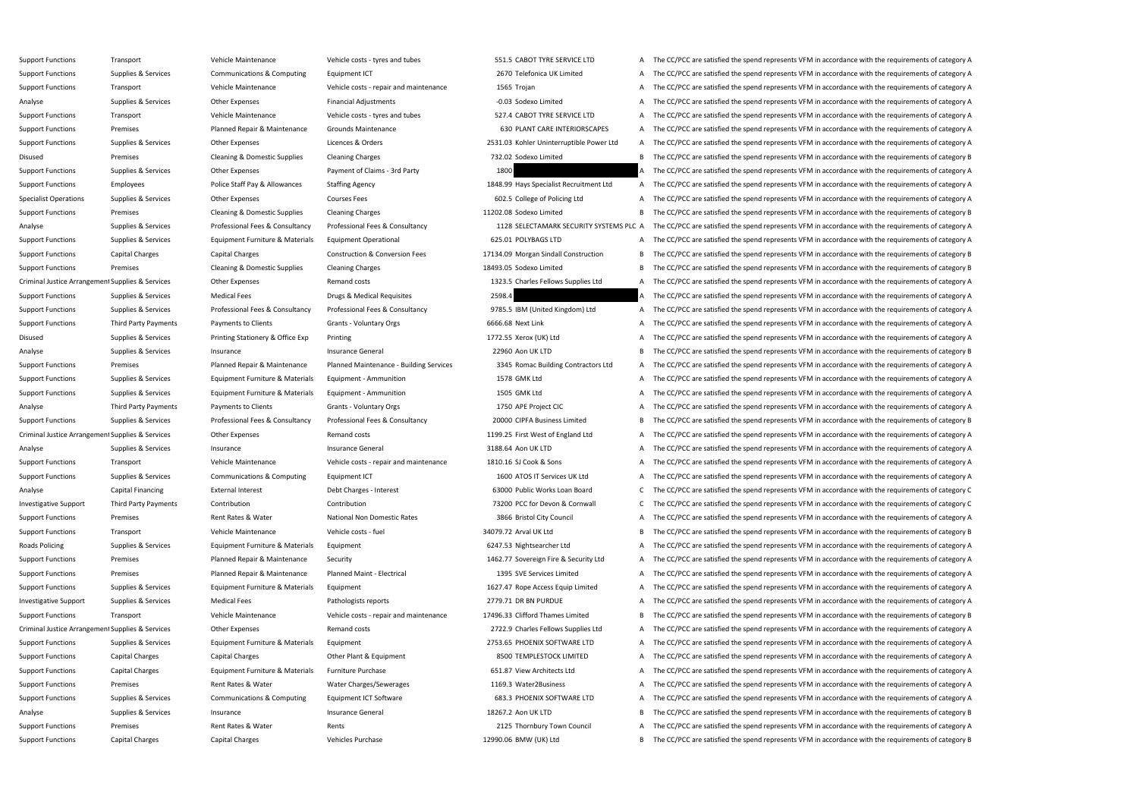Support Functions Premises Premises Rent Rates & Water Rents Rents Rents Rents 2125 Thornbury Town Council A The CC/PCC are satisfied the spend represents VFM in accordance with the requirements of category A

Support Functions Transport Vehicle Maintenance Vehicle costs - tyres and tubes 551.5 CABOT TYRE SERVICE LTD A The CC/PCC are satisfied the spend represents VFM in accordance with the requirements of category A Support Functions Supplies & Services Communications & Computing Equipment ICT 2670 Telefonica UK Limited A The CC/PCC are satisfied the spend represents VFM in accordance with the requirements of category A Support Functions Transport **Support Transport** Vehicle Maintenance Vehicle costs - repair and maintenance 1565 Trojan A The CC/PCC are satisfied the spend represents VFM in accordance with the requirements of category A Analyse Supplies & Services Other Expenses Financial Adjustments -0.03 Sodexo Limited A The CC/PCC are satisfied the spend represents VFM in accordance with the requirements of category A Support Functions Transport Support Transport Vehicle Maintenance Vehicle costs - tyres and tubes 527.4 CABOT TYRE SERVICE LTD A The CC/PCC are satisfied the spend represents VFM in accordance with the requirements of cate Support Functions Premises Planned Repair & Maintenance Grounds Maintenance 650 PLANT CARE INTERIORSCAPES A The CC/PCC are satisfied the spend represents VFM in accordance with the requirements of category A Support Functions Supplies & Services Other Expenses Licences & Orders 2531.03 Kohler Uninterruptible Power Ltd A The CC/PCC are satisfied the spend represents VFM in accordance with the requirements of category A Disused Premises Cleaning & Domestic Supplies Cleaning Charges 732.02 Sodexo Limited B The CC/PCC are satisfied the spend represents VFM in accordance with the requirements of category B Support Functions Supplies & Services Other Expenses Payment of Claims - 3rd Party 1800 A The CC/PCC are satisfied the spend represents VFM in accordance with the requirements of category A Support Functions Employees Police Staff Pay & Allowances Staffing Agency 1848.99 Hays Specialist Recruitment Ltd A The CC/PCC are satisfied the spend represents VFM in accordance with the requirements of category A Specialist Operations Supplies & Services Other Expenses Courses Fees 602.5 College of Policing Ltd A The CC/PCC are satisfied the spend represents VFM in accordance with the requirements of category A Support Functions Premises Premises Cleaning & Domestic Supplies Cleaning Charges 11202.08 Sodexo Limited B The CC/PCC are satisfied the spend represents VFM in accordance with the requirements of category B Analyse Supplies & Services Professional Fees & Consultancy Professional Fees & Consultancy Professional Fees & Consultancy Professional Fees & Consultancy 1128 SELECTAMARK SECURITY SYSTEMS PLC A The CC/PCC are satisfied t Support Functions Supplies & Services Equipment Furniture & Materials Equipment Operational 625.01 POLYBAGS LTD A The CC/PCC are satisfied the spend represents VFM in accordance with the requirements of category A Support Functions Capital Charges Capital Charges Construction & Conversion Fees 17134.09 Morgan Sindall Construction B The CC/PCC are satisfied the spend represents VFM in accordance with the requirements of category B Support Functions Premises Premises Cleaning & Domestic Supplies Cleaning Charges 18493.05 Sodexo Limited B The CC/PCC are satisfied the spend represents VFM in accordance with the requirements of category B Criminal Justice Arrangement Supplies & Services Other Expenses Remand costs Remand costs 1323.5 Charles Fellows Supplies Ltd A The CC/PCC are satisfied the spend represents VFM in accordance with the requirements of categ Support Functions Supplies & Services Medical Fees Drugs & Medical Requisites 2598.4 A The CC/PCC are satisfied the spend represents VFM in accordance with the requirements of category A Support Functions Supplies & Services Professional Fees & Consultancy Professional Fees & Consultancy Professional Fees & Consultancy Professional Fees & Consultancy 9785.5 IBM (United Kingdom) Ltd A The CC/PCC are satisfi Support Functions Third Party Payments Payments to Clients Grants - Voluntary Orgs 6666.68 Next Link A The CC/PCC are satisfied the spend represents VFM in accordance with the requirements of category A Disused Supplies & Services Printing Stationery & Office Exp Printing 1772.55 Xerox (UK) Ltd A The CC/PCC are satisfied the spend represents VFM in accordance with the requirements of category A Analyse Supplies & Services Insurance Supplies A Services Insurance General Insurance General 22960 Aon UK LTD B The CC/PCC are satisfied the spend represents VFM in accordance with the requirements of category B Support Functions Premises Planned Repair & Maintenance Planned Maintenance - Building Services 3345 Romac Building Contractors Ltd A The CC/PCC are satisfied the spend represents VFM in accordance with the requirements of Support Functions Supplies & Services Equipment Furniture & Materials Equipment - Ammunition 1578 GMK Ltd A The CC/PCC are satisfied the spend represents VFM in accordance with the requirements of category A Support Functions Supplies & Services Equipment Furniture & Materials Equipment - Ammunition 1505 GMK Ltd A The CC/PCC are satisfied the spend represents VFM in accordance with the requirements of category A Analyse Third Party Payments Payments to Clients Grants - Voluntary Orgs 1750 APE Project CIC A The CC/PCC are satisfied the spend represents VFM in accordance with the requirements of category A Support Functions Supplies & Services Professional Fees & Consultancy Professional Fees & Consultancy Professional Fees & Consultancy Professional Fees & Consultancy 20000 CIPFA Business Limited B The CC/PCC are satisfied Criminal Justice Arrangement Supplies & Services Other Expenses Remand costs Remand costs 1199.25 First West of England Ltd A The CC/PCC are satisfied the spend represents VFM in accordance with the requirements of categor Analyse Supplies & Services Insurance Supplies A Services Insurance General Insurance General and a Stategory A The CC/PCC are satisfied the spend represents VFM in accordance with the requirements of category A Support Functions Transport Vehicle Maintenance Vehicle Costs - repair and maintenance 1810.16 SJ Cook & Sons A The CC/PCC are satisfied the spend represents VFM in accordance with the requirements of category A Support Functions Supplies & Services Communications & Computing Equipment ICT 1600 ATOS IT Services UK Ltd A The CC/PCC are satisfied the spend represents VFM in accordance with the requirements of category A Analyse Capital Financing External Interest Debt Charges - Interest Debt Charges - Interest 63000 Public Works Loan Board C The CC/PCC are satisfied the spend represents VFM in accordance with the requirements of category Investigative Support Third Party Payments Contribution Contribution Contribution Contribution Contribution Contribution Contribution 2000 PCC for Devon & Connwall C The CC/PCC are satisfied the spend represents VFM in acc Support Functions Premises Premises Rent Rates Rent Rates Rent Rates National Non Domestic Rates 3866 Bristol City Council A The CC/PCC are satisfied the spend represents VFM in accordance with the requirements of category Support Functions Transport Transport Vehicle Maintenance Vehicle costs - fuel 34079.72 Arval UK Ltd B The CC/PCC are satisfied the spend represents VFM in accordance with the requirements of category B Roads Policing Supplies & Services Equipment Furniture & Materials Equipment 6247.53 Nightsearcher Ltd A The CC/PCC are satisfied the spend represents VFM in accordance with the requirements of category A Support Functions Premises Planned Repair & Maintenance Security Security 1462.77 Sovereign Fire & Security Ltd A The CC/PCC are satisfied the spend represents VFM in accordance with the requirements of category A Support Functions Premises Planned Repair & Maintenance Planned Maint - Electrical 1395 SVE Services Limited A The CC/PCC are satisfied the spend represents VFM in accordance with the requirements of category A Support Functions Supplies & Services Equipment Furniture & Materials Equipment 1627.47 Rope Access Equip Limited A The CC/PCC are satisfied the spend represents VFM in accordance with the requirements of category A Investigative Support Supplies & Services Medical Fees Pathologists reports Pathologists reports 2779.71 DR BN PURDUE A The CC/PCC are satisfied the spend represents VFM in accordance with the requirements of category A Support Functions Transport Vehicle Maintenance Vehicle costs - repair and maintenance 17496.33 Clifford Thames Limited B The CC/PCC are satisfied the spend represents VFM in accordance with the requirements of category B Criminal Justice Arrangement Supplies & Services Other Expenses Remand costs Remand costs 2722.9 Charles Fellows Supplies Ltd A The CC/PCC are satisfied the spend represents VFM in accordance with the requirements of categ Support Functions Supplies & Services Equipment Furniture & Materials Equipment exterials Equipment 2753.65 PHOENIX SOFTWARE LTD A The CC/PCC are satisfied the spend represents VFM in accordance with the requirements of ca Support Functions Capital Charges Capital Charges Other Plant & Equipment 8500 TEMPLESTOCK LIMITED A The CC/PCC are satisfied the spend represents VFM in accordance with the requirements of category A Support Functions Capital Charges Equipment Furniture & Materials Furniture Purchase 651.87 View Architects Ltd A The CC/PCC are satisfied the spend represents VFM in accordance with the requirements of category A Support Functions Premises Premises Rent Rates & Water Water Rates A Water Charges/Sewerages 1169.3 Water2Business A The CC/PCC are satisfied the spend represents VFM in accordance with the requirements of category A Support Functions Supplies & Services Communications & Computing Equipment ICT Software 683.3 PHOENIX SOFTWARE LTD A The CC/PCC are satisfied the spend represents VFM in accordance with the requirements of category A Analyse Supplies & Services Insurance Supplies Analyse Insurance General Insurance General 18267.2 Aon UK LTD B The CC/PCC are satisfied the spend represents VFM in accordance with the requirements of category B

- 
- Support Functions Capital Charges Capital Charges Vehicles Purchase Vehicles Purchase 12990.06 BMW (UK) Ltd B The CC/PCC are satisfied the spend represents VFM in accordance with the requirements of category B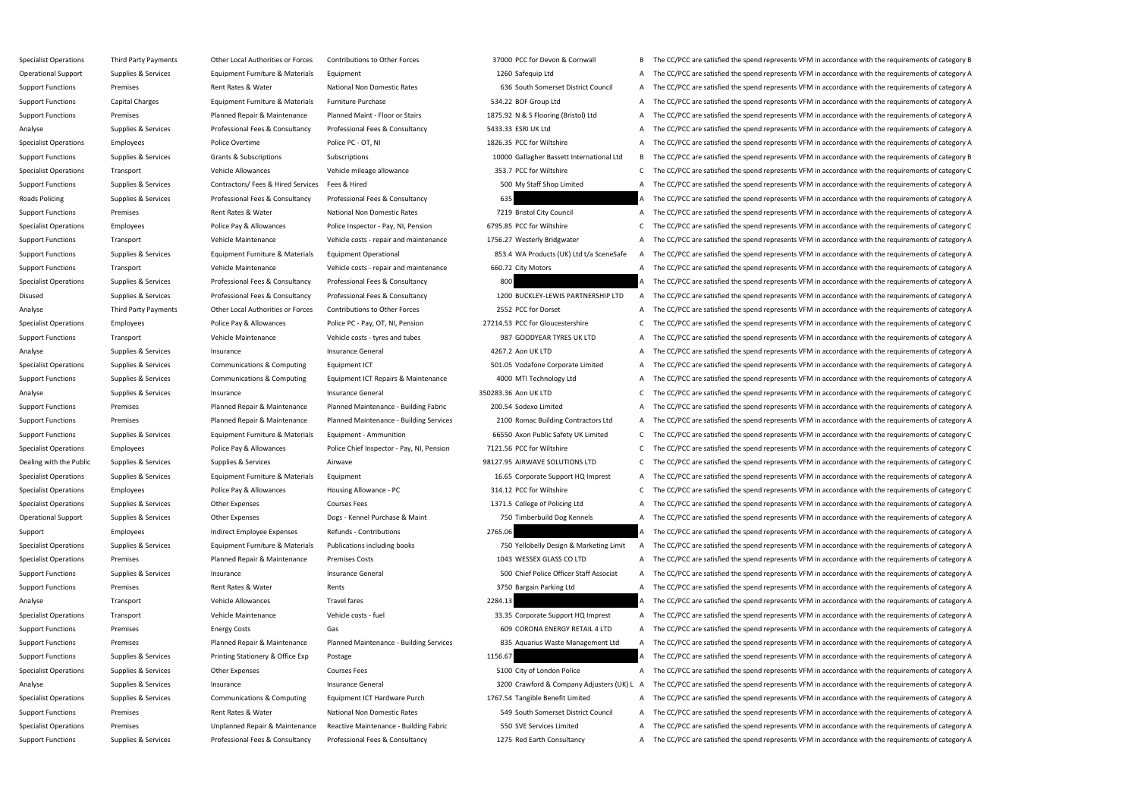Specialist Operations Third Party Payments Other Local Authorities or Forces Contributions to Other Forces 2000 PCC for Devon & Cornwall B The CC/PCC are satisfied the spend represents VFM in accordance with the requiremen Operational Support Supplies & Services Equipment Furniture & Materials Equipment 1260 Safequip Ltd A The CC/PCC are satisfied the spend represents VFM in accordance with the requirements of category A Support Functions Premises Premises Rent Rates & Water National Non Domestic Rates 636 South Somerset District Council A The CC/PCC are satisfied the spend represents VFM in accordance with the requirements of category A Support Functions Capital Charges Equipment Furniture & Materials Furniture Purchase 534.22 BOF Group Ltd A The CC/PCC are satisfied the spend represents VFM in accordance with the requirements of category A Support Functions Premises Planned Repair & Maintenance Planned Maint - Floor or Stairs 1875.92 N & S Flooring (Bristol) Ltd A The CC/PCC are satisfied the spend represents VFM in accordance with the requirements of catego Analyse Supplies & Services Professional Fees & Consultancy Professional Fees & Consultancy S433.33 ESRI UK Ltd A The CC/PCC are satisfied the spend represents VFM in accordance with the requirements of category A Specialist Operations Employees Police Overtime Police PC - OT, NI 206.35 PCC for Wiltshire A The CC/PCC are satisfied the spend represents VFM in accordance with the requirements of category A Support Functions Supplies & Services Grants & Subscriptions Subscriptions Subscriptions Subscriptions Subscriptions Subscriptions and Subscriptions and the commod allagher Bassett International Ltd B The CC/PCC are satisf Specialist Operations Transport Vehicle Allowances Vehicle mileage allowance 353.7 PCC for Wiltshire C The CC/PCC are satisfied the spend represents VFM in accordance with the requirements of category C Support Functions Supplies & Services Contractors/ Fees & Hired Services Fees & Hired 500 My Staff Shop Limited A The CC/PCC are satisfied the spend represents VFM in accordance with the requirements of category A Roads Policing Supplies & Services Professional Fees & Consultancy Professional Fees & Consultancy **Professional Fees & Consultancy** 635 A The CC/PCC are satisfied the spend represents VFM in accordance with the requiremen Support Functions Premises Premises Rent Rates Rent Rates Rent Rates National Non Domestic Rates 7219 Bristol City Council A The CC/PCC are satisfied the spend represents VFM in accordance with the requirements of category Specialist Operations Employees Police Pay & Allowances Police Inspector - Pay, NI, Pension 6795.85 PCC for Wiltshire C The CC/PCC are satisfied the spend represents VFM in accordance with the requirements of category C Support Functions Transport Vehicle Maintenance Vehicle Costs - repair and maintenance 1756.27 Westerly Bridgwater A The CC/PCC are satisfied the spend represents VFM in accordance with the requirements of category A Support Functions Supplies & Services Equipment Furniture & Materials Equipment Operational 853.4 WA Products (UK) Ltd t/a SceneSafe A The CC/PCC are satisfied the spend represents VFM in accordance with the requirements o Support Functions Transport Transport Vehicle Maintenance Vehicle costs - repair and maintenance 660.72 City Motors A The CC/PCC are satisfied the spend represents VFM in accordance with the requirements of category A Specialist Operations Supplies & Services Professional Fees & Consultancy Professional Fees & Consultancy Professional Fees & Consultancy 800 A The CC/PCC are satisfied the spend represents VFM in accordance with the requi Disused Supplies & Services Professional Fees & Consultancy Professional Fees & Consultancy Professional Fees & Consultancy Professional Fees & Consultancy 1200 BUCKLEY-LEWIS PARTNERSHIP LTD A The CC/PCC are satisfied the Analyse Third Party Payments Other Local Authorities or Forces Contributions to Other Forces 2552 PCC for Dorset A The CC/PCC are satisfied the spend represents VFM in accordance with the requirements of category A Specialist Operations Employees Police Pay & Allowances Police PC - Pay, OT, NI, Pension 27214.53 PCC for Gloucestershire C The CC/PCC are satisfied the spend represents VFM in accordance with the requirements of category Support Functions Transport Transport Vehicle Maintenance Vehicle costs - tyres and tubes 987 GOODYEAR TYRES UK LTD A The CC/PCC are satisfied the spend represents VFM in accordance with the requirements of category A Analyse Supplies & Services Insurance Supplies A Services Insurance General Insurance General A The CC/PCC are satisfied the spend represents VFM in accordance with the requirements of category A Specialist Operations Supplies & Services Communications & Computing Equipment ICT 501.05 Vodafone Corporate Limited A The CC/PCC are satisfied the spend represents VFM in accordance with the requirements of category A Support Functions Supplies & Services Communications & Computing Equipment ICT Repairs & Maintenance 4000 MTI Technology Ltd A The CC/PCC are satisfied the spend represents VFM in accordance with the requirements of catego Analyse Supplies & Services Insurance Supplies A Services Insurance General Insurance General S50283.36 Aon UK LTD C The CC/PCC are satisfied the spend represents VFM in accordance with the requirements of category C Support Functions Premises Planned Repair & Maintenance Planned Maintenance - Building Fabric 200.54 Sodexo Limited A The CC/PCC are satisfied the spend represents VFM in accordance with the requirements of category A Support Functions Premises Planned Repair & Maintenance Planned Maintenance - Building Services 2100 Romac Building Contractors Ltd A The CC/PCC are satisfied the spend represents VFM in accordance with the requirements of Support Functions Supplies & Services Equipment Furniture & Materials Equipment - Ammunition 66550 Axon Public Safety UK Limited C The CC/PCC are satisfied the spend represents VFM in accordance with the requirements of ca Specialist Operations Employees Employees Police Pay & Allowances Police Chief Inspector - Pay, NI, Pension 7121.56 PCC for Wiltshire C. The CC/PCC are satisfied the spend represents VFM in accordance with the requirements Dealing with the Public Supplies & Services Supplies & Services Airwave Airwave 98127.95 AIRWAVE SOLUTIONS LTD C The CC/PCC are satisfied the spend represents VFM in accordance with the requirements of category C Specialist Operations Supplies & Services Equipment Furniture & Materials Equipment 16.65 Corporate Support HQ Imprest A The CC/PCC are satisfied the spend represents VFM in accordance with the requirements of category A Specialist Operations Employees Police Pay & Allowances Housing Allowance - PC 314.12 PCC for Wiltshire C The CC/PCC are satisfied the spend represents VFM in accordance with the requirements of category C Specialist Operations Supplies & Services Other Expenses Courses Fees Courses Courses Fees 1371.5 College of Policing Ltd A The CC/PCC are satisfied the spend represents VFM in accordance with the requirements of category Operational Support Supplies & Services Other Expenses Dogs - Kennel Purchase & Maint 750 Timberbuild Dog Kennels A The CC/PCC are satisfied the spend represents VFM in accordance with the requirements of category A Support Employees Employee Expenses Refunds - Contributions 2765.06 A The CC/PCC are satisfied the spend represents VFM in accordance with the requirements of category A Specialist Operations Supplies & Services Equipment Furniture & Materials Publications including books 750 Yellobelly Design & Marketing Limit A The CC/PCC are satisfied the spend represents VFM in accordance with the requ Specialist Operations Premises Planned Repair & Maintenance Premises Costs 1043 WESSEX GLASS CO LTD A The CC/PCC are satisfied the spend represents VFM in accordance with the requirements of category A Support Functions Supplies & Services Insurance Support Functions Insurance General Insurance General Support Folice Officer Staff Associat A The CC/PCC are satisfied the spend represents VFM in accordance with the require Support Functions Premises Premises Rent Rates & Water Rents Rents Rents Rents and A The CC/PCC are satisfied the spend represents VFM in accordance with the requirements of category A Analyse Transport Transport Vehicle Allowances Travel fares Travel fares 2284.13 A The CC/PCC are satisfied the spend represents VFM in accordance with the requirements of category A Specialist Operations Transport Vehicle Maintenance Vehicle Costs - fuel 33.35 Corporate Support HQ Imprest A The CC/PCC are satisfied the spend represents VFM in accordance with the requirements of category A Support Functions Premises Premises Energy Costs Gas Gas Energy Costs Gas Energy Costs Gas Energy Costs Gas Energy Costs Gas Energy Costs Gas Energy Costs Gas Energy Costs Gasegory A The CC/PCC are satisfied the spend repr Support Functions Premises Planned Repair & Maintenance Planned Maintenance - Building Services 835 Aquarius Waste Management Ltd A The CC/PCC are satisfied the spend represents VFM in accordance with the requirements of c Support Functions Supplies & Services Printing Stationery & Office Exp Postage 1156.67 1156.67 A The CC/PCC are satisfied the spend represents VFM in accordance with the requirements of category A Specialist Operations Supplies & Services Other Expenses Courses Fees S100 City of London Police A The CC/PCC are satisfied the spend represents VFM in accordance with the requirements of category A Analyse Supplies & Services Insurance Supplies are a supplies are a support of the spend term of category Adjusters (UK) L A The CC/PCC are satisfied the spend represents VFM in accordance with the requirements of category Specialist Operations Supplies & Services Communications & Computing Equipment ICT Hardware Purch 1767.54 Tangible Benefit Limited A The CC/PCC are satisfied the spend represents VFM in accordance with the requirements of Support Functions Premises Premises Rent Rates & Water National Non Domestic Rates 549 South Somerset District Council A The CC/PCC are satisfied the spend represents VFM in accordance with the requirements of category A Specialist Operations Premises Premises Unplanned Repair & Maintenance Reactive Maintenance - Building Fabric 550 SVE Services Limited A The CC/PCC are satisfied the spend represents VFM in accordance with the requirements Support Functions Supplies & Services Professional Fees & Consultancy Professional Fees & Consultancy Professional Fees & Consultancy 1275 Red Earth Consultancy A The CC/PCC are satisfied the spend represents VFM in accord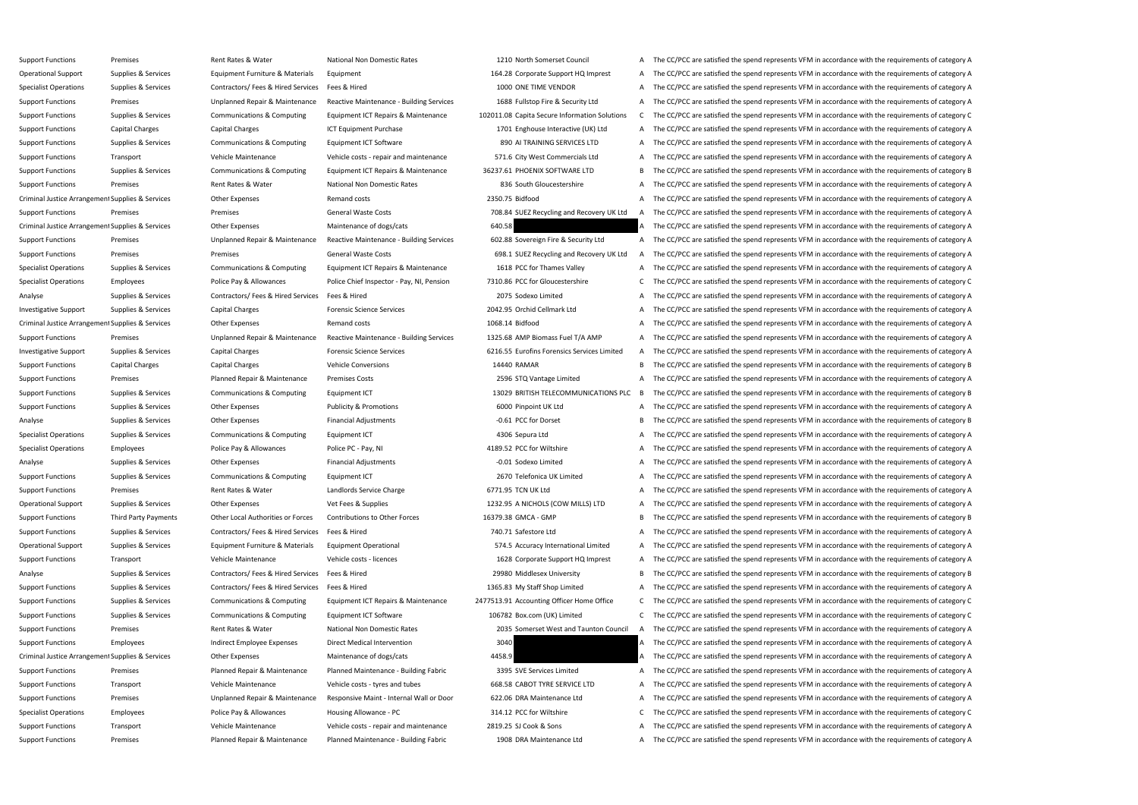Support Functions Premises Premises Rent Rates & Water National Non Domestic Rates 1210 North Somerset Council A The CC/PCC are satisfied the spend represents VFM in accordance with the requirements of category A Operational Support Supplies & Services Equipment Furniture & Materials Equipment 164.28 Corporate Support HQ Imprest A The CC/PCC are satisfied the spend represents VFM in accordance with the requirements of category A Specialist Operations Supplies & Services Contractors/ Fees & Hired Services Fees & Hired 1000 ONE TIME VENDOR A The CC/PCC are satisfied the spend represents VFM in accordance with the requirements of category A Support Functions Premises Premises Unplanned Repair & Maintenance Reactive Maintenance - Building Services 1688 Fullstop Fire & Security Ltd A The CC/PCC are satisfied the spend represents VFM in accordance with the requi Support Functions Supplies & Services Communications & Computing Equipment ICT Repairs & Maintenance 102011.08 Capita Secure Information Solutions C The CC/PCC are satisfied the spend represents VFM in accordance with the Support Functions Capital Charges Capital Charges ICT Equipment Purchase 1701 Enghouse Interactive (UK) Ltd A The CC/PCC are satisfied the spend represents VFM in accordance with the requirements of category A Support Functions Supplies & Services Communications & Computing Equipment ICT Software 890 AI TRAINING SERVICES LTD A The CC/PCC are satisfied the spend represents VFM in accordance with the requirements of category A Support Functions Transport Stransport Vehicle Maintenance Vehicle costs - repair and maintenance 571.6 City West Commercials Ltd A The CC/PCC are satisfied the spend represents VFM in accordance with the requirements of c Support Functions Supplies & Services Communications & Computing Equipment ICT Repairs & Maintenance 36237.61 PHOENIX SOFTWARE LTD B The CC/PCC are satisfied the spend represents VFM in accordance with the requirements of Support Functions Premises Premises Rent Rates Rent Rates National Non Domestic Rates 836 South Gloucestershire A The CC/PCC are satisfied the spend represents VFM in accordance with the requirements of category A Criminal Justice Arrangement Supplies & Services Other Expenses Remand costs Remand costs 2350.75 Bidfood A The CC/PCC are satisfied the spend represents VFM in accordance with the requirements of category A Support Functions Premises Premises Premises General Waste Costs 708.84 SUEZ Recycling and Recovery UK Ltd A The CC/PCC are satisfied the spend represents VFM in accordance with the requirements of category A Criminal Justice Arrangement Supplies & Services Other Expenses Maintenance of dogs/cats Maintenance of dogs/cats 640.58 A The CC/PCC are satisfied the spend represents VFM in accordance with the requirements of category A Support Functions Premises Premises Unplanned Repair & Maintenance Reactive Maintenance - Building Services 602.88 Sovereign Fire & Security Ltd A The CC/PCC are satisfied the spend represents VFM in accordance with the re Support Functions Premises Premises Premises General Waste Costs 698.1 SUEZ Recycling and Recovery UK Ltd A The CC/PCC are satisfied the spend represents VFM in accordance with the requirements of category A Specialist Operations Supplies & Services Communications & Computing Equipment ICT Repairs & Maintenance 1618 PCC for Thames Valley A The CC/PCC are satisfied the spend represents VFM in accordance with the requirements of Specialist Operations Employees Employees Police Pay & Allowances Police Chief Inspector - Pay, NI, Pension 7310.86 PCC for Gloucestershire C The CC/PCC are satisfied the spend represents VFM in accordance with the require Analyse Supplies & Services Contractors/ Fees & Hired Services Fees & Hired 2075 Sodexo Limited A The CC/PCC are satisfied the spend represents VFM in accordance with the requirements of category A Investigative Support Supplies & Services Capital Charges Forensic Science Services 2042.95 Orchid Cellmark Ltd A The CC/PCC are satisfied the spend represents VFM in accordance with the requirements of category A Criminal Justice Arrangement Supplies & Services Other Expenses Remand costs Remand costs 1068.14 Bidfood A The CC/PCC are satisfied the spend represents VFM in accordance with the requirements of category A Support Functions Premises Premises Unplanned Repair & Maintenance Reactive Maintenance - Building Services 1325.68 AMP Biomass Fuel T/A AMP A The CC/PCC are satisfied the spend represents VFM in accordance with the requir Investigative Support Supplies & Services Capital Charges Forensic Science Services Forensic Science Services 6216.55 Eurofins Forensics Services Limited A The CC/PCC are satisfied the spend represents VFM in accordance wi Support Functions Capital Charges Capital Charges Vehicle Conversions Vehicle Conversions 14440 RAMAR B The CC/PCC are satisfied the spend represents VFM in accordance with the requirements of category B Support Functions Premises Planned Repair & Maintenance Premises Costs 2596 STQ Vantage Limited A The CC/PCC are satisfied the spend represents VFM in accordance with the requirements of category A Support Functions Supplies & Services Communications & Computing Equipment ICT 13029 BRITISH TELECOMMUNICATIONS PLC B The CC/PCC are satisfied the spend represents VFM in accordance with the requirements of category B Support Functions Supplies & Services Other Expenses Publicity & Promotions 6000 Pinpoint UK Ltd A The CC/PCC are satisfied the spend represents VFM in accordance with the requirements of category A Analyse Supplies & Services Other Expenses Financial Adjustments -0.61 PCC for Dorset B The CC/PCC are satisfied the spend represents VFM in accordance with the requirements of category B Specialist Operations Supplies & Services Communications & Computing Equipment ICT 4306 Sepura Ltd A The CC/PCC are satisfied the spend represents VFM in accordance with the requirements of category A Specialist Operations Employees Police Pay & Allowances Police PC - Pay, NI 4189.52 PCC for Wiltshire A The CC/PCC are satisfied the spend represents VFM in accordance with the requirements of category A Analyse Supplies & Services Other Expenses Financial Adjustments -0.01 Sodexo Limited A The CC/PCC are satisfied the spend represents VFM in accordance with the requirements of category A Support Functions Supplies & Services Communications & Computing Equipment ICT 2670 Telefonica UK Limited A The CC/PCC are satisfied the spend represents VFM in accordance with the requirements of category A Support Functions Premises Premises Rent Rates & Water Landlords Service Charge 6771.95 TCN UK Ltd A The CC/PCC are satisfied the spend represents VFM in accordance with the requirements of category A Operational Support Supplies & Services Other Expenses Vet Fees & Supplies Vet Fees & Supplies 1232.95 A NICHOLS (COW MILLS) LTD A The CC/PCC are satisfied the spend represents VFM in accordance with the requirements of ca Support Functions Third Party Payments Other Local Authorities or Forces Contributions to Other Forces 16379.38 GMCA - GMP B The CC/PCC are satisfied the spend represents VFM in accordance with the requirements of category Support Functions Supplies & Services Contractors/ Fees & Hired Services Fees & Hired 740.71 Safestore Ltd A The CC/PCC are satisfied the spend represents VFM in accordance with the requirements of category A Operational Support Supplies & Services Equipment Furniture & Materials Equipment Operational Support over the STA.5 Accuracy International Limited A The CC/PCC are satisfied the spend represents VFM in accordance with the Support Functions Transport Transport Vehicle Maintenance Vehicle costs - licences 1628 Corporate Support HQ Imprest A The CC/PCC are satisfied the spend represents VFM in accordance with the requirements of category A Analyse Supplies & Services Contractors/ Fees & Hired Services Fees & Hired 29980 Middlesex University B The CC/PCC are satisfied the spend represents VFM in accordance with the requirements of category B Support Functions Supplies & Services Contractors/ Fees & Hired Services Fees & Hired 1365.83 My Staff Shop Limited A The CC/PCC are satisfied the spend represents VFM in accordance with the requirements of category A Support Functions Supplies & Services Communications & Computing Equipment ICT Repairs & Maintenance 2477513.91 Accounting Officer Home Office C The CC/PCC are satisfied the spend represents VFM in accordance with the requ Support Functions Supplies & Services Communications & Computing Equipment ICT Software 106782 Box.com (UK) Limited C The CC/PCC are satisfied the spend represents VFM in accordance with the requirements of category C Support Functions Premises Premises Rent Rates Rent Rates National Non Domestic Rates 2035 Somerset West and Taunton Council A The CC/PCC are satisfied the spend represents VFM in accordance with the requirements of catego Support Functions Employees Employee Expenses Direct Medical Intervention 3040 3040 A The CC/PCC are satisfied the spend represents VFM in accordance with the requirements of category A Criminal Justice Arrangement Supplies & Services Other Expenses Maintenance of dogs/cats 4458.9 A The CC/PCC are satisfied the spend represents VFM in accordance with the requirements of category A Support Functions Premises Planned Repair & Maintenance Planned Maintenance - Building Fabric 3395 SVE Services Limited A The CC/PCC are satisfied the spend represents VFM in accordance with the requirements of category A Support Functions Transport Vehicle Maintenance Vehicle costs - tyres and tubes 668.58 CABOT TYRE SERVICE LTD A The CC/PCC are satisfied the spend represents VFM in accordance with the requirements of category A Support Functions Premises Premises Unplanned Repair & Maintenance Responsive Maint - Internal Wall or Door 622.06 DRA Maintenance Ltd A The CC/PCC are satisfied the spend represents VFM in accordance with the requirements Specialist Operations Employees Police Pay & Allowances Housing Allowance - PC 314.12 PCC for Wiltshire C The CC/PCC are satisfied the spend represents VFM in accordance with the requirements of category C Support Functions Transport Vehicle Maintenance Vehicle Costs - repair and maintenance 2819.25 SJ Cook & Sons A The CC/PCC are satisfied the spend represents VFM in accordance with the requirements of category A Support Functions Premises Planned Repair & Maintenance Planned Maintenance - Building Fabric 1908 DRA Maintenance Ltd A The CC/PCC are satisfied the spend represents VFM in accordance with the requirements of category A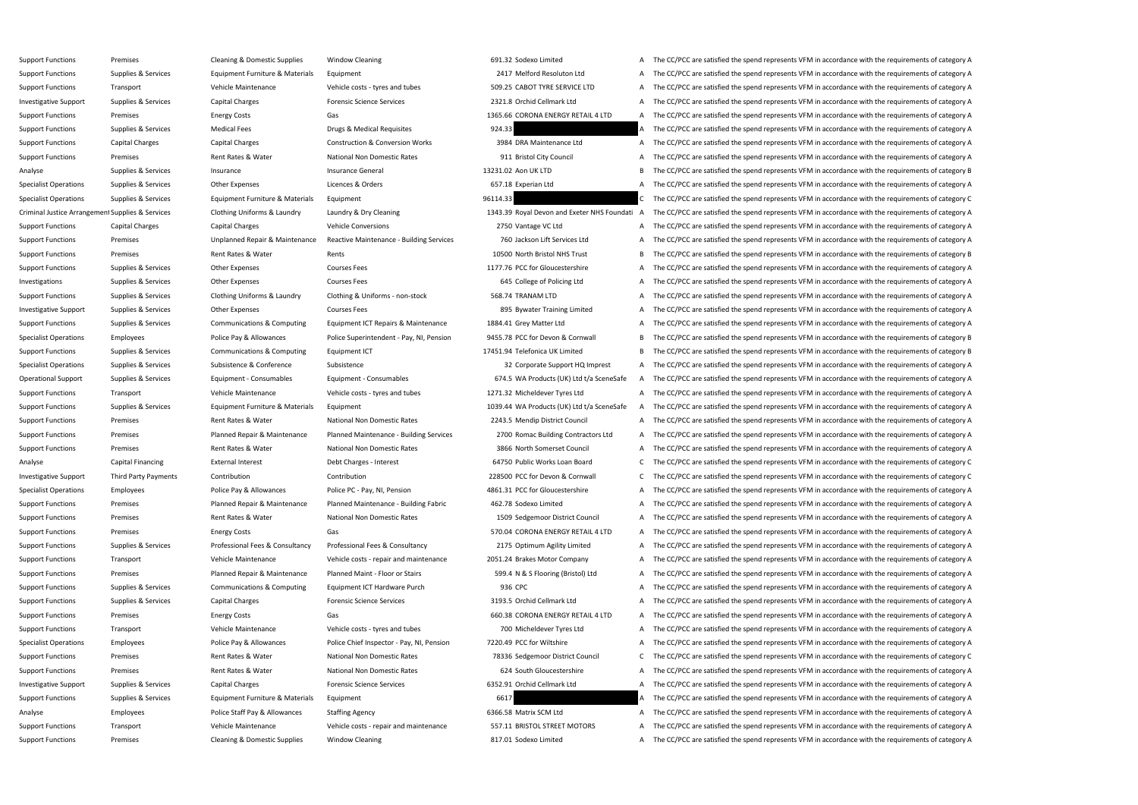Support Functions Premises Premises Cleaning & Domestic Supplies Window Cleaning 691.32 Sodexo Limited A The CC/PCC are satisfied the spend represents VFM in accordance with the requirements of category A Support Functions Supplies & Services Equipment Furniture & Materials Equipment 2417 Melford Resoluton Ltd A The CC/PCC are satisfied the spend represents VFM in accordance with the requirements of category A Support Functions Transport Vehicle Maintenance Vehicle costs - tyres and tubes 509.25 CABOT TYRE SERVICE LTD A The CC/PCC are satisfied the spend represents VFM in accordance with the requirements of category A Investigative Support Supplies & Services Capital Charges Forensic Science Services 2321.8 Orchid Cellmark Ltd A The CC/PCC are satisfied the spend represents VFM in accordance with the requirements of category A Support Functions Premises Energy Costs Gas Gas Sea Note of the CORONA ENERGY RETAIL 4 LTD A The CC/PCC are satisfied the spend represents VFM in accordance with the requirements of category A Support Functions Supplies & Services Medical Fees Drugs & Medical Requisites 924.33 A The CC/PCC are satisfied the spend represents VFM in accordance with the requirements of category A Support Functions Capital Charges Capital Charges Construction & Conversion Works 3984 DRA Maintenance Ltd A The CC/PCC are satisfied the spend represents VFM in accordance with the requirements of category A Support Functions Premises Premises Rent Rates Rubber Rates National Non Domestic Rates 911 Bristol City Council A The CC/PCC are satisfied the spend represents VFM in accordance with the requirements of category A Analyse Supplies & Services Insurance Supplies A Services Insurance General Insurance General 13231.02 Aon UK LTD B The CC/PCC are satisfied the spend represents VFM in accordance with the requirements of category B Specialist Operations Supplies & Services Other Expenses Licences & Orders 657.18 Experian Ltd A The CC/PCC are satisfied the spend represents VFM in accordance with the requirements of category A Specialist Operations Supplies & Services Equipment Furniture & Materials Equipment 96114.33 Services and Furniture of category C The CC/PCC are satisfied the spend represents VFM in accordance with the requirements of cat Criminal Justice Arrangement Supplies & Services Clothing Uniforms & Laundry Laundry & Dry Cleaning 1343.39 Royal Devon and Exeter NHS Foundati A The CC/PCC are satisfied the spend represents VFM in accordance with the req Support Functions Capital Charges Capital Charges Vehicle Conversions 2750 Vantage VC Ltd A The CC/PCC are satisfied the spend represents VFM in accordance with the requirements of category A Support Functions Premises Premises Unplanned Repair & Maintenance Reactive Maintenance - Building Services 760 Jackson Lift Services Ltd A The CC/PCC are satisfied the spend represents VFM in accordance with the requireme Support Functions Premises Premises Rent Rates & Water Rents Rents Rents Rents Rents Rents Rent Rates A Water Rents Rents Rents Rents Rents A North Bristol NHS Trust B The CC/PCC are satisfied the spend represents VFM in a Support Functions Supplies & Services Other Expenses Courses Fees Courses Courses Fees 1177.76 PCC for Gloucestershire A The CC/PCC are satisfied the spend represents VFM in accordance with the requirements of category A Investigations Supplies & Services Other Expenses Courses Fees 645 College of Policing Ltd A The CC/PCC are satisfied the spend represents VFM in accordance with the requirements of category A Support Functions Supplies & Services Clothing Uniforms & Laundry Clothing & Uniforms - non-stock 568.74 TRANAM LTD A The CC/PCC are satisfied the spend represents VFM in accordance with the requirements of category A Investigative Support Supplies & Services Other Expenses Courses Fees Services Courses Fees 895 Bywater Training Limited A The CC/PCC are satisfied the spend represents VFM in accordance with the requirements of category A Support Functions Supplies & Services Communications & Computing Equipment ICT Repairs & Maintenance 1884.41 Grey Matter Ltd A The CC/PCC are satisfied the spend represents VFM in accordance with the requirements of catego Specialist Operations Employees Police Pay & Allowances Police Superintendent - Pay, NI, Pension 9455.78 PCC for Devon & Cornwall B The CC/PCC are satisfied the spend represents VFM in accordance with the requirements of c Support Functions Supplies & Services Communications & Computing Equipment ICT 17451.94 Telefonica UK Limited B The CC/PCC are satisfied the spend represents VFM in accordance with the requirements of category B Specialist Operations Supplies & Services Subsistence & Conference Subsistence Subsistence Support HQ Imprest A The CC/PCC are satisfied the spend represents VFM in accordance with the requirements of category A Operational Support Supplies & Services Equipment - Consumables Equipment - Consumables Equipment - Consumables Equipment - Consumables Face and Figure Consumables Capacase A The CC/PCC are satisfied the spend represents V Support Functions Transport Vehicle Maintenance Vehicle costs - tyres and tubes 1271.32 Micheldever Tyres Ltd A The CC/PCC are satisfied the spend represents VFM in accordance with the requirements of category A Support Functions Supplies & Services Equipment Furniture & Materials Equipment 1039.44 WA Products (UK) Ltd t/a SceneSafe A The CC/PCC are satisfied the spend represents VFM in accordance with the requirements of category Support Functions Premises Premises Rent Rates & Water National Non Domestic Rates 2243.5 Mendip District Council A The CC/PCC are satisfied the spend represents VFM in accordance with the requirements of category A Support Functions Premises Planned Repair & Maintenance Planned Maintenance - Building Services 2700 Romac Building Contractors Ltd A The CC/PCC are satisfied the spend represents VFM in accordance with the requirements of Support Functions Premises Premises Rent Rates Rent Rates Rent Rates National Non Domestic Rates 3866 North Somerset Council A The CC/PCC are satisfied the spend represents VFM in accordance with the requirements of catego Analyse Capital Financing External Interest Debt Charges - Interest Debt Charges - Interest 64750 Public Works Loan Board C The CC/PCC are satisfied the spend represents VFM in accordance with the requirements of category Investigative Support Third Party Payments Contribution Contribution Contribution Contribution 228500 PCC for Devon & Cornwall C The CC/PCC are satisfied the spend represents VFM in accordance with the requirements of cate Specialist Operations Employees Police Pay & Allowances Police PC - Pay, NI, Pension 4861.31 PCC for Gloucestershire A The CC/PCC are satisfied the spend represents VFM in accordance with the requirements of category A Support Functions Premises Planned Repair & Maintenance Planned Maintenance - Building Fabric 462.78 Sodexo Limited A The CC/PCC are satisfied the spend represents VFM in accordance with the requirements of category A Support Functions Premises Premises Rent Rates Rent Rates National Non Domestic Rates 1509 Sedgemoor District Council A The CC/PCC are satisfied the spend represents VFM in accordance with the requirements of category A Support Functions Premises Energy Costs Energy Costs Gas Gas STO.04 CORONA ENERGY RETAIL 4 LTD A The CC/PCC are satisfied the spend represents VFM in accordance with the requirements of category A Support Functions Supplies & Services Professional Fees & Consultancy Professional Fees & Consultancy Professional Fees & Consultancy 2175 Optimum Agility Limited A The CC/PCC are satisfied the spend represents VFM in acco Support Functions Transport Vehicle Maintenance Vehicle Costs - repair and maintenance 2051.24 Brakes Motor Company A The CC/PCC are satisfied the spend represents VFM in accordance with the requirements of category A Support Functions Premises Planned Repair & Maintenance Planned Maint - Floor or Stairs 599.4 N & S Flooring (Bristol) Ltd A The CC/PCC are satisfied the spend represents VFM in accordance with the requirements of category Support Functions Supplies & Services Communications & Computing Equipment ICT Hardware Purch 936 CPC 936 CPC A The CC/PCC are satisfied the spend represents VFM in accordance with the requirements of category A Support Functions Supplies & Services Capital Charges Forensic Science Services 3193.5 Orchid Cellmark Ltd A The CC/PCC are satisfied the spend represents VFM in accordance with the requirements of category A Support Functions Premises Energy Costs Gas Gas Gas Senergy Costs Gas Senergy Costs Gas Senergy Costs Gas Senergy Costs Gas Senergy A The CC/PCC are satisfied the spend represents VFM in accordance with the requirements of Support Functions Transport Transport Vehicle Maintenance Vehicle costs - tyres and tubes 700 Micheldever Tyres Ltd A The CC/PCC are satisfied the spend represents VFM in accordance with the requirements of category A Specialist Operations Employees Police Pay & Allowances Police Chief Inspector - Pay, NI, Pension 7220.49 PCC for Wiltshire A The CC/PCC are satisfied the spend represents VFM in accordance with the requirements of categor Support Functions Premises Premises Rent Rates & Water National Non Domestic Rates 78336 Sedgemoor District Council C The CC/PCC are satisfied the spend represents VFM in accordance with the requirements of category C Support Functions Premises Premises Rent Rates Rent Rates Rent Rates National Non Domestic Rates 624 South Gloucestershire A The CC/PCC are satisfied the spend represents VFM in accordance with the requirements of category Investigative Support Supplies & Services Capital Charges Forensic Science Services 6352.91 Orchid Cellmark Ltd A The CC/PCC are satisfied the spend represents VFM in accordance with the requirements of category A Support Functions Supplies & Services Equipment Furniture & Materials Equipment 6617 6617 6617 A The CC/PCC are satisfied the spend represents VFM in accordance with the requirements of category A Analyse **Employees** Police Staff Pay & Allowances Staffing Agency 6366.58 Matrix SCM Ltd A The CC/PCC are satisfied the spend represents VFM in accordance with the requirements of category A Support Functions Transport Vehicle Maintenance Vehicle Costs - repair and maintenance 557.11 BRISTOL STREET MOTORS A The CC/PCC are satisfied the spend represents VFM in accordance with the requirements of category A Support Functions Premises Premises Cleaning & Domestic Supplies Window Cleaning Vindow Cleaning A The CC/PCC are satisfied the spend represents VFM in accordance with the requirements of category A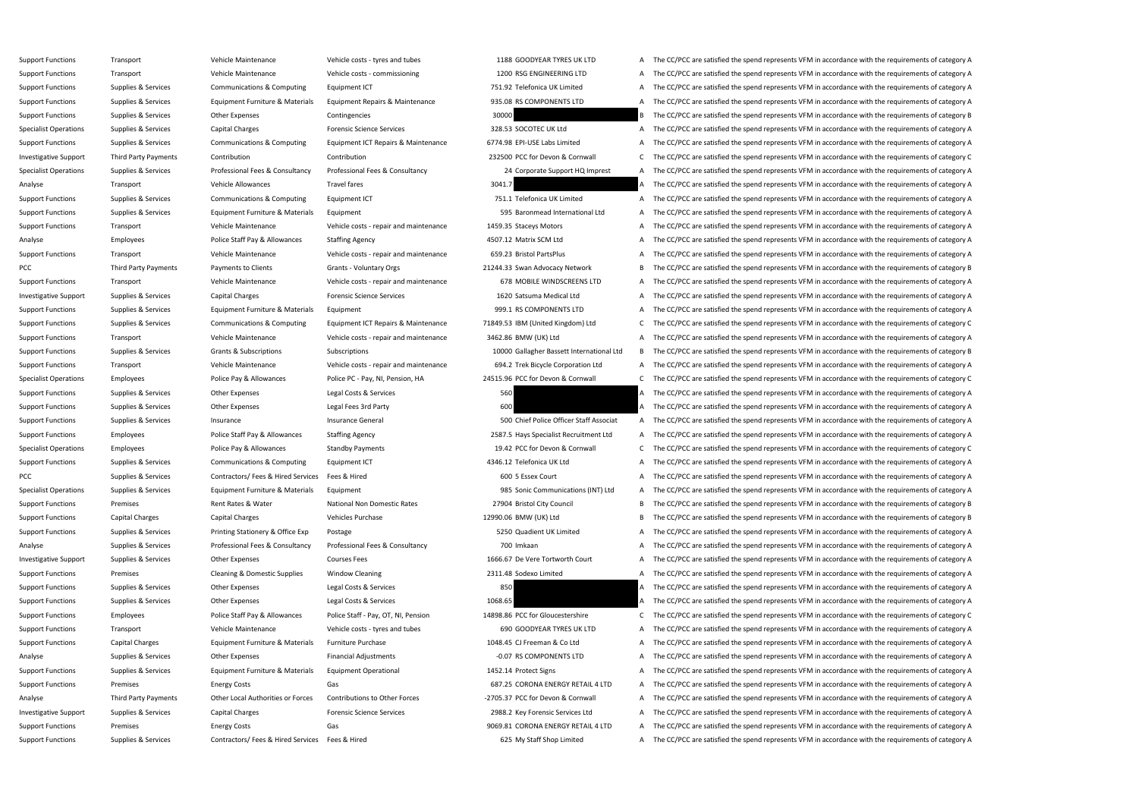Support Functions Transport Vehicle Maintenance Vehicle costs - tyres and tubes 1188 GOODYEAR TYRES UK LTD A The CC/PCC are satisfied the spend represents VFM in accordance with the requirements of category A Support Functions Transport Transport Vehicle Maintenance Vehicle costs - commissioning 1200 RSG ENGINEERING LTD A The CC/PCC are satisfied the spend represents VFM in accordance with the requirements of category A Support Functions Supplies & Services Communications & Computing Equipment ICT 751.92 Telefonica UK Limited A The CC/PCC are satisfied the spend represents VFM in accordance with the requirements of category A Support Functions Supplies & Services Equipment Furniture & Materials Equipment Repairs & Maintenance 935.08 RS COMPONENTS LTD A The CC/PCC are satisfied the spend represents VFM in accordance with the requirements of cate Support Functions Supplies & Services Other Expenses Contingencies Contingencies 30000 30000 B The CC/PCC are satisfied the spend represents VFM in accordance with the requirements of category B Specialist Operations Supplies & Services Capital Charges Forensic Science Services 328.53 SOCOTEC UK Ltd A The CC/PCC are satisfied the spend represents VFM in accordance with the requirements of category A Support Functions Supplies & Services Communications & Computing Equipment ICT Repairs & Maintenance 6774.98 EPI-USE Labs Limited A The CC/PCC are satisfied the spend represents VFM in accordance with the requirements of c Investigative Support Third Party Payments Contribution Contribution Contribution Contribution 232500 PCC for Devon & Cornwall C The CC/PCC are satisfied the spend represents VFM in accordance with the requirements of cate Specialist Operations Supplies & Services Professional Fees & Consultancy Professional Fees & Consultancy Professional Fees & Consultancy Professional Fees & Consultancy 24 Corporate Support HQ Imprest A The CC/PCC are sat Analyse Transport Transport Vehicle Allowances Travel fares Travel fares 3041.7 A The CC/PCC are satisfied the spend represents VFM in accordance with the requirements of category A Support Functions Supplies & Services Communications & Computing Equipment ICT 751.1 Telefonica UK Limited A The CC/PCC are satisfied the spend represents VFM in accordance with the requirements of category A Support Functions Supplies & Services Equipment Furniture & Materials Equipment 595 Baronmead International Ltd A The CC/PCC are satisfied the spend represents VFM in accordance with the requirements of category A Support Functions Transport Transport Vehicle Maintenance Vehicle costs - repair and maintenance 1459.35 Staceys Motors A The CC/PCC are satisfied the spend represents VFM in accordance with the requirements of category A Analyse Police Staff Pay & Allowances Staffing Agency 4507.12 Matrix SCM Ltd A The CC/PCC are satisfied the spend represents VFM in accordance with the requirements of category A Support Functions Transport Vehicle Maintenance Vehicle Costs - repair and maintenance 659.23 Bristol PartsPlus A The CC/PCC are satisfied the spend represents VFM in accordance with the requirements of category A PCC Third Party Payments Payments to Clients Grants - Voluntary Orgs 21244.33 Swan Advocacy Network B The CC/PCC are satisfied the spend represents VFM in accordance with the requirements of category B Support Functions Transport Vehicle Maintenance Vehicle Costs - repair and maintenance 678 MOBILE WINDSCREENS LTD A The CC/PCC are satisfied the spend represents VFM in accordance with the requirements of category A Investigative Support Supplies & Services Capital Charges Forensic Science Services 1620 Satsuma Medical Ltd A The CC/PCC are satisfied the spend represents VFM in accordance with the requirements of category A Support Functions Supplies & Services Equipment Furniture & Materials Equipment 999.1 RS COMPONENTS LTD A The CC/PCC are satisfied the spend represents VFM in accordance with the requirements of category A Support Functions Supplies & Services Communications & Computing Equipment ICT Repairs & Maintenance 71849.53 IBM (United Kingdom) Ltd C The CC/PCC are satisfied the spend represents VFM in accordance with the requirements Support Functions Transport Vehicle Maintenance Vehicle Costs - repair and maintenance 3462.86 BMW (UK) Ltd A The CC/PCC are satisfied the spend represents VFM in accordance with the requirements of category A Support Functions Supplies & Services Grants & Subscriptions Subscriptions Subscriptions Subscriptions Subscriptions Subscriptions and the common and the CC/PCC are satisfied the spend represents VFM in accordance with the Support Functions Transport Transport Vehicle Maintenance Vehicle costs - repair and maintenance 694.2 Trek Bicycle Corporation Ltd A The CC/PCC are satisfied the spend represents VFM in accordance with the requirements of Specialist Operations Employees Police Pay & Allowances Police PC - Pay, NI, Pension, HA 24515.96 PCC for Devon & Cornwall C The CC/PCC are satisfied the spend represents VFM in accordance with the requirements of category Support Functions Supplies & Services Other Expenses Legal Costs & Services 560 A The CC/PCC are satisfied the spend represents VFM in accordance with the requirements of category A Support Functions Supplies & Services Other Expenses Legal Fees 3rd Party 600 600 A The CC/PCC are satisfied the spend represents VFM in accordance with the requirements of category A Support Functions Supplies & Services Insurance Support Functions Insurance General Insurance General SOO Chief Police Officer Staff Associat A The CC/PCC are satisfied the spend represents VFM in accordance with the requi Support Functions Employees Police Staff Pay & Allowances Staffing Agency 2587.5 Hays Specialist Recruitment Ltd A The CC/PCC are satisfied the spend represents VFM in accordance with the requirements of category A Specialist Operations Employees Police Pay & Allowances Standby Payments Standby Payments 19.42 PCC for Devon & Cornwall C The CC/PCC are satisfied the spend represents VFM in accordance with the requirements of category C Support Functions Supplies & Services Communications & Computing Equipment ICT 4346.12 Telefonica UK Ltd A The CC/PCC are satisfied the spend represents VFM in accordance with the requirements of category A PCC Supplies & Services Contractors/ Fees & Hired Services Fees & Hired 600 5 Essex Court A The CC/PCC are satisfied the spend represents VFM in accordance with the requirements of category A Specialist Operations Supplies & Services Equipment Furniture & Materials Equipment 985 Sonic Communications (INT) Ltd A The CC/PCC are satisfied the spend represents VFM in accordance with the requirements of category A Support Functions Premises Premises Rent Rates & Water National Non Domestic Rates 27904 Bristol City Council B The CC/PCC are satisfied the spend represents VFM in accordance with the requirements of category B Support Functions Capital Charges Capital Charges Vehicles Purchase Vehicles Purchase 12990.06 BMW (UK) Ltd B The CC/PCC are satisfied the spend represents VFM in accordance with the requirements of category B Support Functions Supplies & Services Printing Stationery & Office Exp Postage Protage 5250 Quadient UK Limited A The CC/PCC are satisfied the spend represents VFM in accordance with the requirements of category A Analyse Supplies & Services Professional Fees & Consultancy Professional Fees & Consultancy 700 Imkaan A The CC/PCC are satisfied the spend represents VFM in accordance with the requirements of category A Investigative Support Supplies & Services Other Expenses Courses Fees 1666.67 De Vere Tortworth Court A The CC/PCC are satisfied the spend represents VFM in accordance with the requirements of category A Support Functions Premises Premises Cleaning & Domestic Supplies Window Cleaning 2311.48 Sodexo Limited A The CC/PCC are satisfied the spend represents VFM in accordance with the requirements of category A Support Functions Supplies & Services Other Expenses Legal Costs & Services 850 850 A The CC/PCC are satisfied the spend represents VFM in accordance with the requirements of category A Support Functions Supplies & Services Other Expenses Legal Costs & Services 1068.65 A The CC/PCC are satisfied the spend represents VFM in accordance with the requirements of category A Support Functions Employees Employees Police Staff Pay & Allowances Police Staff - Pay, OT, NI, Pension 14898.86 PCC for Gloucestershire C The CC/PCC are satisfied the spend represents VFM in accordance with the requiremen Support Functions Transport Transport Vehicle Maintenance Vehicle costs - tyres and tubes 690 GOODYEAR TYRES UK LTD A The CC/PCC are satisfied the spend represents VFM in accordance with the requirements of category A Support Functions Capital Charges Equipment Furniture & Materials Furniture Purchase 1048.45 CJ Freeman & Co Ltd A The CC/PCC are satisfied the spend represents VFM in accordance with the requirements of category A Analyse Supplies & Services Other Expenses Financial Adjustments -0.07 RS COMPONENTS LTD A The CC/PCC are satisfied the spend represents VFM in accordance with the requirements of category A Support Functions Supplies & Services Equipment Furniture & Materials Equipment Operational 1452.14 Protect Signs A The CC/PCC are satisfied the spend represents VFM in accordance with the requirements of category A Support Functions Premises Energy Costs Gas Gas Gas Service Corona ENERGY RETAIL 4 LTD A The CC/PCC are satisfied the spend represents VFM in accordance with the requirements of category A Analyse Third Party Payments Other Local Authorities or Forces Contributions to Other Forces -2705.37 PCC for Devon & Cornwall A The CC/PCC are satisfied the spend represents VFM in accordance with the requirements of cate Investigative Support Supplies & Services Capital Charges Forensic Science Services 2988.2 Key Forensic Services Ltd A The CC/PCC are satisfied the spend represents VFM in accordance with the requirements of category A Support Functions Premises Energy Costs Energy Costs Gas Gas Section A The CC/PCC are satisfied the spend represents VFM in accordance with the requirements of category A

Support Functions Supplies & Services Contractors/ Fees & Hired Services Fees & Hired 625 My Staff Shop Limited A The CC/PCC are satisfied the spend represents VFM in accordance with the requirements of category A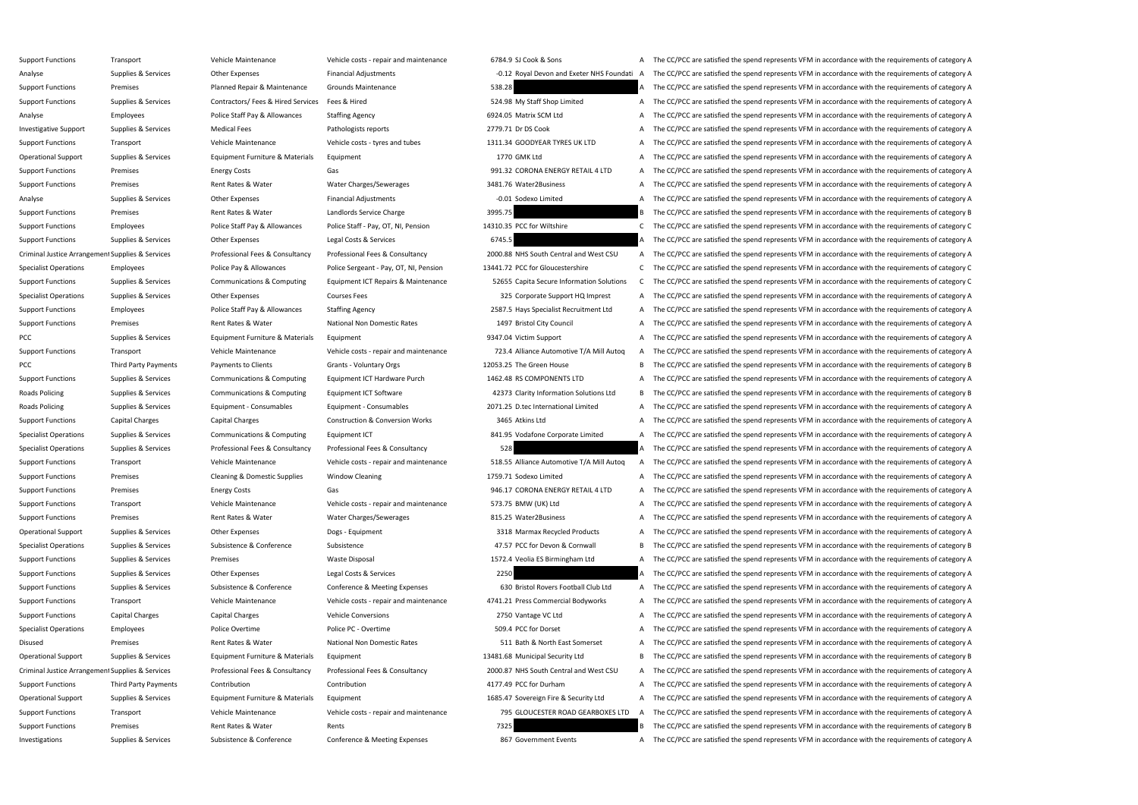Support Functions Transport Support Transport Vehicle Maintenance Vehicle costs - repair and maintenance 6784.9 SJ Cook & Sons A The CC/PCC are satisfied the spend represents VFM in accordance with the requirements of cate Analyse Supplies & Services Other Expenses Financial Adjustments -0.12 Royal Devon and Exeter NHS Foundati A The CC/PCC are satisfied the spend represents VFM in accordance with the requirements of category A Support Functions Premises Planned Repair & Maintenance Grounds Maintenance 538.28 538.28 A The CC/PCC are satisfied the spend represents VFM in accordance with the requirements of category A Support Functions Supplies & Services Contractors/ Fees & Hired Services Fees & Hired 524.98 My Staff Shop Limited A The CC/PCC are satisfied the spend represents VFM in accordance with the requirements of category A Analyse **Employees** Police Staff Pay & Allowances Staffing Agency 6924.05 Matrix SCM Ltd A The CC/PCC are satisfied the spend represents VFM in accordance with the requirements of category A Investigative Support Supplies & Services Medical Fees Pathologists reports Pathologists reports 2779.71 Dr DS Cook A The CC/PCC are satisfied the spend represents VFM in accordance with the requirements of category A Support Functions Transport Transport Vehicle Maintenance Vehicle costs - tyres and tubes 1311.34 GOODYEAR TYRES UK LTD A The CC/PCC are satisfied the spend represents VFM in accordance with the requirements of category A Operational Support Supplies & Services Equipment Furniture & Materials Equipment 1770 GMK Ltd A The CC/PCC are satisfied the spend represents VFM in accordance with the requirements of category A Support Functions Premises Energy Costs Energy Costs Gas Gas Service A The CC/PCC are satisfied the spend represents VFM in accordance with the requirements of category A Support Functions Premises Premises Rent Rates & Water Water Water Charges/Sewerages 3481.76 Water2Business A The CC/PCC are satisfied the spend represents VFM in accordance with the requirements of category A Analyse Supplies & Services Other Expenses Financial Adjustments -0.01 Sodexo Limited A The CC/PCC are satisfied the spend represents VFM in accordance with the requirements of category A Support Functions Premises Premises Rent Rates & Water Landlords Service Charge 3995.75 3955.75 B The CC/PCC are satisfied the spend represents VFM in accordance with the requirements of category B Support Functions Employees Police Staff Pay & Allowances Police Staff - Pay, OT, NI, Pension 14310.35 PCC for Wiltshire C The CC/PCC are satisfied the spend represents VFM in accordance with the requirements of category C Support Functions Supplies & Services Other Expenses Legal Costs & Services 6745.5 A The CC/PCC are satisfied the spend represents VFM in accordance with the requirements of category A Criminal Justice Arrangement Supplies & Services Professional Fees & Consultancy Professional Fees & Consultancy Professional Fees & Consultancy 2000.88 NHS South Central and West CSU A The CC/PCC are satisfied the spend r Specialist Operations Employees Employees Police Pay & Allowances Police Sergeant - Pay, OT, NI, Pension 13441.72 PCC for Gloucestershire C The CC/PCC are satisfied the spend represents VFM in accordance with the requireme Support Functions Supplies & Services Communications & Computing Equipment ICT Repairs & Maintenance 52655 Capita Secure Information Solutions C The CC/PCC are satisfied the spend represents VFM in accordance with the requ Specialist Operations Supplies & Services Other Expenses Courses Fees Services Courses Fees 325 Corporate Support HQ Imprest A The CC/PCC are satisfied the spend represents VFM in accordance with the requirements of catego Support Functions Employees Police Staff Pay & Allowances Staffing Agency 2587.5 Hays Specialist Recruitment Ltd A The CC/PCC are satisfied the spend represents VFM in accordance with the requirements of category A Support Functions Premises Premises Rent Rates & Water National Non Domestic Rates 1497 Bristol City Council A The CC/PCC are satisfied the spend represents VFM in accordance with the requirements of category A PCC Supplies & Services Equipment Furniture & Materials Equipment 9347.04 Victim Support A The CC/PCC are satisfied the spend represents VFM in accordance with the requirements of category A Support Functions Transport Transport Vehicle Maintenance Vehicle Costs - repair and maintenance 723.4 Alliance Automotive T/A Mill Autoq A The CC/PCC are satisfied the spend represents VFM in accordance with the requireme PCC Third Party Payments Payments to Clients Grants - Voluntary Orgs 12053.25 The Green House B The CC/PCC are satisfied the spend represents VFM in accordance with the requirements of category B Support Functions Supplies & Services Communications & Computing Equipment ICT Hardware Purch 1462.48 RS COMPONENTS LTD A The CC/PCC are satisfied the spend represents VFM in accordance with the requirements of category A Roads Policing Supplies & Services Communications & Computing Equipment ICT Software 42373 Clarity Information Solutions Ltd B The CC/PCC are satisfied the spend represents VFM in accordance with the requirements of catego Roads Policing Supplies & Services Equipment - Consumables Equipment - Consumables 2071.25 D.tec International Limited A The CC/PCC are satisfied the spend represents VFM in accordance with the requirements of category A Support Functions Capital Charges Capital Charges Construction & Conversion Works 3465 Atkins Ltd A The CC/PCC are satisfied the spend represents VFM in accordance with the requirements of category A Specialist Operations Supplies & Services Communications & Computing Equipment ICT 841.95 Vodafone Corporate Limited A The CC/PCC are satisfied the spend represents VFM in accordance with the requirements of category A Specialist Operations Supplies & Services Professional Fees & Consultancy Professional Fees & Consultancy Professional Fees & Consultancy 528 A The CC/PCC are satisfied the spend represents VFM in accordance with the requi Support Functions Transport Transport Vehicle Maintenance Vehicle Costs - repair and maintenance 518.55 Alliance Automotive T/A Mill Autoq A The CC/PCC are satisfied the spend represents VFM in accordance with the requirem Support Functions Premises Premises Cleaning & Domestic Supplies Window Cleaning 2000 a The Manual 1759.71 Sodexo Limited A The CC/PCC are satisfied the spend represents VFM in accordance with the requirements of category Support Functions Premises Energy Costs Energy Costs Gas Gas Service A The CC/PCC are satisfied the spend represents VFM in accordance with the requirements of category A Support Functions Transport Support Category A Vehicle Maintenance Vehicle costs - repair and maintenance 573.75 BMW (UK) Ltd A The CC/PCC are satisfied the spend represents VFM in accordance with the requirements of categ Support Functions Premises Premises Rent Rates & Water Water Water Charges/Sewerages 815.25 Water2Business A The CC/PCC are satisfied the spend represents VFM in accordance with the requirements of category A Operational Support Supplies & Services Other Expenses Dogs - Equipment Dogs - Equipment 3318 Marmax Recycled Products A The CC/PCC are satisfied the spend represents VFM in accordance with the requirements of category A Specialist Operations Supplies & Services Subsistence & Conference Subsistence Subsistence 47.57 PCC for Devon & Cornwall B The CC/PCC are satisfied the spend represents VFM in accordance with the requirements of category Support Functions Supplies & Services Premises Waste Disposal Waste Disposal 1572.4 Veolia ES Birmingham Ltd A The CC/PCC are satisfied the spend represents VFM in accordance with the requirements of category A Support Functions Supplies & Services Other Expenses Legal Costs & Services 2250 250 A The CC/PCC are satisfied the spend represents VFM in accordance with the requirements of category A Support Functions Supplies & Services Subsistence & Conference Conference & Meeting Expenses 630 Bristol Rovers Football Club Ltd A The CC/PCC are satisfied the spend represents VFM in accordance with the requirements of c Support Functions Transport Vehicle Maintenance Vehicle Costs - repair and maintenance 4741.21 Press Commercial Bodyworks A The CC/PCC are satisfied the spend represents VFM in accordance with the requirements of category Support Functions Capital Charges Capital Charges Vehicle Conversions 2750 Vantage VC Ltd A The CC/PCC are satisfied the spend represents VFM in accordance with the requirements of category A Specialist Operations Employees Police Overtime Police PC - Overtime Police PC - Overtime 509.4 PCC for Dorset A The CC/PCC are satisfied the spend represents VFM in accordance with the requirements of category A Disused Premises Premises Premises Rent Rates & Water National Non Domestic Rates 511 Bath & North East Somerset A The CC/PCC are satisfied the spend represents VFM in accordance with the requirements of category A Operational Support Supplies & Services Equipment Furniture & Materials Equipment 13481.68 Municipal Security Ltd B The CC/PCC are satisfied the spend represents VFM in accordance with the requirements of category B Criminal Justice Arrangement Supplies & Services Professional Fees & Consultancy Professional Fees & Consultancy Professional Fees & Consultancy Professional Fees & Consultancy 2000.87 NHS South Central and West CSU A The Support Functions Third Party Payments Contribution Contribution Contribution and Contribution and Contribution and Contribution and Contribution and A The CC/PCC are satisfied the spend represents VFM in accordance with t Operational Support Supplies & Services Equipment Furniture & Materials Equipment 1685.47 Sovereign Fire & Security Ltd A The CC/PCC are satisfied the spend represents VFM in accordance with the requirements of category A Support Functions Transport Transport Vehicle Maintenance Vehicle costs - repair and maintenance 795 GLOUCESTER ROAD GEARBOXES LTD A The CC/PCC are satisfied the spend represents VFM in accordance with the requirements of Support Functions Premises Premises Rent Rates & Water Rents Rents Rents Rents 7325 8 The CC/PCC are satisfied the spend represents VFM in accordance with the requirements of category B Investigations Supplies & Services Subsistence & Conference Conference & Meeting Expenses 867 Government Events A The CC/PCC are satisfied the spend represents VFM in accordance with the requirements of category A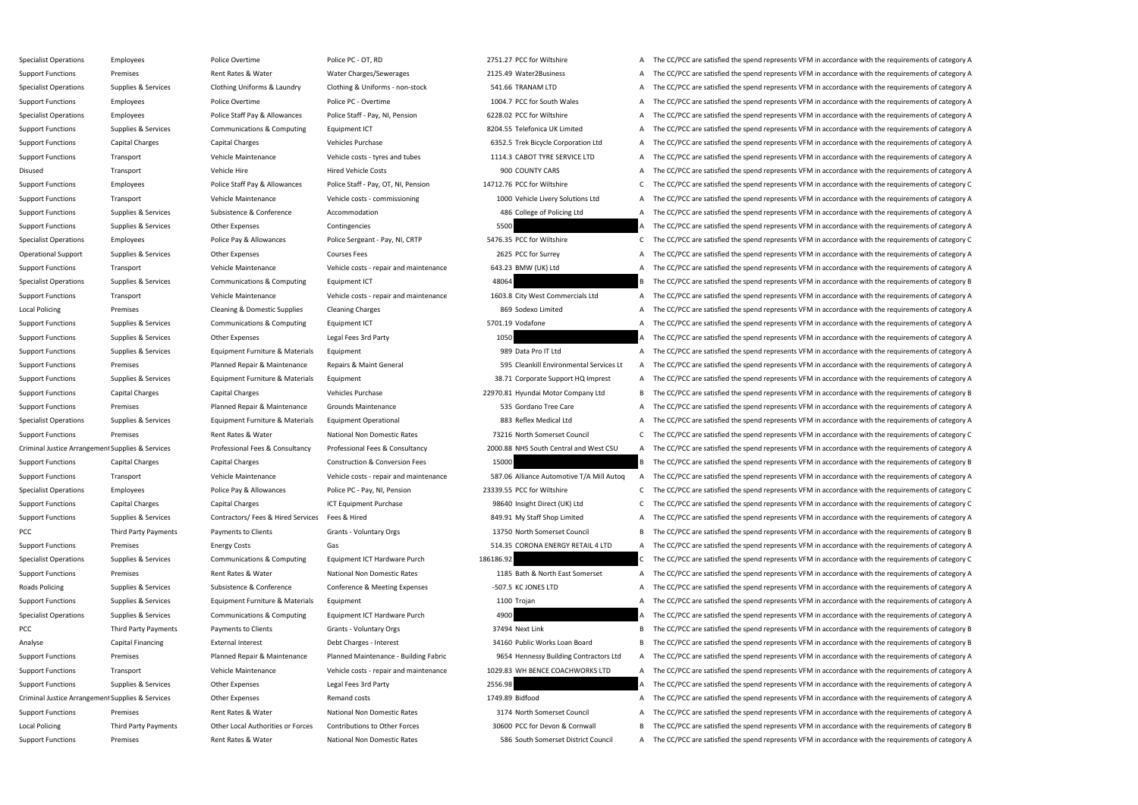Specialist Operations Employees Police Overtime Police PC - OT, RD 2751.27 PCC for Wiltshire A The CC/PCC are satisfied the spend represents VFM in accordance with the requirements of category A Support Functions Premises Premises Rent Rates & Water Water Charges/Sewerages 2125.49 Water2Business A The CC/PCC are satisfied the spend represents VFM in accordance with the requirements of category A Specialist Operations Supplies & Services Clothing Uniforms & Laundry Clothing & Uniforms - non-stock 541.66 TRANAM LTD A The CC/PCC are satisfied the spend represents VFM in accordance with the requirements of category A Support Functions Employees Police Overtime Police PC - Overtime Police PC - Overtime 1004.7 PCC for South Wales A The CC/PCC are satisfied the spend represents VFM in accordance with the requirements of category A Specialist Operations Employees Police Staff Pay & Allowances Police Staff - Pay, NI, Pension 6228.02 PCC for Wiltshire A The CC/PCC are satisfied the spend represents VFM in accordance with the requirements of category A Support Functions Supplies & Services Communications & Computing Equipment ICT 8204.55 Telefonica UK Limited A The CC/PCC are satisfied the spend represents VFM in accordance with the requirements of category A Support Functions Capital Charges Capital Charges Vehicles Purchase Vehicles Purchase 6352.5 Trek Bicycle Corporation Ltd A The CC/PCC are satisfied the spend represents VFM in accordance with the requirements of category Support Functions Transport Vehicle Maintenance Vehicle costs - tyres and tubes 1114.3 CABOT TYRE SERVICE LTD A The CC/PCC are satisfied the spend represents VFM in accordance with the requirements of category A Disused Transport Vehicle Hire Vehicle Hire Hired Vehicle Costs 900 COUNTY CARS A The CC/PCC are satisfied the spend represents VFM in accordance with the requirements of category A Support Functions Employees Police Staff Pay & Allowances Police Staff - Pay, OT, NI, Pension 14712.76 PCC for Wiltshire C The CC/PCC are satisfied the spend represents VFM in accordance with the requirements of category C Support Functions Transport Transport Vehicle Maintenance Vehicle costs - commissioning 1000 Vehicle Livery Solutions Ltd A The CC/PCC are satisfied the spend represents VFM in accordance with the requirements of category Support Functions Supplies & Services Subsistence & Conference Accommodation Accommodation 486 College of Policing Ltd A The CC/PCC are satisfied the spend represents VFM in accordance with the requirements of category A Support Functions Supplies & Services Other Expenses Contingencies Contingencies 5500 5500 A The CC/PCC are satisfied the spend represents VFM in accordance with the requirements of category A Specialist Operations Employees Police Pay & Allowances Police Sergeant - Pay, NI, CRTP 5476.35 PCC for Wiltshire C The CC/PCC are satisfied the spend represents VFM in accordance with the requirements of category C Operational Support Supplies & Services Other Expenses Courses Fees 2625 PCC for Surrey A The CC/PCC are satisfied the spend represents VFM in accordance with the requirements of category A Support Functions Transport Support Transport Vehicle Maintenance Vehicle Costs - repair and maintenance 643.23 BMW (UK) Ltd A The CC/PCC are satisfied the spend represents VFM in accordance with the requirements of catego Specialist Operations Supplies & Services Communications & Computing Equipment ICT 48064 A Services and The CC/PCC are satisfied the spend represents VFM in accordance with the requirements of category B Support Functions Transport Transport Vehicle Maintenance Vehicle costs - repair and maintenance 1603.8 City West Commercials Ltd A The CC/PCC are satisfied the spend represents VFM in accordance with the requirements of c Local Policing Premises Cleaning & Domestic Supplies Cleaning Charges 869 Sodexo Limited A The CC/PCC are satisfied the spend represents VFM in accordance with the requirements of category A Support Functions Supplies & Services Communications & Computing Equipment ICT 5701.19 Vodafone 5701.19 Vodafone A The CC/PCC are satisfied the spend represents VFM in accordance with the requirements of category A Support Functions Supplies & Services Other Expenses Legal Fees 3rd Party 1050 1050 A The CC/PCC are satisfied the spend represents VFM in accordance with the requirements of category A Support Functions Supplies & Services Equipment Furniture & Materials Equipment exceptions and the CC/PCC are satisfied the spend represents VFM in accordance with the requirements of category A Support Functions Premises Planned Repair & Maintenance Repairs & Maint General 595 Cleankill Environmental Services Lt A The CC/PCC are satisfied the spend represents VFM in accordance with the requirements of category A Support Functions Supplies & Services Equipment Furniture & Materials Equipment 38.71 Corporate Support HQ Imprest A The CC/PCC are satisfied the spend represents VFM in accordance with the requirements of category A Support Functions Capital Charges Capital Charges Vehicles Purchase Vehicles Purchase 22970.81 Hyundai Motor Company Ltd B The CC/PCC are satisfied the spend represents VFM in accordance with the requirements of category B Support Functions Premises Planned Repair & Maintenance Grounds Maintenance 535 Gordano Tree Care A The CC/PCC are satisfied the spend represents VFM in accordance with the requirements of category A Specialist Operations Supplies & Services Equipment Furniture & Materials Equipment Operational 883 Reflex Medical Ltd A The CC/PCC are satisfied the spend represents VFM in accordance with the requirements of category A Support Functions Premises Premises Rent Rates & Water National Non Domestic Rates 73216 North Somerset Council C The CC/PCC are satisfied the spend represents VFM in accordance with the requirements of category C Criminal Justice Arrangement Supplies & Services Professional Fees & Consultancy Professional Fees & Consultancy Professional Fees & Consultancy Professional Fees & Consultancy 2000.88 NHS South Central and West CSU A The Support Functions Capital Charges Capital Charges Construction & Conversion Fees 15000 B The CC/PCC are satisfied the spend represents VFM in accordance with the requirements of category B Support Functions Transport Transport Vehicle Maintenance Vehicle Costs - repair and maintenance 587.06 Alliance Automotive T/A Mill Autoq A The CC/PCC are satisfied the spend represents VFM in accordance with the requirem Specialist Operations Employees Police Pay & Allowances Police PC - Pay, NI, Pension 23339.55 PCC for Wiltshire C The CC/PCC are satisfied the spend represents VFM in accordance with the requirements of category C Support Functions Capital Charges Capital Charges ICT Equipment Purchase 98640 Insight Direct (UK) Ltd C The CC/PCC are satisfied the spend represents VFM in accordance with the requirements of category C Support Functions Supplies & Services Contractors/ Fees & Hired Services Fees & Hired 349.91 My Staff Shop Limited A The CC/PCC are satisfied the spend represents VFM in accordance with the requirements of category A PCC Third Party Payments Payments to Clients Grants - Voluntary Orgs 13750 North Somerset Council B The CC/PCC are satisfied the spend represents VFM in accordance with the requirements of category B Support Functions Premises Energy Costs Energy Costs Gas Gas Server A The CC/PCC are satisfied the spend represents VFM in accordance with the requirements of category A Specialist Operations Supplies & Services Communications & Computing Equipment ICT Hardware Purch 186186.92 C The CC/PCC are satisfied the spend represents VFM in accordance with the requirements of category C Support Functions Premises Premises Rent Rates Rent Rates Rent Rates National Non Domestic Rates 1185 Bath & North East Somerset A The CC/PCC are satisfied the spend represents VFM in accordance with the requirements of ca Roads Policing Supplies & Services Subsistence & Conference Conference & Meeting Expenses -507.5 KC JONES LTD A The CC/PCC are satisfied the spend represents VFM in accordance with the requirements of category A Support Functions Supplies & Services Equipment Furniture & Materials Equipment 1100 Trojan 1100 Trojan A The CC/PCC are satisfied the spend represents VFM in accordance with the requirements of category A Specialist Operations Supplies & Services Communications & Computing Equipment ICT Hardware Purch 4900 4900 A The CC/PCC are satisfied the spend represents VFM in accordance with the requirements of category A PCC Third Party Payments Payments to Clients Grants - Voluntary Orgs 37494 Next Link B The CC/PCC are satisfied the spend represents VFM in accordance with the requirements of category B Analyse Capital Financing External Interest Debt Charges - Interest 2016 Public Works Loan Board B The CC/PCC are satisfied the spend represents VFM in accordance with the requirements of category B Support Functions Premises Planned Repair & Maintenance Planned Maintenance - Building Fabric 9654 Hennessy Building Contractors Ltd A The CC/PCC are satisfied the spend represents VFM in accordance with the requirements o Support Functions Transport Vehicle Maintenance Vehicle costs - repair and maintenance 1029.83 WH BENCE COACHWORKS LTD A The CC/PCC are satisfied the spend represents VFM in accordance with the requirements of category A Support Functions Supplies & Services Other Expenses Legal Fees 3rd Party 2556.98 2556.98 A The CC/PCC are satisfied the spend represents VFM in accordance with the requirements of category A Criminal Justice Arrangement Supplies & Services Other Expenses Remand costs Remand costs 1749.89 Bidfood A The CC/PCC are satisfied the spend represents VFM in accordance with the requirements of category A Support Functions Premises Premises Rent Rates & Water National Non Domestic Rates 3174 North Somerset Council A The CC/PCC are satisfied the spend represents VFM in accordance with the requirements of category A Local Policing Third Party Payments Other Local Authorities or Forces Contributions to Other Forces 30600 PCC for Devon & Cornwall B The CC/PCC are satisfied the spend represents VFM in accordance with the requirements of Support Functions Premises Premises Rent Rates Rent Rates National Non Domestic Rates 586 South Somerset District Council A The CC/PCC are satisfied the spend represents VFM in accordance with the requirements of category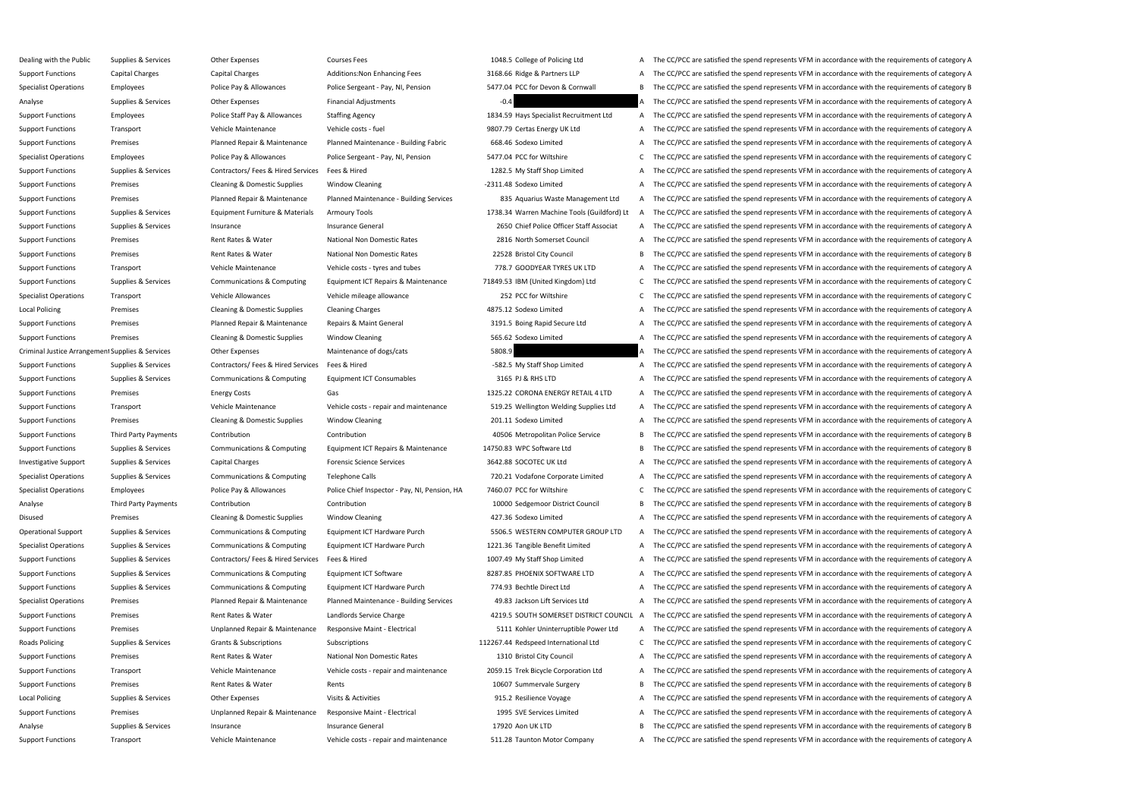Dealing with the Public Supplies & Services Other Expenses Courses Fees Courses Fees 1048.5 College of Policing Ltd A The CC/PCC are satisfied the spend represents VFM in accordance with the requirements of category A Support Functions Capital Charges Capital Charges Additions:Non Enhancing Fees 3168.66 Ridge & Partners LLP A The CC/PCC are satisfied the spend represents VFM in accordance with the requirements of category A Specialist Operations Employees Police Pay & Allowances Police Sergeant - Pay, NI, Pension 5477.04 PCC for Devon & Cornwall B The CC/PCC are satisfied the spend represents VFM in accordance with the requirements of categor Analyse Supplies & Services Other Expenses Financial Adjustments -0.4 - -0.4 The CC/PCC are satisfied the spend represents VFM in accordance with the requirements of category A Support Functions Employees Police Staff Pay & Allowances Staffing Agency 1834.59 Hays Specialist Recruitment Ltd A The CC/PCC are satisfied the spend represents VFM in accordance with the requirements of category A Support Functions Transport Transport Vehicle Maintenance Vehicle costs - fuel 9807.79 Certas Energy UK Ltd A The CC/PCC are satisfied the spend represents VFM in accordance with the requirements of category A Support Functions Premises Planned Repair & Maintenance Planned Maintenance - Building Fabric 668.46 Sodexo Limited A The CC/PCC are satisfied the spend represents VFM in accordance with the requirements of category A Specialist Operations Employees Police Pay & Allowances Police Sergeant - Pay, NI, Pension 5477.04 PCC for Wiltshire C The CC/PCC are satisfied the spend represents VFM in accordance with the requirements of category C Support Functions Supplies & Services Contractors/ Fees & Hired Services Fees & Hired 1282.5 My Staff Shop Limited A The CC/PCC are satisfied the spend represents VFM in accordance with the requirements of category A Support Functions Premises Premises Cleaning & Domestic Supplies Window Cleaning -2311.48 Sodexo Limited -2311.48 Sodexo Limited A The CC/PCC are satisfied the spend represents VFM in accordance with the requirements of ca Support Functions Premises Planned Repair & Maintenance Planned Maintenance - Building Services 835 Aquarius Waste Management Ltd A The CC/PCC are satisfied the spend represents VFM in accordance with the requirements of c Support Functions Supplies & Services Equipment Furniture & Materials Armoury Tools 1738.34 Warren Machine Tools (Guildford) Lt A The CC/PCC are satisfied the spend represents VFM in accordance with the requirements of cat Support Functions Supplies & Services Insurance Insurance Insurance General Insurance General 2650 Chief Police Officer Staff Associat A The CC/PCC are satisfied the spend represents VFM in accordance with the requirements Support Functions Premises Premises Rent Rates & Water National Non Domestic Rates 2816 North Somerset Council A The CC/PCC are satisfied the spend represents VFM in accordance with the requirements of category A Support Functions Premises Premises Rent Rates & Water National Non Domestic Rates 22528 Bristol City Council B The CC/PCC are satisfied the spend represents VFM in accordance with the requirements of category B Support Functions Transport Transport Vehicle Maintenance Vehicle costs - tyres and tubes 778.7 GOODYEAR TYRES UK LTD A The CC/PCC are satisfied the spend represents VFM in accordance with the requirements of category A Support Functions Supplies & Services Communications & Computing Equipment ICT Repairs & Maintenance 71849.53 IBM (United Kingdom) Ltd C The CC/PCC are satisfied the spend represents VFM in accordance with the requirements Specialist Operations Transport Vehicle Allowances Vehicle mileage allowance 252 PCC for Wiltshire C The CC/PCC are satisfied the spend represents VFM in accordance with the requirements of category C Local Policing Premises Cleaning & Domestic Supplies Cleaning Charges 4875.12 Sodexo Limited A The CC/PCC are satisfied the spend represents VFM in accordance with the requirements of category A Support Functions Premises Planned Repair & Maintenance Repairs & Maint General 3191.5 Boing Rapid Secure Ltd A The CC/PCC are satisfied the spend represents VFM in accordance with the requirements of category A Support Functions Premises Support Premises Cleaning & Domestic Supplies Window Cleaning Window Cleaning Support Equivare 2012 Sos.62 Sodexo Limited A The CC/PCC are satisfied the spend represents VFM in accordance with th Criminal Justice Arrangement Supplies & Services Other Expenses Maintenance of dogs/cats 5808.9 5808.9 A The CC/PCC are satisfied the spend represents VFM in accordance with the requirements of category A Support Functions Supplies & Services Contractors/ Fees & Hired Services Fees & Hired -582.5 My Staff Shop Limited -582.5 My Staff Shop Limited A The CC/PCC are satisfied the spend represents VFM in accordance with the req Support Functions Supplies & Services Communications & Computing Equipment ICT Consumables 3165 PJ & RHS LTD A The CC/PCC are satisfied the spend represents VFM in accordance with the requirements of category A Support Functions Premises Energy Costs Energy Costs Gas Gas 1325.22 CORONA ENERGY RETAIL 4 LTD A The CC/PCC are satisfied the spend represents VFM in accordance with the requirements of category A Support Functions Transport Transport Vehicle Maintenance Vehicle Costs - repair and maintenance S19.25 Wellington Welding Supplies Ltd A The CC/PCC are satisfied the spend represents VFM in accordance with the requirement Support Functions Premises Premises Cleaning & Domestic Supplies Window Cleaning 201.11 Sodexo Limited A The CC/PCC are satisfied the spend represents VFM in accordance with the requirements of category A Support Functions Third Party Payments Contribution Contribution Contribution Contribution Accordance Multion 20506 Metropolitan Police Service B The CC/PCC are satisfied the spend represents VFM in accordance with the req Support Functions Supplies & Services Communications & Computing Equipment ICT Repairs & Maintenance 14750.83 WPC Software Ltd B The CC/PCC are satisfied the spend represents VFM in accordance with the requirements of cate Investigative Support Supplies & Services Capital Charges Forensic Science Services 3642.88 SOCOTEC UK Ltd A The CC/PCC are satisfied the spend represents VFM in accordance with the requirements of category A Specialist Operations Supplies & Services Communications & Computing Telephone Calls 720.21 Vodafone Corporate Limited A The CC/PCC are satisfied the spend represents VFM in accordance with the requirements of category A Specialist Operations Employees Police Pay & Allowances Police Chief Inspector - Pay, NI, Pension, HA 7460.07 PCC for Wiltshire C. The CC/PCC are satisfied the spend represents VFM in accordance with the requirements of ca Analyse Third Party Payments Contribution Contribution Contribution Contribution Contribution 10000 Sedgemoor District Council B The CC/PCC are satisfied the spend represents VFM in accordance with the requirements of cate Disused Premises Cleaning & Domestic Supplies Window Cleaning 427.36 Sodexo Limited A The CC/PCC are satisfied the spend represents VFM in accordance with the requirements of category A Operational Support Supplies & Services Communications & Computing Equipment ICT Hardware Purch 5506.5 WESTERN COMPUTER GROUP LTD A The CC/PCC are satisfied the spend represents VFM in accordance with the requirements of c Specialist Operations Supplies & Services Communications & Computing Equipment ICT Hardware Purch 1221.36 Tangible Benefit Limited A The CC/PCC are satisfied the spend represents VFM in accordance with the requirements of Support Functions Supplies & Services Contractors/ Fees & Hired Services Fees & Hired 1007.49 My Staff Shop Limited A The CC/PCC are satisfied the spend represents VFM in accordance with the requirements of category A Support Functions Supplies & Services Communications & Computing Equipment ICT Software 8287.85 PHOENIX SOFTWARE LTD A The CC/PCC are satisfied the spend represents VFM in accordance with the requirements of category A Support Functions Supplies & Services Communications & Computing Equipment ICT Hardware Purch 774.93 Bechtle Direct Ltd A The CC/PCC are satisfied the spend represents VFM in accordance with the requirements of category A Specialist Operations Premises Planned Repair & Maintenance Planned Maintenance - Building Services 49.83 Jackson Lift Services Ltd A The CC/PCC are satisfied the spend represents VFM in accordance with the requirements of Support Functions Premises Premises Rent Rates & Water Landlords Service Charge 4219.5 SOUTH SOMERSET DISTRICT COUNCIL A The CC/PCC are satisfied the spend represents VFM in accordance with the requirements of category A Support Functions Premises Premises Unplanned Repair & Maintenance Responsive Maint - Electrical 5111 Kohler Uninterruptible Power Ltd A The CC/PCC are satisfied the spend represents VFM in accordance with the requirements Roads Policing Supplies & Services Grants & Subscriptions Subscriptions Subscriptions Subscriptions 112267.44 Redspeed International Ltd C The CC/PCC are satisfied the spend represents VFM in accordance with the requiremen Support Functions Premises Premises Rent Rates Rent Rates Rent Rates National Non Domestic Rates 1310 Bristol City Council A The CC/PCC are satisfied the spend represents VFM in accordance with the requirements of category Support Functions Transport Transport Vehicle Maintenance Vehicle Costs - repair and maintenance 2059.15 Trek Bicycle Corporation Ltd A The CC/PCC are satisfied the spend represents VFM in accordance with the requirements Support Functions Premises Premises Rent Rates & Water Rents Rents Rents Rents Rents Rents Rent Rates Rent Rates A Water Rents Rents Rents Rents Rents Rent Rates Rent Rates Rent Rents Rents Rents Rents Rent Rates Rent Rate Local Policing Supplies & Services Other Expenses Visits & Activities Visits Activities 915.2 Resilience Voyage A The CC/PCC are satisfied the spend represents VFM in accordance with the requirements of category A Support Functions Premises Premises Unplanned Repair & Maintenance Responsive Maint - Electrical 1995 SVE Services Limited A The CC/PCC are satisfied the spend represents VFM in accordance with the requirements of category Analyse Supplies & Services Insurance Supplies Analyse Insurance General Insurance General Insurance General 17920 Aon UK LTD B The CC/PCC are satisfied the spend represents VFM in accordance with the requirements of categ Support Functions Transport Transport Vehicle Maintenance Vehicle costs - repair and maintenance 511.28 Taunton Motor Company A The CC/PCC are satisfied the spend represents VFM in accordance with the requirements of categ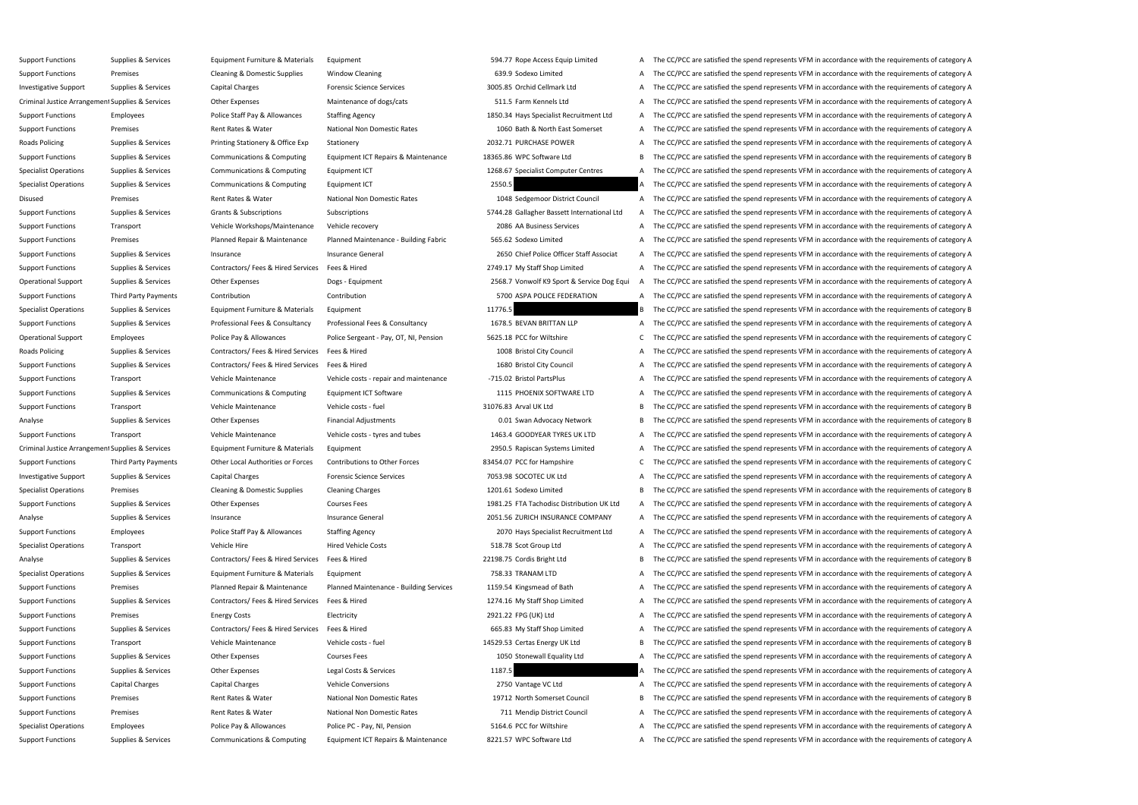Support Functions Supplies & Services Equipment Furniture & Materials Equipment 594.77 Rope Access Equip Limited A The CC/PCC are satisfied the spend represents VFM in accordance with the requirements of category A Support Functions Premises Cleaning & Domestic Supplies Window Cleaning 639.9 Sodexo Limited A The CC/PCC are satisfied the spend represents VFM in accordance with the requirements of category A Investigative Support Supplies & Services Capital Charges Forensic Science Services 3005.85 Orchid Cellmark Ltd A The CC/PCC are satisfied the spend represents VFM in accordance with the requirements of category A Criminal Justice Arrangement Supplies & Services Other Expenses Maintenance of dogs/cats 511.5 Farm Kennels Ltd A The CC/PCC are satisfied the spend represents VFM in accordance with the requirements of category A Support Functions Employees Police Staff Pay & Allowances Staffing Agency 1850.34 Hays Specialist Recruitment Ltd A The CC/PCC are satisfied the spend represents VFM in accordance with the requirements of category A Support Functions Premises Premises Rent Rates Rent Rates Rent Rates National Non Domestic Rates 1060 Bath & North East Somerset A The CC/PCC are satisfied the spend represents VFM in accordance with the requirements of ca Roads Policing Supplies & Services Printing Stationery & Office Exp Stationery **Stationery A Stationery 2032.71 PURCHASE POWER** A The CC/PCC are satisfied the spend represents VFM in accordance with the requirements of cat Support Functions Supplies & Services Communications & Computing Equipment ICT Repairs & Maintenance 18365.86 WPC Software Ltd B The CC/PCC are satisfied the spend represents VFM in accordance with the requirements of cate Specialist Operations Supplies & Services Communications & Computing Equipment ICT 1268.67 Specialist Computer Centres A The CC/PCC are satisfied the spend represents VFM in accordance with the requirements of category A Specialist Operations Supplies & Services Communications & Computing Equipment ICT 2550.5 2550.5 A The CC/PCC are satisfied the spend represents VFM in accordance with the requirements of category A Disused Premises Premises Premises Rent Rates Rent Rates National Non Domestic Rates 1048 Sedgemoor District Council A The CC/PCC are satisfied the spend represents VFM in accordance with the requirements of category A Support Functions Supplies & Services Grants & Subscriptions Subscriptions Subscriptions Subscriptions Subscriptions Subscriptions Subscriptions Subscriptions Subscriptions Subscriptions Subscriptions Subscriptions Subscri Support Functions Transport Support Transport Vehicle Workshops/Maintenance Vehicle recovery 2086 AA Business Services A The CC/PCC are satisfied the spend represents VFM in accordance with the requirements of category A Support Functions Premises Planned Repair & Maintenance Planned Maintenance - Building Fabric 565.62 Sodexo Limited A The CC/PCC are satisfied the spend represents VFM in accordance with the requirements of category A Support Functions Supplies & Services Insurance Support Ensurance General Insurance General 2650 Chief Police Officer Staff Associat A The CC/PCC are satisfied the spend represents VFM in accordance with the requirements o Support Functions Supplies & Services Contractors/ Fees & Hired Services Fees & Hired 2749.17 My Staff Shop Limited A The CC/PCC are satisfied the spend represents VFM in accordance with the requirements of category A Operational Support Supplies & Services Other Expenses Dogs - Equipment Dogs - Equipment 2568.7 Vonwolf K9 Sport & Service Dog Equi A The CC/PCC are satisfied the spend represents VFM in accordance with the requirements of Support Functions Third Party Payments Contribution Contribution Contribution Contribution Contribution Contribution Contribution and Contribution 5700 ASPA POLICE FEDERATION A The CC/PCC are satisfied the spend represents Specialist Operations Supplies & Services Equipment Furniture & Materials Equipment 11776.5 a The CC/PCC are satisfied the spend represents VFM in accordance with the requirements of category B Support Functions Supplies & Services Professional Fees & Consultancy Professional Fees & Consultancy Professional Fees & Consultancy Professional Fees & Consultancy 1678.5 BEVAN BRITTAN LLP A The CC/PCC are satisfied the Operational Support Employees Police Pay & Allowances Police Sergeant - Pay, OT, NI, Pension 5625.18 PCC for Wiltshire C The CC/PCC are satisfied the spend represents VFM in accordance with the requirements of category C Roads Policing Supplies & Services Contractors/ Fees & Hired Services Fees & Hired 1008 Bristol City Council A The CC/PCC are satisfied the spend represents VFM in accordance with the requirements of category A Support Functions Supplies & Services Contractors/ Fees & Hired Services Fees & Hired 1680 Bristol City Council A The CC/PCC are satisfied the spend represents VFM in accordance with the requirements of category A Support Functions Transport Vehicle Maintenance Vehicle Costs - repair and maintenance -715.02 Bristol PartsPlus A The CC/PCC are satisfied the spend represents VFM in accordance with the requirements of category A Support Functions Supplies & Services Communications & Computing Equipment ICT Software 1115 PHOENIX SOFTWARE LTD A The CC/PCC are satisfied the spend represents VFM in accordance with the requirements of category A Support Functions Transport **Support Transport** Vehicle Maintenance Vehicle costs - fuel 31076.83 Arval UK Ltd B The CC/PCC are satisfied the spend represents VFM in accordance with the requirements of category B Analyse Supplies & Services Other Expenses Financial Adjustments 6.01 Swan Advocacy Network B The CC/PCC are satisfied the spend represents VFM in accordance with the requirements of category B Support Functions Transport Vehicle Maintenance Vehicle costs - tyres and tubes 1463.4 GOODYEAR TYRES UK LTD A The CC/PCC are satisfied the spend represents VFM in accordance with the requirements of category A Criminal Justice Arrangement Supplies & Services Equipment Furniture & Materials Equipment 2015 Rapiscan Systems Limited A The CC/PCC are satisfied the spend represents VFM in accordance with the requirements of category A Support Functions Third Party Payments Other Local Authorities or Forces Contributions to Other Forces 83454.07 PCC for Hampshire C The CC/PCC are satisfied the spend represents VFM in accordance with the requirements of c Investigative Support Supplies & Services Capital Charges Forensic Science Services 7053.98 SOCOTEC UK Ltd A The CC/PCC are satisfied the spend represents VFM in accordance with the requirements of category A Specialist Operations Premises Cleaning & Domestic Supplies Cleaning Charges 1201.61 Sodexo Limited B The CC/PCC are satisfied the spend represents VFM in accordance with the requirements of category B Support Functions Supplies & Services Other Expenses Courses Fees Courses Fees 1981.25 FTA Tachodisc Distribution UK Ltd A The CC/PCC are satisfied the spend represents VFM in accordance with the requirements of category A Analyse Supplies & Services Insurance Supplies A Services Insurance General Insurance General 2051.56 ZURICH INSURANCE COMPANY A The CC/PCC are satisfied the spend represents VFM in accordance with the requirements of cate Support Functions Employees Police Staff Pay & Allowances Staffing Agency 2070 Hays Specialist Recruitment Ltd A The CC/PCC are satisfied the spend represents VFM in accordance with the requirements of category A Specialist Operations Transport Vehicle Hire Vehicle Hire Hired Vehicle Costs 518.78 Scot Group Ltd A The CC/PCC are satisfied the spend represents VFM in accordance with the requirements of category A Analyse Supplies & Services Contractors/ Fees & Hired Services Fees & Hired 22198.75 Cordis Bright Ltd B The CC/PCC are satisfied the spend represents VFM in accordance with the requirements of category B Specialist Operations Supplies & Services Equipment Furniture & Materials Equipment 2001 258.33 TRANAM LTD A The CC/PCC are satisfied the spend represents VFM in accordance with the requirements of category A Support Functions Premises Planned Repair & Maintenance Planned Maintenance - Building Services 1159.54 Kingsmead of Bath A The CC/PCC are satisfied the spend represents VFM in accordance with the requirements of category Support Functions Supplies & Services Contractors/ Fees & Hired Services Fees & Hired 1274.16 My Staff Shop Limited A The CC/PCC are satisfied the spend represents VFM in accordance with the requirements of category A Support Functions Premises Energy Costs Electricity Electricity and Electricity 2921.22 FPG (UK) Ltd A The CC/PCC are satisfied the spend represents VFM in accordance with the requirements of category A Support Functions Supplies & Services Contractors/ Fees & Hired Services Fees & Hired 665.83 My Staff Shop Limited A The CC/PCC are satisfied the spend represents VFM in accordance with the requirements of category A Support Functions Transport Transport Vehicle Maintenance Vehicle costs - fuel 14529.53 Certas Energy UK Ltd B The CC/PCC are satisfied the spend represents VFM in accordance with the requirements of category B Support Functions Supplies & Services Other Expenses Courses Fees Courses Courses Courses Courses Courses Courses Courses Courses Courses Courses Courses Courses Courses Courses Courses Courses Courses Courses Courses Cour Support Functions Supplies & Services Other Expenses Legal Costs & Services 1187.5 A The CC/PCC are satisfied the spend represents VFM in accordance with the requirements of category A Support Functions Capital Charges Capital Charges Vehicle Conversions 2750 Vantage VC Ltd A The CC/PCC are satisfied the spend represents VFM in accordance with the requirements of category A Support Functions Premises Premises Rent Rates Rent Rates National Non Domestic Rates 19712 North Somerset Council B The CC/PCC are satisfied the spend represents VFM in accordance with the requirements of category B Support Functions Premises Premises Rent Rates & Water National Non Domestic Rates 711 Mendip District Council A The CC/PCC are satisfied the spend represents VFM in accordance with the requirements of category A Specialist Operations Employees Police Pay & Allowances Police PC - Pay, NI, Pension 5164.6 PCC for Wiltshire A The CC/PCC are satisfied the spend represents VFM in accordance with the requirements of category A Support Functions Supplies & Services Communications & Computing Equipment ICT Repairs & Maintenance 8221.57 WPC Software Ltd A The CC/PCC are satisfied the spend represents VFM in accordance with the requirements of categ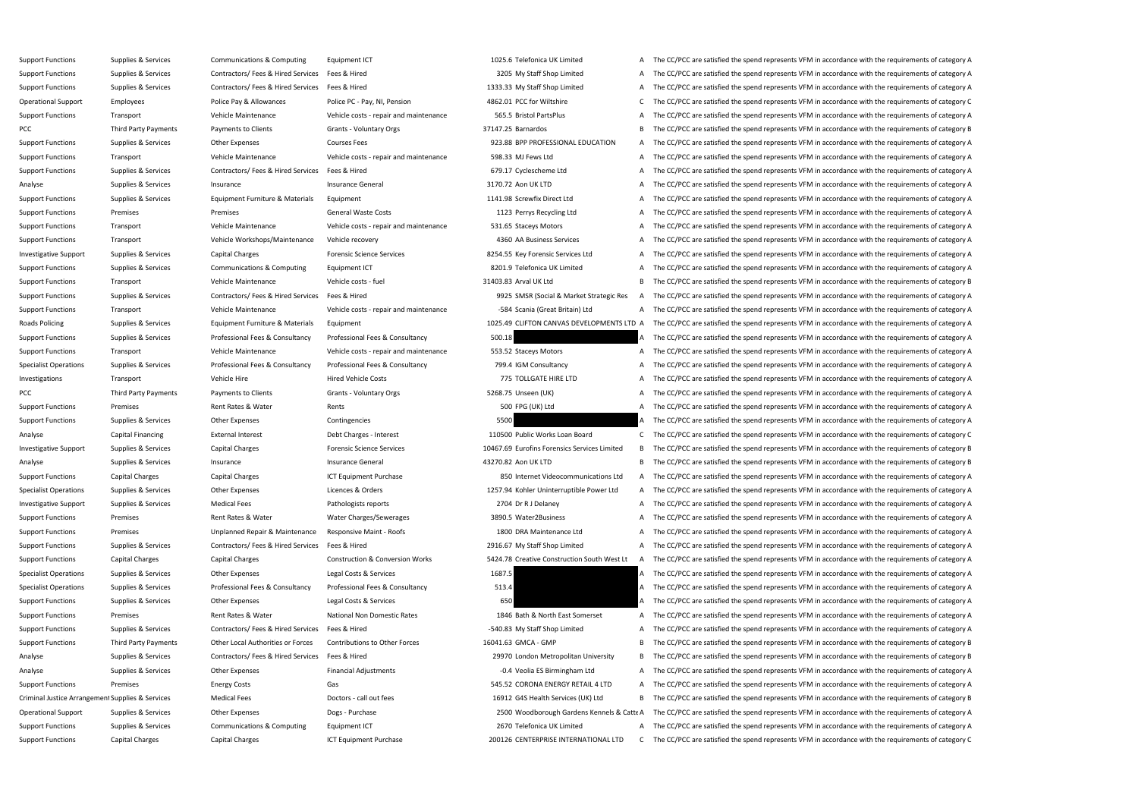Support Functions Supplies & Services Communications & Computing Equipment ICT 1025.6 Telefonica UK Limited A The CC/PCC are satisfied the spend represents VFM in accordance with the requirements of category A Support Functions Supplies & Services Contractors/ Fees & Hired Services Fees & Hired 3205 My Staff Shop Limited A The CC/PCC are satisfied the spend represents VFM in accordance with the requirements of category A Support Functions Supplies & Services Contractors/ Fees & Hired Services Fees & Hired 1333.33 My Staff Shop Limited A The CC/PCC are satisfied the spend represents VFM in accordance with the requirements of category A Operational Support Employees Police Pay & Allowances Police PC - Pay, NI, Pension 4862.01 PCC for Wiltshire C The CC/PCC are satisfied the spend represents VFM in accordance with the requirements of category C Support Functions Transport Support Transport Vehicle Maintenance Vehicle costs - repair and maintenance 565.5 Bristol PartsPlus A The CC/PCC are satisfied the spend represents VFM in accordance with the requirements of ca PCC Third Party Payments Payments to Clients Grants - Voluntary Orgs 37147.25 Barnardos B The CC/PCC are satisfied the spend represents VFM in accordance with the requirements of category B Support Functions Supplies & Services Other Expenses Courses Fees Services Courses Fees 923.88 BPP PROFESSIONAL EDUCATION A The CC/PCC are satisfied the spend represents VFM in accordance with the requirements of category Support Functions Transport Support Category A Vehicle Maintenance Vehicle Costs - repair and maintenance 598.33 MJ Fews Ltd A The CC/PCC are satisfied the spend represents VFM in accordance with the requirements of catego Support Functions Supplies & Services Contractors/ Fees & Hired Services Fees & Hired 679.17 Cyclescheme Ltd A The CC/PCC are satisfied the spend represents VFM in accordance with the requirements of category A Analyse Supplies & Services Insurance Supplies A Services Insurance General Insurance General and Supplies and The CC/PCC are satisfied the spend represents VFM in accordance with the requirements of category A Support Functions Supplies & Services Equipment Furniture & Materials Equipment 1141.98 Screwfix Direct Ltd A The CC/PCC are satisfied the spend represents VFM in accordance with the requirements of category A Support Functions Premises Premises Premises General Waste Costs 1123 Perrys Recycling Ltd A The CC/PCC are satisfied the spend represents VFM in accordance with the requirements of category A Support Functions Transport Support Transport Vehicle Maintenance Vehicle costs - repair and maintenance 531.65 Staceys Motors A The CC/PCC are satisfied the spend represents VFM in accordance with the requirements of cate Support Functions Transport Transport Vehicle Workshops/Maintenance Vehicle recovery 4360 AA Business Services A The CC/PCC are satisfied the spend represents VFM in accordance with the requirements of category A Investigative Support Supplies & Services Capital Charges Forensic Science Services and Basis and Services and Services Englished the Spend represents VFM in accordance with the requirements of category A The CC/PCC are sa Support Functions Supplies & Services Communications & Computing Equipment ICT 8201.9 Telefonica UK Limited A The CC/PCC are satisfied the spend represents VFM in accordance with the requirements of category A Support Functions Transport Transport Vehicle Maintenance Vehicle costs - fuel 31403.83 Arval UK Ltd B The CC/PCC are satisfied the spend represents VFM in accordance with the requirements of category B Support Functions Supplies & Services Contractors/ Fees & Hired Services Fees & Hired Services Fees & Hired 19925 SMSR (Social & Market Strategic Res A The CC/PCC are satisfied the spend represents VFM in accordance with t Support Functions Transport Vehicle Maintenance Vehicle Costs - repair and maintenance -584 Scania (Great Britain) Ltd A The CC/PCC are satisfied the spend represents VFM in accordance with the requirements of category A Roads Policing Supplies & Services Equipment Furniture & Materials Equipment 1025.49 CLIFTON CANVAS DEVELOPMENTS LTD A The CC/PCC are satisfied the spend represents VFM in accordance with the requirements of category A Support Functions Supplies & Services Professional Fees & Consultancy Professional Fees & Consultancy Professional Fees & Consultancy 500.18 A The CC/PCC are satisfied the spend represents VFM in accordance with the requir Support Functions Transport Support Transport Vehicle Maintenance Vehicle Costs - repair and maintenance 553.52 Staceys Motors A The CC/PCC are satisfied the spend represents VFM in accordance with the requirements of cate Specialist Operations Supplies & Services Professional Fees & Consultancy Professional Fees & Consultancy Professional Fees & Consultancy 799.4 IGM Consultancy 799.4 IGM Consultancy A The CC/PCC are satisfied the spend rep Investigations Transport Vehicle Hire Vehicle Hire Hired Vehicle Costs 775 TOLLGATE HIRE LTD A The CC/PCC are satisfied the spend represents VFM in accordance with the requirements of category A PCC Third Party Payments Payments to Clients Grants - Voluntary Orgs 5268.75 Unseen (UK) A The CC/PCC are satisfied the spend represents VFM in accordance with the requirements of category A Support Functions Premises Premises Rent Rates & Water Rents Rents Rents Rents Rents Rent Rates Rent Rates A Vater Rents Rent Rates A Water Rents Rent Rates Rent Rates Rent Rates Rent Rents Rents Rent Rents Rent Rent Rent Support Functions Supplies & Services Other Expenses Contingencies Contingencies 5500 A The CC/PCC are satisfied the spend represents VFM in accordance with the requirements of category A Analyse Capital Financing External Interest Debt Charges - Interest 110500 Public Works Loan Board C The CC/PCC are satisfied the spend represents VFM in accordance with the requirements of category C Investigative Support Supplies & Services Capital Charges Forensic Science Services and Support Supplies & Services Capital Charges Forensic Science Services and the Services Limited B The CC/PCC are satisfied the spend re Analyse Supplies & Services Insurance Supplies A Services Insurance General Insurance General 43270.82 Aon UK LTD B The CC/PCC are satisfied the spend represents VFM in accordance with the requirements of category B Support Functions Capital Charges Capital Charges ICT Equipment Purchase 850 Internet Videocommunications Ltd A The CC/PCC are satisfied the spend represents VFM in accordance with the requirements of category A Specialist Operations Supplies & Services Other Expenses Licences & Orders 1257.94 Kohler Uninterruptible Power Ltd A The CC/PCC are satisfied the spend represents VFM in accordance with the requirements of category A Investigative Support Supplies & Services Medical Fees Pathologists reports Pathologists reports 2704 Dr R J Delaney A The CC/PCC are satisfied the spend represents VFM in accordance with the requirements of category A Support Functions Premises Premises Rent Rates & Water Water Water Charges/Sewerages 3890.5 Water2Business A The CC/PCC are satisfied the spend represents VFM in accordance with the requirements of category A Support Functions Premises Premises Dinplanned Repair & Maintenance Responsive Maint - Roofs 1800 DRA Maintenance Ltd A The CC/PCC are satisfied the spend represents VFM in accordance with the requirements of category A Support Functions Supplies & Services Contractors/ Fees & Hired Services Fees & Hired 2916.67 My Staff Shop Limited A The CC/PCC are satisfied the spend represents VFM in accordance with the requirements of category A Support Functions Capital Charges Capital Charges Comercian Morks Conversion Works 5424.78 Creative Construction South West Lt A The CC/PCC are satisfied the spend represents VFM in accordance with the requirements of cate Specialist Operations Supplies & Services Other Expenses Legal Costs & Services 1687.5 A The CC/PCC are satisfied the spend represents VFM in accordance with the requirements of category A Specialist Operations Supplies & Services Professional Fees & Consultancy Professional Fees & Consultancy Professional Fees & Consultancy 513.4 A The CC/PCC are satisfied the spend represents VFM in accordance with the req Support Functions Supplies & Services Other Expenses Legal Costs & Services 650 650 A The CC/PCC are satisfied the spend represents VFM in accordance with the requirements of category A Support Functions Premises Premises Rent Rates Rent Rates Rent Rates National Non Domestic Rates 1846 Bath & North East Somerset A The CC/PCC are satisfied the spend represents VFM in accordance with the requirements of ca Support Functions Supplies & Services Contractors/ Fees & Hired Services Fees & Hired -540.83 My Staff Shop Limited A The CC/PCC are satisfied the spend represents VFM in accordance with the requirements of category A Support Functions Third Party Payments Other Local Authorities or Forces Contributions to Other Forces 16041.63 GMCA - GMP B The CC/PCC are satisfied the spend represents VFM in accordance with the requirements of category Analyse Supplies & Services Contractors/ Fees & Hired Services Fees & Hired 29970 London Metropolitan University B The CC/PCC are satisfied the spend represents VFM in accordance with the requirements of category B Analyse Supplies & Services Other Expenses Financial Adjustments -0.4 Veolia ES Birmingham Ltd A The CC/PCC are satisfied the spend represents VFM in accordance with the requirements of category A Support Functions Premises Energy Costs Energy Costs Gas Sas Section Cases S45.52 CORONA ENERGY RETAIL 4 LTD A The CC/PCC are satisfied the spend represents VFM in accordance with the requirements of category A Criminal Justice Arrangement Supplies & Services Medical Fees Doctors - call out fees 16912 G4S Health Services (UK) Ltd B The CC/PCC are satisfied the spend represents VFM in accordance with the requirements of category B Operational Support Supplies & Services Other Expenses Dogs - Purchase Dogs - Purchase 2500 Woodborough Gardens Kennels & CatteA The CC/PCC are satisfied the spend represents VFM in accordance with the requirements of cate Support Functions Supplies & Services Communications & Computing Equipment ICT 2670 Telefonica UK Limited A The CC/PCC are satisfied the spend represents VFM in accordance with the requirements of category A Support Functions Capital Charges Capital Charges ICT Equipment Purchase 200126 CENTERPRISE INTERNATIONAL LTD C The CC/PCC are satisfied the spend represents VFM in accordance with the requirements of category C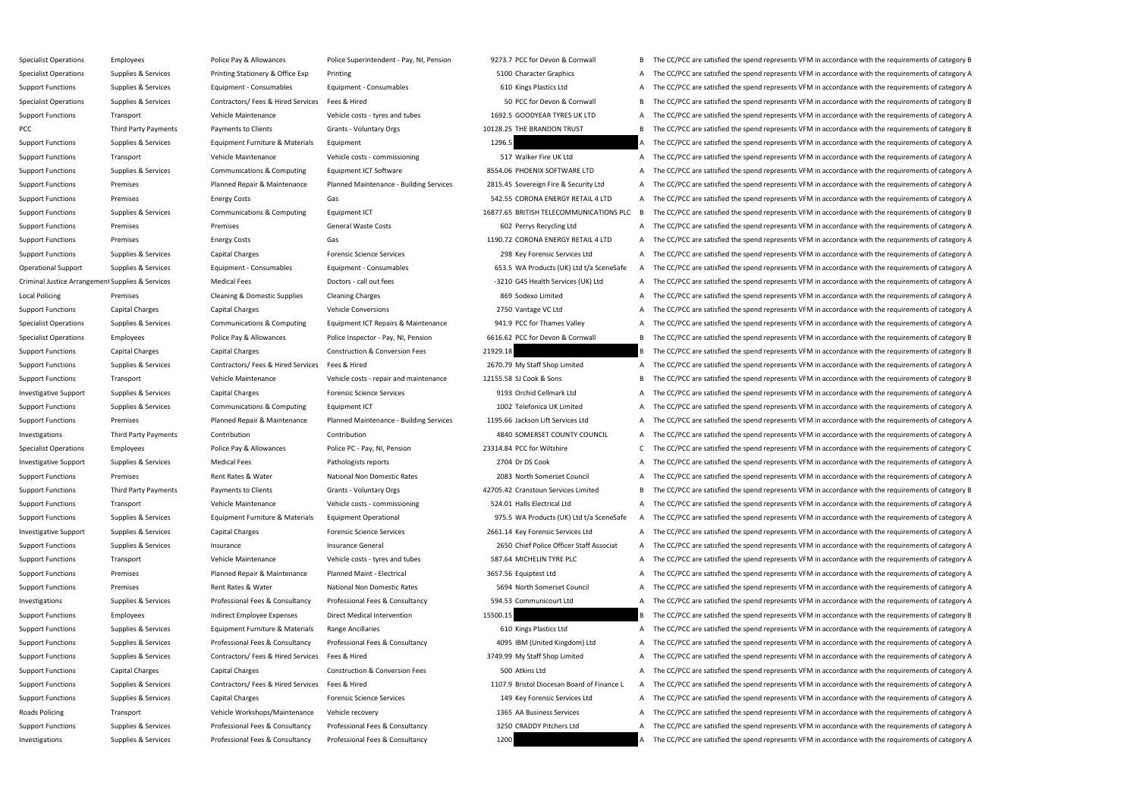Specialist Operations Employees Employees Police Pay & Allowances Police Superintendent - Pay, NJ. Pension 9273.7 PCC for Devon & Cornwall B The CC/PCC are satisfied the spend represents VFM in accordance with the requirem Specialist Operations Supplies & Services Printing Stationery & Office Exp Printing Stationery & Office Exp Printing 5100 Character Graphics A The CC/PCC are satisfied the spend represents VFM in accordance with the requir Support Functions Supplies & Services Equipment - Consumables Equipment - Consumables Equipment - Consumables Equipment - Consumables 610 Kings Plastics Ltd A The CC/PCC are satisfied the spend represents VFM in accordance Specialist Operations Supplies & Services Contractors/ Fees & Hired Services Fees & Hired 50 PCC for Devon & Cornwall B The CC/PCC are satisfied the spend represents VFM in accordance with the requirements of category B Support Functions Transport Vehicle Maintenance Vehicle costs - tyres and tubes 1692.5 GOODYEAR TYRES UK LTD A The CC/PCC are satisfied the spend represents VFM in accordance with the requirements of category A PCC Third Party Payments Payments to Clients Grants - Voluntary Orgs 10128.25 THE BRANDON TRUST B The CC/PCC are satisfied the spend represents VFM in accordance with the requirements of category B Support Functions Supplies & Services Equipment Furniture & Materials Equipment 1296.5 A The CC/PCC are satisfied the spend represents VFM in accordance with the requirements of category A Support Functions Transport Transport Vehicle Maintenance Vehicle costs - commissioning 517 Walker Fire UK Ltd A The CC/PCC are satisfied the spend represents VFM in accordance with the requirements of category A Support Functions Supplies & Services Communications & Computing Equipment ICT Software 8554.06 PHOENIX SOFTWARE LTD A The CC/PCC are satisfied the spend represents VFM in accordance with the requirements of category A Support Functions Premises Planned Repair & Maintenance Planned Maintenance - Building Services 2815.45 Sovereign Fire & Security Ltd A The CC/PCC are satisfied the spend represents VFM in accordance with the requirements Support Functions Premises Energy Costs Energy Costs Gas Gas Service Support Energy Costs Gas Service Support Functions and a The CC/PCC are satisfied the spend represents VFM in accordance with the requirements of categor Support Functions Supplies & Services Communications & Computing Equipment ICT 16877.65 BRITISH TELECOMMUNICATIONS PLC B The CC/PCC are satisfied the spend represents VFM in accordance with the requirements of category B Support Functions Premises Premises Premises General Waste Costs General Waste Costs 602 Perrys Recycling Ltd A The CC/PCC are satisfied the spend represents VFM in accordance with the requirements of category A Support Functions Premises Energy Costs Gas Gas Gas 1190.72 CORONA ENERGY RETAIL 4 LTD A The CC/PCC are satisfied the spend represents VFM in accordance with the requirements of category A Support Functions Supplies & Services Capital Charges Forensic Science Services 298 Key Forensic Services Ltd A The CC/PCC are satisfied the spend represents VFM in accordance with the requirements of category A Operational Support Supplies & Services Equipment - Consumables Equipment - Consumables Equipment - Consumables Equipment - Consumables Equipment - Consumables 653.5 WA Products (UK) Ltd t/a SceneSafe A The CC/PCC are sati Criminal Justice Arrangement Supplies & Services Medical Fees Doctors - call out fees 3210 G4S Health Services (UK) Ltd A The CC/PCC are satisfied the spend represents VFM in accordance with the requirements of category A Local Policing Premises Cleaning & Domestic Supplies Cleaning Charges See Sodexo Limited A The CC/PCC are satisfied the spend represents VFM in accordance with the requirements of category A Support Functions Capital Charges Capital Charges Vehicle Conversions Vehicle Conversions 2750 Vantage VC Ltd A The CC/PCC are satisfied the spend represents VFM in accordance with the requirements of category A Specialist Operations Supplies & Services Communications & Computing Equipment ICT Repairs & Maintenance 941.9 PCC for Thames Valley A The CC/PCC are satisfied the spend represents VFM in accordance with the requirements o Specialist Operations Employees Police Pay & Allowances Police Inspector - Pay, NI, Pension 6616.62 PCC for Devon & Cornwall B The CC/PCC are satisfied the spend represents VFM in accordance with the requirements of catego Support Functions Capital Charges Capital Charges Construction & Conversion Fees 21929.18 B The CC/PCC are satisfied the spend represents VFM in accordance with the requirements of category B Support Functions Supplies & Services Contractors/ Fees & Hired Services Fees & Hired 2670.79 My Staff Shop Limited A The CC/PCC are satisfied the spend represents VFM in accordance with the requirements of category A Support Functions Transport Vehicle Maintenance Vehicle Costs - repair and maintenance 12155.58 SJ Cook & Sons B The CC/PCC are satisfied the spend represents VFM in accordance with the requirements of category B Investigative Support Supplies & Services Capital Charges Forensic Science Services 9193 Orchid Cellmark Ltd A The CC/PCC are satisfied the spend represents VFM in accordance with the requirements of category A Support Functions Supplies & Services Communications & Computing Equipment ICT 1002 Telefonica UK Limited A The CC/PCC are satisfied the spend represents VFM in accordance with the requirements of category A Support Functions Premises Planned Repair & Maintenance Planned Maintenance - Building Services 1195.66 Jackson Lift Services Ltd A The CC/PCC are satisfied the spend represents VFM in accordance with the requirements of c Investigations Third Party Payments Contribution Contribution Contribution Contribution Contribution Contribution Contribution and Contribution and the contribution and the contribution and the contribution and the contrib Specialist Operations Employees Police Pay & Allowances Police PC - Pay, NI, Pension 23314.84 PCC for Wiltshire C The CC/PCC are satisfied the spend represents VFM in accordance with the requirements of category C Investigative Support Supplies & Services Medical Fees Pathologists reports 2704 Dr DS Cook A The CC/PCC are satisfied the spend represents VFM in accordance with the requirements of category A Support Functions Premises Premises Rent Rates Rent Rates Rent Rates National Non Domestic Rates 2083 North Somerset Council A The CC/PCC are satisfied the spend represents VFM in accordance with the requirements of catego Support Functions Third Party Payments Payments to Clients Grants - Voluntary Orgs 42705.42 Cranstoun Services Limited B The CC/PCC are satisfied the spend represents VFM in accordance with the requirements of category B Support Functions Transport Vehicle Maintenance Vehicle costs - commissioning 524.01 Halls Electrical Ltd A The CC/PCC are satisfied the spend represents VFM in accordance with the requirements of category A Support Functions Supplies & Services Equipment Furniture & Materials Equipment Operational 975.5 WA Products (UK) Ltd t/a SceneSafe A The CC/PCC are satisfied the spend represents VFM in accordance with the requirements o Investigative Support Supplies & Services Capital Charges Forensic Science Services 2661.14 Key Forensic Services Ltd A The CC/PCC are satisfied the spend represents VFM in accordance with the requirements of category A Support Functions Supplies & Services Insurance Support Functions Insurance General Insurance General 2650 Chief Police Officer Staff Associat A The CC/PCC are satisfied the spend represents VFM in accordance with the requ Support Functions Transport **Support Transport** Vehicle Maintenance Vehicle costs - tyres and tubes 587.64 MICHELIN TYRE PLC A The CC/PCC are satisfied the spend represents VFM in accordance with the requirements of catego Support Functions Premises Planned Repair & Maintenance Planned Maint - Electrical 3657.56 Equiptest Ltd A The CC/PCC are satisfied the spend represents VFM in accordance with the requirements of category A Support Functions Premises Premises Rent Rates Rent Rates Rent Rates National Non Domestic Rates 5694 North Somerset Council A The CC/PCC are satisfied the spend represents VFM in accordance with the requirements of catego Investigations Supplies & Services Professional Fees & Consultancy Professional Fees & Consultancy S94.53 Communicourt Ltd A The CC/PCC are satisfied the spend represents VFM in accordance with the requirements of category Support Functions Employees and Employee Expenses Direct Medical Intervention 15500.15 15500.15 B The CC/PCC are satisfied the spend represents VFM in accordance with the requirements of category B Support Functions Supplies & Services Equipment Furniture & Materials Range Ancillaries 610 Kings Plastics Ltd A The CC/PCC are satisfied the spend represents VFM in accordance with the requirements of category A Support Functions Supplies & Services Professional Fees & Consultancy Professional Fees & Consultancy Professional Fees & Consultancy Professional Fees & Consultancy 4095 IBM (United Kingdom) Ltd A The CC/PCC are satisfied Support Functions Supplies & Services Contractors/ Fees & Hired Services Fees & Hired 3749.99 My Staff Shop Limited A The CC/PCC are satisfied the spend represents VFM in accordance with the requirements of category A Support Functions Capital Charges Capital Charges Construction & Conversion Fees 500 Atkins Ltd A The CC/PCC are satisfied the spend represents VFM in accordance with the requirements of category A Support Functions Supplies & Services Contractors/ Fees & Hired Services Fees & Hired The Support Functions and of Finance L A The CC/PCC are satisfied the spend represents VFM in accordance with the requirements of catego Support Functions Supplies & Services Capital Charges Forensic Science Services 149 Key Forensic Services Ltd A The CC/PCC are satisfied the spend represents VFM in accordance with the requirements of category A Roads Policing Transport Transport Vehicle Workshops/Maintenance Vehicle recovery 1365 AA Business Services A The CC/PCC are satisfied the spend represents VFM in accordance with the requirements of category A Support Functions Supplies & Services Professional Fees & Consultancy Professional Fees & Consultancy Professional Fees & Consultancy 3250 CRADDY Pitchers Ltd A The CC/PCC are satisfied the spend represents VFM in accordan Investigations Supplies & Services Professional Fees & Consultancy Professional Fees & Consultancy Professional Fees & Consultancy 1200 A The CC/PCC are satisfied the spend represents VFM in accordance with the requirement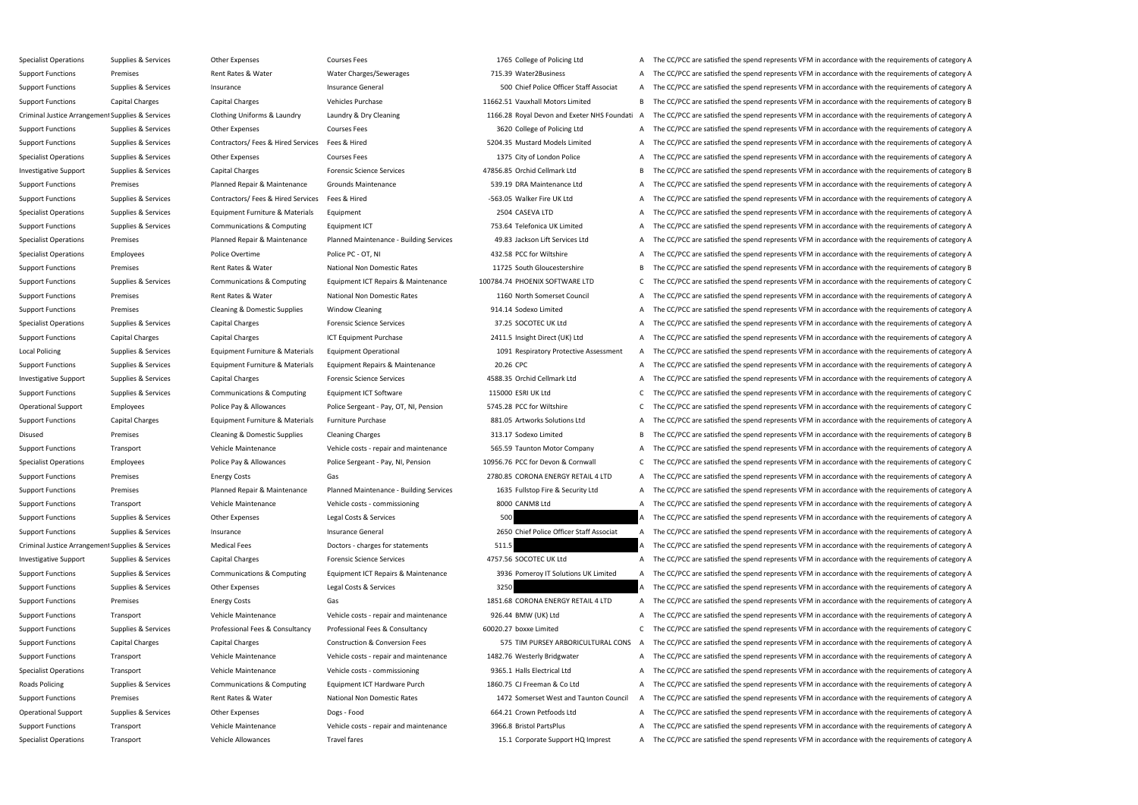Specialist Operations Supplies & Services Other Expenses Courses Fees Courses Fees 1765 College of Policing Ltd A The CC/PCC are satisfied the spend represents VFM in accordance with the requirements of category A Support Functions Premises Premises Rent Rates & Water Water Charges/Sewerages 715.39 Water2Business A The CC/PCC are satisfied the spend represents VFM in accordance with the requirements of category A Support Functions Supplies & Services Insurance Support Functions Insurance General Insurance General SOO Chief Police Officer Staff Associat A The CC/PCC are satisfied the spend represents VFM in accordance with the requi Support Functions Capital Charges Capital Charges Vehicles Purchase Vehicles Purchase 11662.51 Vauxhall Motors Limited B The CC/PCC are satisfied the spend represents VFM in accordance with the requirements of category B Criminal Justice Arrangement Supplies & Services Clothing Uniforms & Laundry Laundry & Dry Cleaning 1166.28 Royal Devon and Exeter NHS Foundati A The CC/PCC are satisfied the spend represents VFM in accordance with the req Support Functions Supplies & Services Other Expenses Courses Fees 3620 College of Policing Ltd A The CC/PCC are satisfied the spend represents VFM in accordance with the requirements of category A Support Functions Supplies & Services Contractors/ Fees & Hired Services Fees & Hired 5204.35 Mustard Models Limited A The CC/PCC are satisfied the spend represents VFM in accordance with the requirements of category A Specialist Operations Supplies & Services Other Expenses Courses Fees Courses Courses Fees 1375 City of London Police A The CC/PCC are satisfied the spend represents VFM in accordance with the requirements of category A Investigative Support Supplies & Services Capital Charges Forensic Science Services 47856.85 Orchid Cellmark Ltd B The CC/PCC are satisfied the spend represents VFM in accordance with the requirements of category B Support Functions Premises Planned Repair & Maintenance Grounds Maintenance 539.19 DRA Maintenance Ltd A The CC/PCC are satisfied the spend represents VFM in accordance with the requirements of category A Support Functions Supplies & Services Contractors/ Fees & Hired Services Fees & Hired -563.05 Walker Fire UK Ltd A The CC/PCC are satisfied the spend represents VFM in accordance with the requirements of category A Specialist Operations Supplies & Services Equipment Furniture & Materials Equipment 2504 CASEVA LTD A The CC/PCC are satisfied the spend represents VFM in accordance with the requirements of category A Support Functions Supplies & Services Communications & Computing Equipment ICT 753.64 Telefonica UK Limited A The CC/PCC are satisfied the spend represents VFM in accordance with the requirements of category A Specialist Operations Premises Planned Repair & Maintenance Planned Maintenance - Building Services 49.83 Jackson Lift Services Ltd A The CC/PCC are satisfied the spend represents VFM in accordance with the requirements of Specialist Operations Employees Police Overtime Police PC - OT, NI 432.58 PCC for Wiltshire A The CC/PCC are satisfied the spend represents VFM in accordance with the requirements of category A Support Functions Premises Premises Rent Rates Rent Rates National Non Domestic Rates 11725 South Gloucestershire B The CC/PCC are satisfied the spend represents VFM in accordance with the requirements of category B Support Functions Supplies & Services Communications & Computing Equipment ICT Repairs & Maintenance 100784.74 PHOENIX SOFTWARE LTD C The CC/PCC are satisfied the spend represents VFM in accordance with the requirements of Support Functions Premises Premises Rent Rates Rent Rates National Non Domestic Rates 1160 North Somerset Council A The CC/PCC are satisfied the spend represents VFM in accordance with the requirements of category A Support Functions Premises Premises Cleaning & Domestic Supplies Window Cleaning 2000 2014.14 Sodexo Limited A The CC/PCC are satisfied the spend represents VFM in accordance with the requirements of category A Specialist Operations Supplies & Services Capital Charges Forensic Science Services 37.25 SOCOTEC UK Ltd A The CC/PCC are satisfied the spend represents VFM in accordance with the requirements of category A Support Functions Capital Charges Capital Charges ICT Equipment Purchase 2411.5 Insight Direct (UK) Ltd A The CC/PCC are satisfied the spend represents VFM in accordance with the requirements of category A Local Policing Supplies & Services Equipment Furniture & Materials Equipment Operational 1091 Respiratory Protective Assessment A The CC/PCC are satisfied the spend represents VFM in accordance with the requirements of cat Support Functions Supplies & Services Equipment Furniture & Materials Equipment Repairs & Maintenance 20.26 CPC 20.26 CPC A The CC/PCC are satisfied the spend represents VFM in accordance with the requirements of category Investigative Support Supplies & Services Capital Charges Forensic Science Services AS88.35 Orchid Cellmark Ltd A The CC/PCC are satisfied the spend represents VFM in accordance with the requirements of category A Support Functions Supplies & Services Communications & Computing Equipment ICT Software 115000 ESRI UK Ltd C The CC/PCC are satisfied the spend represents VFM in accordance with the requirements of category C Operational Support Employees Police Pay & Allowances Police Sergeant - Pay, OT, NI, Pension 5745.28 PCC for Wiltshire C The CC/PCC are satisfied the spend represents VFM in accordance with the requirements of category C Support Functions Capital Charges Equipment Furniture & Materials Furniture Purchase 881.05 Artworks Solutions Ltd A The CC/PCC are satisfied the spend represents VFM in accordance with the requirements of category A Disused Premises Cleaning & Domestic Supplies Cleaning Charges 313.17 Sodexo Limited B The CC/PCC are satisfied the spend represents VFM in accordance with the requirements of category B Support Functions Transport Transport Vehicle Maintenance Vehicle Costs - repair and maintenance 565.59 Taunton Motor Company A The CC/PCC are satisfied the spend represents VFM in accordance with the requirements of categ Specialist Operations Employees Police Pay & Allowances Police Sergeant - Pay, NI, Pension 10956.76 PCC for Devon & Cornwall C The CC/PCC are satisfied the spend represents VFM in accordance with the requirements of catego Support Functions Premises Energy Costs Gas Gas Section Cases CORONA ENERGY RETAIL 4 LTD A The CC/PCC are satisfied the spend represents VFM in accordance with the requirements of category A Support Functions Premises Planned Repair & Maintenance Planned Maintenance - Building Services 1635 Fullstop Fire & Security Ltd A The CC/PCC are satisfied the spend represents VFM in accordance with the requirements of c Support Functions Transport Vehicle Maintenance Vehicle costs - commissioning 8000 CANM8 Ltd A The CC/PCC are satisfied the spend represents VFM in accordance with the requirements of category A Support Functions Supplies & Services Other Expenses Legal Costs & Services 500 A The CC/PCC are satisfied the spend represents VFM in accordance with the requirements of category A Support Functions Supplies & Services Insurance Support Functions Insurance General Insurance General 2650 Chief Police Officer Staff Associat A The CC/PCC are satisfied the spend represents VFM in accordance with the requ Criminal Justice Arrangement Supplies & Services Medical Fees Doctors - charges for statements Doctors - charges for statements 511.5 A The CC/PCC are satisfied the spend represents VFM in accordance with the requirements Investigative Support Supplies & Services Capital Charges Forensic Science Services 4757.56 SOCOTEC UK Ltd A The CC/PCC are satisfied the spend represents VFM in accordance with the requirements of category A Support Functions Supplies & Services Communications & Computing Equipment ICT Repairs & Maintenance 3936 Pomeroy IT Solutions UK Limited A The CC/PCC are satisfied the spend represents VFM in accordance with the requireme Support Functions Supplies & Services Other Expenses Legal Costs & Services 3250 3250 A The CC/PCC are satisfied the spend represents VFM in accordance with the requirements of category A Support Functions Premises Energy Costs Energy Costs Gas Gas 1851.68 CORONA ENERGY RETAIL 4 LTD A The CC/PCC are satisfied the spend represents VFM in accordance with the requirements of category A Support Functions Transport Vehicle Maintenance Vehicle Costs - repair and maintenance 926.44 BMW (UK) Ltd A The CC/PCC are satisfied the spend represents VFM in accordance with the requirements of category A Support Functions Supplies & Services Professional Fees & Consultancy Professional Fees & Consultancy Professional Fees & Consultancy 60020.27 boxxe Limited C The CC/PCC are satisfied the spend represents VFM in accordance Support Functions Capital Charges Capital Charges Construction & Conversion Fees 575 TIM PURSEY ARBORICULTURAL CONS A The CC/PCC are satisfied the spend represents VFM in accordance with the requirements of category A Support Functions Transport Vehicle Maintenance Vehicle Costs - repair and maintenance 1482.76 Westerly Bridgwater A The CC/PCC are satisfied the spend represents VFM in accordance with the requirements of category A Specialist Operations Transport Vehicle Maintenance Vehicle Costs - commissioning 9365.1 Halls Electrical Ltd A The CC/PCC are satisfied the spend represents VFM in accordance with the requirements of category A Roads Policing Supplies & Services Communications & Computing Equipment ICT Hardware Purch 1860.75 CJ Freeman & Co Ltd A The CC/PCC are satisfied the spend represents VFM in accordance with the requirements of category A Support Functions Premises Premises Rent Rates Rent Rates National Non Domestic Rates 1472 Somerset West and Taunton Council A The CC/PCC are satisfied the spend represents VFM in accordance with the requirements of catego Operational Support Supplies & Services Other Expenses Dogs - Food Dogs - Food 664.21 Crown Petfoods Ltd A The CC/PCC are satisfied the spend represents VFM in accordance with the requirements of category A Support Functions Transport Vehicle Maintenance Vehicle Costs - repair and maintenance 3966.8 Bristol PartsPlus A The CC/PCC are satisfied the spend represents VFM in accordance with the requirements of category A Specialist Operations Transport Transport Vehicle Allowances Travel fares Travel fares 15.1 Corporate Support HQ Imprest A The CC/PCC are satisfied the spend represents VFM in accordance with the requirements of category A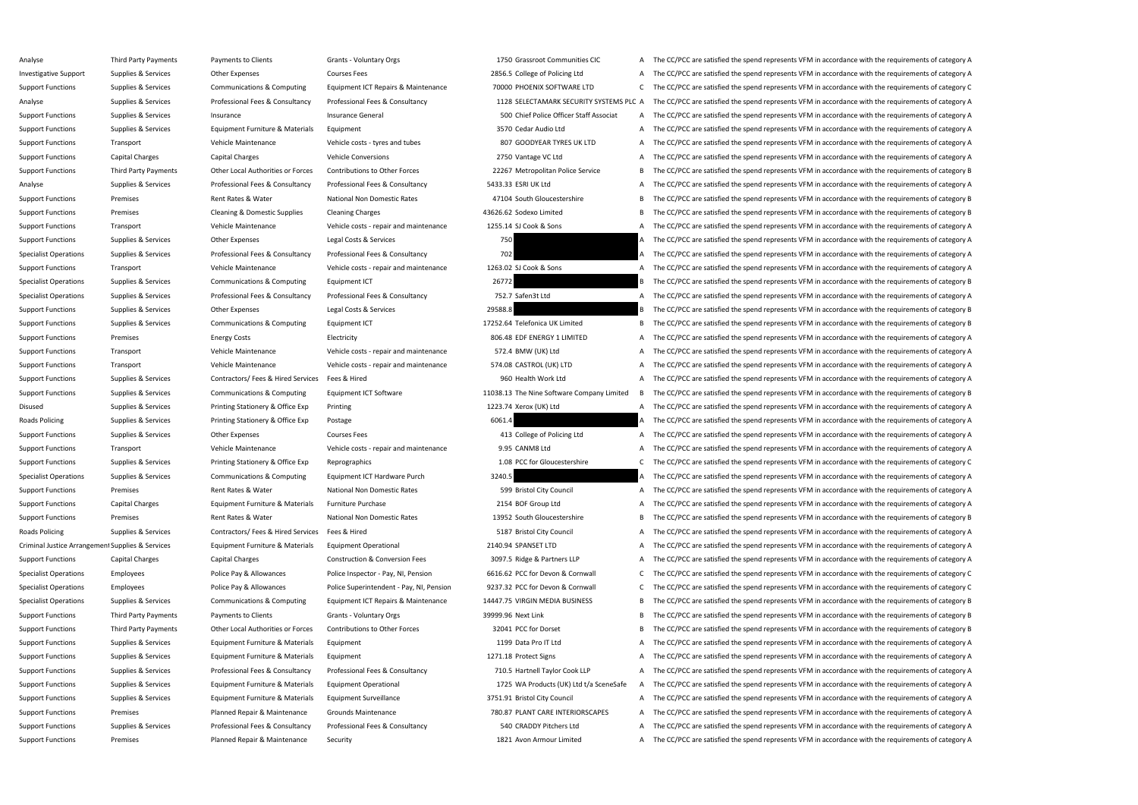Analyse Third Party Payments Payments to Clients Grants - Voluntary Orgs 1750 Grassroot Communities CIC A The CC/PCC are satisfied the spend represents VFM in accordance with the requirements of category A Investigative Support Supplies & Services Other Expenses Courses Fees 2856.5 College of Policing Ltd A The CC/PCC are satisfied the spend represents VFM in accordance with the requirements of category A Support Functions Supplies & Services Communications & Computing Equipment ICT Repairs & Maintenance 70000 PHOENIX SOFTWARE LTD C The CC/PCC are satisfied the spend represents VFM in accordance with the requirements of cat Analyse Supplies & Services Professional Fees & Consultancy Professional Fees & Consultancy Professional Fees & Consultancy Professional Fees & Consultancy 1128 SELECTAMARK SECURITY SYSTEMS PLC A The CC/PCC are satisfied t Support Functions Supplies & Services Insurance Support Functions Insurance General Insurance General Support Folice Officer Staff Associat A The CC/PCC are satisfied the spend represents VFM in accordance with the require Support Functions Supplies & Services Equipment Furniture & Materials Equipment and A The CC/PCC are satisfied the spend represents VFM in accordance with the requirements of category A Support Functions Transport Transport Vehicle Maintenance Vehicle costs - tyres and tubes 807 GOODYEAR TYRES UK LTD A The CC/PCC are satisfied the spend represents VFM in accordance with the requirements of category A Support Functions Capital Charges Capital Charges Vehicle Conversions Vehicle Conversions 2750 Vantage VC Ltd A The CC/PCC are satisfied the spend represents VFM in accordance with the requirements of category A Support Functions Third Party Payments Other Local Authorities or Forces Contributions to Other Forces 22267 Metropolitan Police Service B The CC/PCC are satisfied the spend represents VFM in accordance with the requiremen Analyse Supplies & Services Professional Fees & Consultancy Professional Fees & Consultancy S433.33 ESRI UK Ltd A The CC/PCC are satisfied the spend represents VFM in accordance with the requirements of category A Support Functions Premises Premises Rent Rates Rent Rates Rent Rates National Non Domestic Rates 47104 South Gloucestershire B The CC/PCC are satisfied the spend represents VFM in accordance with the requirements of catego Support Functions Premises Premises Cleaning & Domestic Supplies Cleaning Charges 43626.62 Sodexo Limited B The CC/PCC are satisfied the spend represents VFM in accordance with the requirements of category B Support Functions Transport Transport Vehicle Maintenance Vehicle costs - repair and maintenance 1255.14 SJ Cook & Sons A The CC/PCC are satisfied the spend represents VFM in accordance with the requirements of category A Support Functions Supplies & Services Other Expenses Legal Costs & Services 750 750 A The CC/PCC are satisfied the spend represents VFM in accordance with the requirements of category A Specialist Operations Supplies & Services Professional Fees & Consultancy Professional Fees & Consultancy Professional Fees & Consultancy 702 A The CC/PCC are satisfied the spend represents VFM in accordance with the requi Support Functions Transport Vehicle Maintenance Vehicle Costs - repair and maintenance 1263.02 SJ Cook & Sons A The CC/PCC are satisfied the spend represents VFM in accordance with the requirements of category A Specialist Operations Supplies & Services Communications & Computing Equipment ICT 26772 20072 B The CC/PCC are satisfied the spend represents VFM in accordance with the requirements of category B Specialist Operations Supplies & Services Professional Fees & Consultancy Professional Fees & Consultancy Professional Fees & Consultancy Professional Fees & Consultancy 752.7 Safen3t Ltd A The CC/PCC are satisfied the spe Support Functions Supplies & Services Other Expenses Legal Costs & Services 29588.8 29588.8 B The CC/PCC are satisfied the spend represents VFM in accordance with the requirements of category B Support Functions Supplies & Services Communications & Computing Equipment ICT 17252.64 Telefonica UK Limited B The CC/PCC are satisfied the spend represents VFM in accordance with the requirements of category B Support Functions Premises Energy Costs Electricity Electricity BO6.48 EDF ENERGY 1 LIMITED A The CC/PCC are satisfied the spend represents VFM in accordance with the requirements of category A Support Functions Transport Support Transport Vehicle Maintenance Vehicle costs - repair and maintenance 572.4 BMW (UK) Ltd A The CC/PCC are satisfied the spend represents VFM in accordance with the requirements of categor Support Functions Transport Transport Vehicle Maintenance Vehicle costs - repair and maintenance 574.08 CASTROL (UK) LTD A The CC/PCC are satisfied the spend represents VFM in accordance with the requirements of category A Support Functions Supplies & Services Contractors/ Fees & Hired Services Fees & Hired 960 Health Work Ltd A The CC/PCC are satisfied the spend represents VFM in accordance with the requirements of category A Support Functions Supplies & Services Communications & Computing Equipment ICT Software 1008.13 The Nine Software Company Limited B The CC/PCC are satisfied the spend represents VFM in accordance with the requirements of c Disused Supplies & Services Printing Stationery & Office Exp Printing 1223.74 Xerox (UK) Ltd A The CC/PCC are satisfied the spend represents VFM in accordance with the requirements of category A Roads Policing Supplies & Services Printing Stationery & Office Exp Postage 6061.4 6061.4 A The CC/PCC are satisfied the spend represents VFM in accordance with the requirements of category A Support Functions Supplies & Services Other Expenses Courses Fees A The CC/PCC are satisfied the spend represents VFM in accordance with the requirements of category A Support Functions Transport Transport Vehicle Maintenance Vehicle costs - repair and maintenance 9.95 CANM8 Ltd A The CC/PCC are satisfied the spend represents VFM in accordance with the requirements of category A Support Functions Supplies & Services Printing Stationery & Office Exp Reprographics 1.08 PCC for Gloucestershire C The CC/PCC are satisfied the spend represents VFM in accordance with the requirements of category C Specialist Operations Supplies & Services Communications & Computing Equipment ICT Hardware Purch 3240.5 A The CC/PCC are satisfied the spend represents VFM in accordance with the requirements of category A Support Functions Premises Premises Rent Rates & Water National Non Domestic Rates 599 Bristol City Council A The CC/PCC are satisfied the spend represents VFM in accordance with the requirements of category A Support Functions Capital Charges Equipment Furniture & Materials Furniture Purchase 2154 BOF Group Ltd A The CC/PCC are satisfied the spend represents VFM in accordance with the requirements of category A Support Functions Premises Premises Rent Rates Rent Rates National Non Domestic Rates 13952 South Gloucestershire B The CC/PCC are satisfied the spend represents VFM in accordance with the requirements of category B Roads Policing Supplies & Services Contractors/ Fees & Hired Services Fees & Hired 5187 Bristol City Council A The CC/PCC are satisfied the spend represents VFM in accordance with the requirements of category A Criminal Justice Arrangement Supplies & Services Equipment Furniture & Materials Equipment Operational 2140.94 SPANSET LTD A The CC/PCC are satisfied the spend represents VFM in accordance with the requirements of category Support Functions Capital Charges Capital Charges Construction & Conversion Fees 3097.5 Ridge & Partners LLP A The CC/PCC are satisfied the spend represents VFM in accordance with the requirements of category A Specialist Operations Employees Police Pay & Allowances Police Inspector - Pay, NI, Pension 6616.62 PCC for Devon & Cornwall C The CC/PCC are satisfied the spend represents VFM in accordance with the requirements of catego Specialist Operations Employees Police Pay & Allowances Police Superintendent - Pay, NI, Pension 9237.32 PCC for Devon & Cornwall C The CC/PCC are satisfied the spend represents VFM in accordance with the requirements of c Specialist Operations Supplies & Services Communications & Computing Equipment ICT Repairs & Maintenance 14447.75 VIRGIN MEDIA BUSINESS B The CC/PCC are satisfied the spend represents VFM in accordance with the requirement Support Functions Third Party Payments Payments to Clients Grants - Voluntary Orgs 39999.96 Next Link B The CC/PCC are satisfied the spend represents VFM in accordance with the requirements of category B Support Functions Third Party Payments Other Local Authorities or Forces Contributions to Other Forces 32041 PCC for Dorset B The CC/PCC are satisfied the spend represents VFM in accordance with the requirements of categor Support Functions Supplies & Services Equipment Furniture & Materials Equipment 1199 Data Pro IT Ltd A The CC/PCC are satisfied the spend represents VFM in accordance with the requirements of category A Support Functions Supplies & Services Equipment Furniture & Materials Equipment 1271.18 Protect Signs A The CC/PCC are satisfied the spend represents VFM in accordance with the requirements of category A Support Functions Supplies & Services Professional Fees & Consultancy Professional Fees & Consultancy Professional Fees & Consultancy Professional Fees & Consultancy 710.5 Hartnell Taylor Cook LLP A The CC/PCC are satisfie Support Functions Supplies & Services Equipment Furniture & Materials Equipment Operational 1725 WA Products (UK) Ltd t/a SceneSafe A The CC/PCC are satisfied the spend represents VFM in accordance with the requirements of Support Functions Supplies & Services Equipment Furniture & Materials Equipment Surveillance 3751.91 Bristol City Council A The CC/PCC are satisfied the spend represents VFM in accordance with the requirements of category Support Functions Premises Planned Repair & Maintenance Grounds Maintenance 780.87 PLANT CARE INTERIORSCAPES A The CC/PCC are satisfied the spend represents VFM in accordance with the requirements of category A Support Functions Supplies & Services Professional Fees & Consultancy Professional Fees & Consultancy Professional Fees & Consultancy S40 CRADDY Pitchers Ltd A The CC/PCC are satisfied the spend represents VFM in accordanc Support Functions Premises Planned Repair & Maintenance Security 1821 Avon Armour Limited A The CC/PCC are satisfied the spend represents VFM in accordance with the requirements of category A